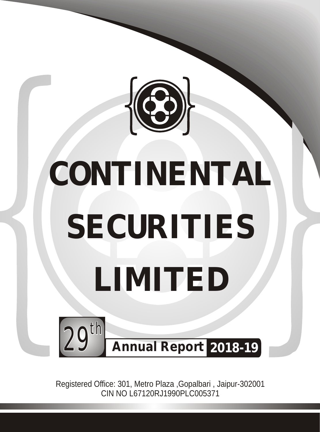

# **CONTINENTAL SECURITIES LIMITED**



Registered Office: 301, Metro Plaza ,Gopalbari , Jaipur-302001 CIN NO L67120RJ1990PLC005371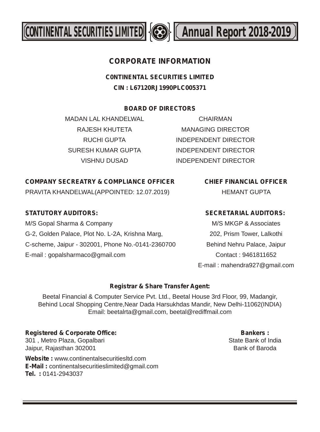#### **CORPORATE INFORMATION**

**C0NTINENTAL SECURITIES LIMITED CIN : L67120RJ1990PLC005371**

#### **BOARD OF DIRECTORS**

MADAN LAL KHANDELWAL CHAIRMAN

RAJESH KHUTETA MANAGING DIRECTOR RUCHI GUPTA INDEPENDENT DIRECTOR SURESH KUMAR GUPTA INDEPENDENT DIRECTOR VISHNU DUSAD INDEPENDENT DIRECTOR

#### **COMPANY SECREATRY & COMPLIANCE OFFICER CHIEF FINANCIAL OFFICER**

PRAVITA KHANDELWAL(APPOINTED: 12.07.2019) HEMANT GUPTA

M/S Gopal Sharma & Company M/S MKGP & Associates G-2, Golden Palace, Plot No. L-2A, Krishna Marg, 202, Prism Tower, Lalkothi C-scheme, Jaipur - 302001, Phone No.-0141-2360700 Behind Nehru Palace, Jaipur E-mail: gopalsharmaco@gmail.com Contact: 9461811652

#### **STATUTORY AUDITORS: SECRETARIAL AUDITORS:**

E-mail : mahendra927@gmail.com

#### **Registrar & Share Transfer Agent:**

Beetal Financial & Computer Service Pvt. Ltd., Beetal House 3rd Floor, 99, Madangir, Behind Local Shopping Centre,Near Dada Harsukhdas Mandir, New Delhi-11062(INDIA) Email: beetalrta@gmail.com, beetal@rediffmail.com

**Registered & Corporate Office: Bankers : Bankers : Bankers : Bankers :** 301, Metro Plaza, Gopalbari State Bank of India Jaipur, Rajasthan 302001 Bank of Baroda

**Website :** www.continentalsecuritiesltd.com **E-Mail :** continentalsecuritieslimited@gmail.com **Tel. :** 0141-2943037



CONTINENTAL SECURITIES LIMITED **Annual Report 2018-2019**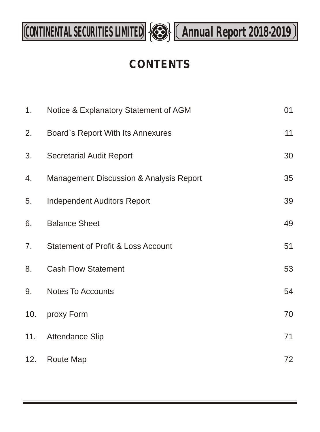

## **CONTENTS**

| 1.  | Notice & Explanatory Statement of AGM              | 01 |
|-----|----------------------------------------------------|----|
| 2.  | Board's Report With Its Annexures                  | 11 |
| 3.  | <b>Secretarial Audit Report</b>                    | 30 |
| 4.  | <b>Management Discussion &amp; Analysis Report</b> | 35 |
| 5.  | <b>Independent Auditors Report</b>                 | 39 |
| 6.  | <b>Balance Sheet</b>                               | 49 |
| 7.  | <b>Statement of Profit &amp; Loss Account</b>      | 51 |
| 8.  | <b>Cash Flow Statement</b>                         | 53 |
| 9.  | <b>Notes To Accounts</b>                           | 54 |
| 10. | proxy Form                                         | 70 |
| 11. | <b>Attendance Slip</b>                             | 71 |
| 12. | <b>Route Map</b>                                   | 72 |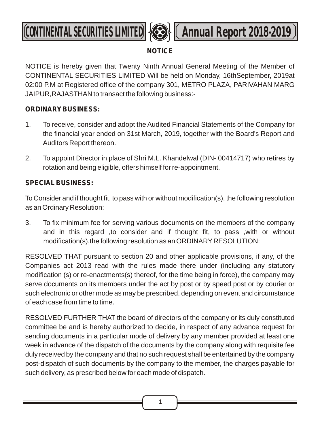

#### **NOTICE**

NOTICE is hereby given that Twenty Ninth Annual General Meeting of the Member of CONTINENTAL SECURITIES LIMITED Will be held on Monday, 16thSeptember, 2019at 02:00 P.M at Registered office of the company 301, METRO PLAZA, PARIVAHAN MARG JAIPUR,RAJASTHAN to transact the following business:-

#### **ORDINARY BUSINESS:**

- 1. To receive, consider and adopt the Audited Financial Statements of the Company for the financial year ended on 31st March, 2019, together with the Board's Report and Auditors Report thereon.
- 2. To appoint Director in place of Shri M.L. Khandelwal (DIN- 00414717) who retires by rotation and being eligible, offers himself for re-appointment.

#### **SPECIAL BUSINESS:**

To Consider and if thought fit, to pass with or without modification(s), the following resolution as an Ordinary Resolution:

3. To fix minimum fee for serving various documents on the members of the company and in this regard ,to consider and if thought fit, to pass ,with or without modification(s),the following resolution as an ORDINARY RESOLUTION:

RESOLVED THAT pursuant to section 20 and other applicable provisions, if any, of the Companies act 2013 read with the rules made there under (including any statutory modification (s) or re-enactments(s) thereof, for the time being in force), the company may serve documents on its members under the act by post or by speed post or by courier or such electronic or other mode as may be prescribed, depending on event and circumstance of each case from time to time.

RESOLVED FURTHER THAT the board of directors of the company or its duly constituted committee be and is hereby authorized to decide, in respect of any advance request for sending documents in a particular mode of delivery by any member provided at least one week in advance of the dispatch of the documents by the company along with requisite fee duly received by the company and that no such request shall be entertained by the company post-dispatch of such documents by the company to the member, the charges payable for such delivery, as prescribed below for each mode of dispatch.

1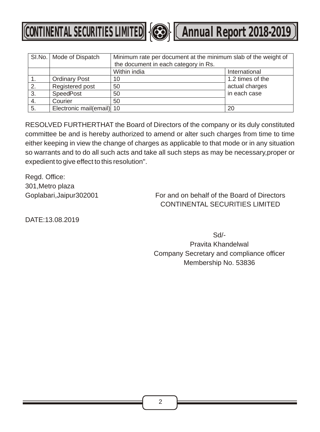**CONTINENTAL SECURITIES LIMITED 43 (Annual Report 2018-2019** 

|    | SI.No.   Mode of Dispatch | Minimum rate per document at the minimum slab of the weight of<br>the document in each category in Rs. |                  |  |  |  |  |
|----|---------------------------|--------------------------------------------------------------------------------------------------------|------------------|--|--|--|--|
|    |                           | Within india                                                                                           | International    |  |  |  |  |
|    | <b>Ordinary Post</b>      | 10                                                                                                     | 1.2 times of the |  |  |  |  |
| 2. | Registered post           | 50                                                                                                     | actual charges   |  |  |  |  |
| 3. | <b>SpeedPost</b>          | 50                                                                                                     | in each case     |  |  |  |  |
| 4. | Courier                   | 50                                                                                                     |                  |  |  |  |  |
| 5. | Electronic mail(email) 10 |                                                                                                        | 20               |  |  |  |  |

RESOLVED FURTHERTHAT the Board of Directors of the company or its duly constituted committee be and is hereby authorized to amend or alter such charges from time to time either keeping in view the change of charges as applicable to that mode or in any situation so warrants and to do all such acts and take all such steps as may be necessary,proper or expedient to give effect to this resolution".

Regd. Office: 301,Metro plaza

Goplabari,Jaipur302001 For and on behalf of the Board of Directors CONTINENTAL SECURITIES LIMITED

DATE:13.08.2019

Sd/- Pravita Khandelwal Company Secretary and compliance officer Membership No. 53836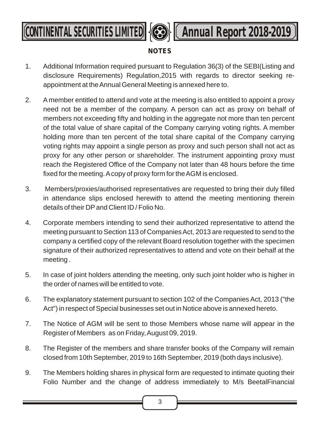

**CONTINENTAL SECURITIES LIMITED | <b>CO** | Annual Report 2018-2019

#### **NOTES**

- 1. Additional Information required pursuant to Regulation 36(3) of the SEBI(Listing and disclosure Requirements) Regulation,2015 with regards to director seeking reappointment at the Annual General Meeting is annexed here to.
- 2. A member entitled to attend and vote at the meeting is also entitled to appoint a proxy need not be a member of the company. A person can act as proxy on behalf of members not exceeding fifty and holding in the aggregate not more than ten percent of the total value of share capital of the Company carrying voting rights. A member holding more than ten percent of the total share capital of the Company carrying voting rights may appoint a single person as proxy and such person shall not act as proxy for any other person or shareholder. The instrument appointing proxy must reach the Registered Office of the Company not later than 48 hours before the time fixed for the meeting. Acopy of proxy form for the AGM is enclosed.
- 3. Members/proxies/authorised representatives are requested to bring their duly filled in attendance slips enclosed herewith to attend the meeting mentioning therein details of their DPand Client ID / Folio No.
- 4. Corporate members intending to send their authorized representative to attend the meeting pursuant to Section 113 of Companies Act, 2013 are requested to send to the company a certified copy of the relevant Board resolution together with the specimen signature of their authorized representatives to attend and vote on their behalf at the meeting .
- 5. In case of joint holders attending the meeting, only such joint holder who is higher in the order of names will be entitled to vote.
- 6. The explanatory statement pursuant to section 102 of the Companies Act, 2013 ("the Act") in respect of Special businesses set out in Notice above is annexed hereto.
- 7. The Notice of AGM will be sent to those Members whose name will appear in the Register of Members as on Friday, August 09, 2019.
- 8. The Register of the members and share transfer books of the Company will remain closed from 10th September, 2019 to 16th September, 2019 (both days inclusive).
- 9. The Members holding shares in physical form are requested to intimate quoting their Folio Number and the change of address immediately to M/s BeetalFinancial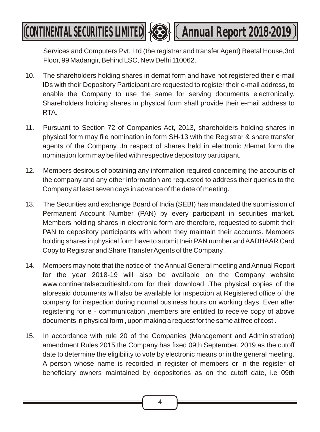Services and Computers Pvt. Ltd (the registrar and transfer Agent) Beetal House,3rd Floor, 99 Madangir, Behind LSC, New Delhi 110062.

10. The shareholders holding shares in demat form and have not registered their e-mail IDs with their Depository Participant are requested to register their e-mail address, to enable the Company to use the same for serving documents electronically. Shareholders holding shares in physical form shall provide their e-mail address to RTA.

**CONTINENTAL SECURITIES LIMITED 43 (Annual Report 2018-2019** 

- 11. Pursuant to Section 72 of Companies Act, 2013, shareholders holding shares in physical form may file nomination in form SH-13 with the Registrar & share transfer agents of the Company .In respect of shares held in electronic /demat form the nomination form may be filed with respective depository participant.
- 12. Members desirous of obtaining any information required concerning the accounts of the company and any other information are requested to address their queries to the Company at least seven days in advance of the date of meeting.
- 13. The Securities and exchange Board of India (SEBI) has mandated the submission of Permanent Account Number (PAN) by every participant in securities market. Members holding shares in electronic form are therefore, requested to submit their PAN to depository participants with whom they maintain their accounts. Members holding shares in physical form have to submit their PAN number and AADHAAR Card Copy to Registrar and Share Transfer Agents of the Company .
- 14. Members may note that the notice of the Annual General meeting and Annual Report for the year 2018-19 will also be available on the Company website www.continentalsecuritiesltd.com for their download .The physical copies of the aforesaid documents will also be available for inspection at Registered office of the company for inspection during normal business hours on working days .Even after registering for e - communication ,members are entitled to receive copy of above documents in physical form , upon making a request for the same at free of cost .
- 15. In accordance with rule 20 of the Companies (Management and Administration) amendment Rules 2015,the Company has fixed 09th September, 2019 as the cutoff date to determine the eligibility to vote by electronic means or in the general meeting. A person whose name is recorded in register of members or in the register of beneficiary owners maintained by depositories as on the cutoff date, i.e 09th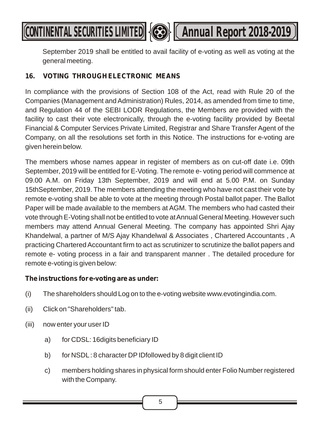September 2019 shall be entitled to avail facility of e-voting as well as voting at the general meeting.

**CONTINENTAL SECURITIES LIMITED 43 (Annual Report 2018-2019** 

#### **16. VOTING THROUGH ELECTRONIC MEANS**

In compliance with the provisions of Section 108 of the Act, read with Rule 20 of the Companies (Management and Administration) Rules, 2014, as amended from time to time, and Regulation 44 of the SEBI LODR Regulations, the Members are provided with the facility to cast their vote electronically, through the e-voting facility provided by Beetal Financial & Computer Services Private Limited, Registrar and Share Transfer Agent of the Company, on all the resolutions set forth in this Notice. The instructions for e-voting are given herein below.

The members whose names appear in register of members as on cut-off date i.e. 09th September, 2019 will be entitled for E-Voting. The remote e- voting period will commence at 09.00 A.M. on Friday 13th September, 2019 and will end at 5.00 P.M. on Sunday 15thSeptember, 2019. The members attending the meeting who have not cast their vote by remote e-voting shall be able to vote at the meeting through Postal ballot paper. The Ballot Paper will be made available to the members at AGM. The members who had casted their vote through E-Voting shall not be entitled to vote at Annual General Meeting. However such members may attend Annual General Meeting. The company has appointed Shri Ajay Khandelwal, a partner of M/S Ajay Khandelwal & Associates , Chartered Accountants , A practicing Chartered Accountant firm to act as scrutinizer to scrutinize the ballot papers and remote e- voting process in a fair and transparent manner . The detailed procedure for remote e-voting is given below:

#### **The instructions for e-voting are as under:**

- (i) The shareholders should Log on to the e-voting website www.evotingindia.com.
- (ii) Click on "Shareholders" tab.
- (iii) now enter your user ID
	- a) for CDSL: 16digits beneficiary ID
	- b) for NSDL: 8 character DPIDfollowed by 8 digit client ID
	- c) members holding shares in physical form should enter Folio Number registered with the Company.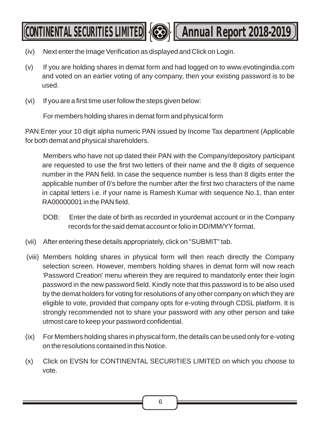### (iv) Next enter the Image Verification as displayed and Click on Login.

(v) If you are holding shares in demat form and had logged on to www.evotingindia.com and voted on an earlier voting of any company, then your existing password is to be used.

**CONTINENTAL SECURITIES LIMITED 43 (CONTINENTAL SECURITIES LIMITED** 

(vi) If you are a first time user follow the steps given below:

For members holding shares in demat form and physical form

PAN:Enter your 10 digit alpha numeric PAN issued by Income Tax department (Applicable for both demat and physical shareholders.

Members who have not up dated their PAN with the Company/depository participant are requested to use the first two letters of their name and the 8 digits of sequence number in the PAN field. In case the sequence number is less than 8 digits enter the applicable number of 0's before the number after the first two characters of the name in capital letters i.e. if your name is Ramesh Kumar with sequence No.1, than enter RA00000001 in the PAN field.

- DOB: Enter the date of birth as recorded in yourdemat account or in the Company records for the said demat account or folio in DD/MM/YYformat.
- (vii) After entering these details appropriately, click on "SUBMIT" tab.
- (viii) Members holding shares in physical form will then reach directly the Company selection screen. However, members holding shares in demat form will now reach 'Password Creation' menu wherein they are required to mandatorily enter their login password in the new password field. Kindly note that this password is to be also used by the demat holders for voting for resolutions of any other company on which they are eligible to vote, provided that company opts for e-voting through CDSL platform. It is strongly recommended not to share your password with any other person and take utmost care to keep your password confidential.
- (ix) For Members holding shares in physical form, the details can be used only for e-voting on the resolutions contained in this Notice.
- (x) Click on EVSN for CONTINENTAL SECURITIES LIMITED on which you choose to vote.

6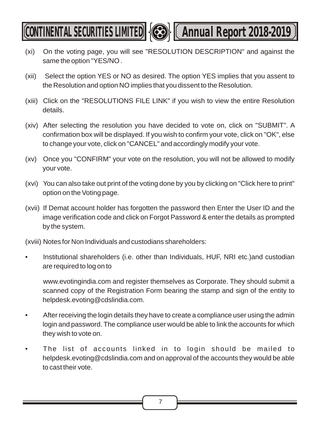- **CONTINENTAL SECURITIES LIMITED | <b>CO** | Annual Report 2018-2019
- (xi) On the voting page, you will see "RESOLUTION DESCRIPTION" and against the same the option "YES/NO .
- (xii) Select the option YES or NO as desired. The option YES implies that you assent to the Resolution and option NO implies that you dissent to the Resolution.
- (xiii) Click on the "RESOLUTIONS FILE LINK" if you wish to view the entire Resolution details.
- (xiv) After selecting the resolution you have decided to vote on, click on "SUBMIT". A confirmation box will be displayed. If you wish to confirm your vote, click on "OK", else to change your vote, click on "CANCEL" and accordingly modify your vote.
- (xv) Once you "CONFIRM" your vote on the resolution, you will not be allowed to modify your vote.
- (xvi) You can also take out print of the voting done by you by clicking on "Click here to print" option on the Voting page.
- (xvii) If Demat account holder has forgotten the password then Enter the User ID and the image verification code and click on Forgot Password & enter the details as prompted by the system.

(xviii) Notes for Non Individuals and custodians shareholders:

• Institutional shareholders (i.e. other than Individuals, HUF, NRI etc.)and custodian are required to log on to

www.evotingindia.com and register themselves as Corporate. They should submit a scanned copy of the Registration Form bearing the stamp and sign of the entity to helpdesk.evoting@cdslindia.com.

- After receiving the login details they have to create a compliance user using the admin login and password. The compliance user would be able to link the accounts for which they wish to vote on.
- The list of accounts linked in to login should be mailed to helpdesk.evoting@cdslindia.com and on approval of the accounts they would be able to cast their vote.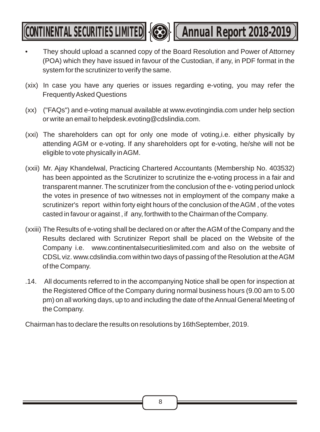• They should upload a scanned copy of the Board Resolution and Power of Attorney (POA) which they have issued in favour of the Custodian, if any, in PDF format in the system for the scrutinizer to verify the same. **CONTINENTAL SECURITIES LIMITED <b>Annual Report 2018-2019** 

- (xix) In case you have any queries or issues regarding e-voting, you may refer the Frequently Asked Questions
- (xx) ("FAQs") and e-voting manual available at www.evotingindia.com under help section or write an email to helpdesk.evoting@cdslindia.com.
- (xxi) The shareholders can opt for only one mode of voting,i.e. either physically by attending AGM or e-voting. If any shareholders opt for e-voting, he/she will not be eligible to vote physically in AGM.
- (xxii) Mr. Ajay Khandelwal, Practicing Chartered Accountants (Membership No. 403532) has been appointed as the Scrutinizer to scrutinize the e-voting process in a fair and transparent manner. The scrutinizer from the conclusion of the e- voting period unlock the votes in presence of two witnesses not in employment of the company make a scrutinizer's report within forty eight hours of the conclusion of the AGM , of the votes casted in favour or against , if any, forthwith to the Chairman of the Company.
- (xxiii) The Results of e-voting shall be declared on or after the AGM of the Company and the Results declared with Scrutinizer Report shall be placed on the Website of the Company i.e. www.continentalsecuritieslimited.com and also on the website of CDSLviz. www.cdslindia.com within two days of passing of the Resolution at the AGM of the Company.
- .14. All documents referred to in the accompanying Notice shall be open for inspection at the Registered Office of the Company during normal business hours (9.00 am to 5.00 pm) on all working days, up to and including the date of the Annual General Meeting of the Company.

Chairman has to declare the results on resolutions by 16thSeptember, 2019.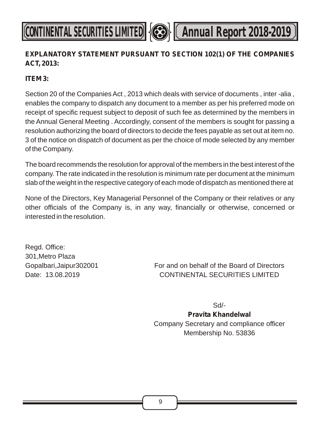**CONTINENTAL SECURITIES LIMITED | CONTINENTAL SECURITIES LIMITED | COOP | Annual Report 2018-2019** 

#### **EXPLANATORY STATEMENT PURSUANT TO SECTION 102(1) OF THE COMPANIES ACT, 2013:**

#### **ITEM 3:**

Section 20 of the Companies Act , 2013 which deals with service of documents , inter -alia , enables the company to dispatch any document to a member as per his preferred mode on receipt of specific request subject to deposit of such fee as determined by the members in the Annual General Meeting . Accordingly, consent of the members is sought for passing a resolution authorizing the board of directors to decide the fees payable as set out at item no. 3 of the notice on dispatch of document as per the choice of mode selected by any member of the Company.

The board recommends the resolution for approval of the members in the best interest of the company. The rate indicated in the resolution is minimum rate per document at the minimum slab of the weight in the respective category of each mode of dispatch as mentioned there at

None of the Directors, Key Managerial Personnel of the Company or their relatives or any other officials of the Company is, in any way, financially or otherwise, concerned or interested in the resolution.

Regd. Office: 301,Metro Plaza

Gopalbari,Jaipur302001 For and on behalf of the Board of Directors Date: 13.08.2019 CONTINENTAL SECURITIES LIMITED

Sd/-

**Pravita Khandelwal** Company Secretary and compliance officer Membership No. 53836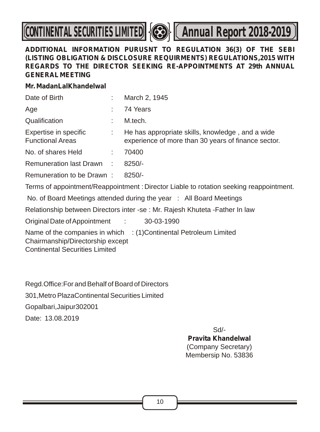**CONTINENTAL SECURITIES LIMITED | <b>43** (Annual Report 2018-2019



**ADDITIONAL INFORMATION PURUSNT TO REGULATION 36(3) OF THE SEBI (LISTING OBLIGATION & DISCLOSURE REQUIRMENTS) REGULATIONS,2015 WITH REGARDS TO THE DIRECTOR SEEKING RE-APPOINTMENTS AT 29th ANNUAL GENERAL MEETING**

#### **Mr. MadanLalKhandelwal**

| Date of Birth                                    |    | March 2, 1945                                                                                           |
|--------------------------------------------------|----|---------------------------------------------------------------------------------------------------------|
| Age                                              |    | 74 Years                                                                                                |
| Qualification                                    |    | M.tech.                                                                                                 |
| Expertise in specific<br><b>Functional Areas</b> |    | He has appropriate skills, knowledge, and a wide<br>experience of more than 30 years of finance sector. |
| No. of shares Held                               | ÷. | 70400                                                                                                   |
| Remuneration last Drawn :                        |    | $8250/-$                                                                                                |
| Remuneration to be Drawn:                        |    | $8250/-$                                                                                                |
|                                                  |    | Terms of appointment/Reappointment : Director Liable to rotation seeking reappointment.                 |
|                                                  |    | No. of Board Meetings attended during the year : All Board Meetings                                     |

Relationship between Directors inter -se : Mr. Rajesh Khuteta -Father In law

Original Date of Appointment : 30-03-1990

Name of the companies in which : (1)Continental Petroleum Limited

Chairmanship/Directorship except

Continental Securities Limited

Regd.Office:For and Behalf of Board of Directors 301,Metro PlazaContinental Securities Limited Gopalbari,Jaipur302001 Date: 13.08.2019

> Sd/- **Pravita Khandelwal** (Company Secretary) Membersip No. 53836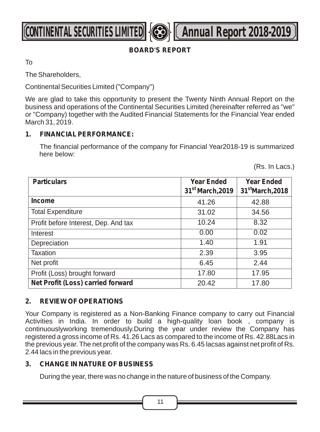

#### **BOARD'S REPORT**

To

The Shareholders,

Continental Securities Limited ("Company")

We are glad to take this opportunity to present the Twenty Ninth Annual Report on the business and operations of the Continental Securities Limited (hereinafter referred as "we" or "Company) together with the Audited Financial Statements for the Financial Year ended March 31, 2019.

#### **1. FINANCIALPERFORMANCE:**

The financial performance of the company for Financial Year2018-19 is summarized here below:

(Rs. In Lacs.)

| <b>Particulars</b>                   | <b>Year Ended</b>            | <b>Year Ended</b>            |
|--------------------------------------|------------------------------|------------------------------|
|                                      | 31 <sup>st</sup> March, 2019 | 31 <sup>st</sup> March, 2018 |
| <b>Income</b>                        | 41.26                        | 42.88                        |
| <b>Total Expenditure</b>             | 31.02                        | 34.56                        |
| Profit before Interest, Dep. And tax | 10.24                        | 8.32                         |
| Interest                             | 0.00                         | 0.02                         |
| Depreciation                         | 1.40                         | 1.91                         |
| <b>Taxation</b>                      | 2.39                         | 3.95                         |
| Net profit                           | 6.45                         | 2.44                         |
| Profit (Loss) brought forward        | 17.80                        | 17.95                        |
| Net Profit (Loss) carried forward    | 20.42                        | 17.80                        |

#### **2. REVIEW OF OPERATIONS**

Your Company is registered as a Non-Banking Finance company to carry out Financial Activities in India. In order to build a high-quality loan book , company is continuouslyworking tremendously.During the year under review the Company has registered a gross income of Rs. 41.26 Lacs as compared to the income of Rs. 42.88Lacs in the previous year. The net profit of the company was Rs. 6.45 lacsas against net profit of Rs. 2.44 lacs in the previous year.

#### **3. CHANGE IN NATURE OF BUSINESS**

During the year, there was no change in the nature of business of the Company.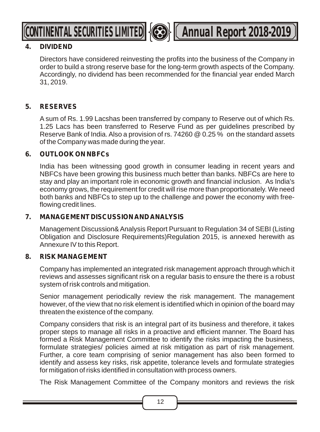#### **4. DIVIDEND**

Directors have considered reinvesting the profits into the business of the Company in order to build a strong reserve base for the long-term growth aspects of the Company. Accordingly, no dividend has been recommended for the financial year ended March 31, 2019.

#### **5. RESERVES**

A sum of Rs. 1.99 Lacshas been transferred by company to Reserve out of which Rs. 1.25 Lacs has been transferred to Reserve Fund as per guidelines prescribed by Reserve Bank of India. Also a provision of rs. 74260 @ 0.25 % on the standard assets of the Company was made during the year.

#### **6. OUTLOOK ON NBFCs**

India has been witnessing good growth in consumer leading in recent years and NBFCs have been growing this business much better than banks. NBFCs are here to stay and play an important role in economic growth and financial inclusion. As India's economy grows, the requirement for credit will rise more than proportionately. We need both banks and NBFCs to step up to the challenge and power the economy with freeflowing credit lines.

#### **7. MANAGEMENT DISCUSSION AND ANALYSIS**

Management Discussion& Analysis Report Pursuant to Regulation 34 of SEBI (Listing Obligation and Disclosure Requirements)Regulation 2015, is annexed herewith as Annexure IV to this Report.

#### **8. RISK MANAGEMENT**

Company has implemented an integrated risk management approach through which it reviews and assesses significant risk on a regular basis to ensure the there is a robust system of risk controls and mitigation.

Senior management periodically review the risk management. The management however, of the view that no risk element is identified which in opinion of the board may threaten the existence of the company.

Company considers that risk is an integral part of its business and therefore, it takes proper steps to manage all risks in a proactive and efficient manner. The Board has formed a Risk Management Committee to identify the risks impacting the business, formulate strategies/ policies aimed at risk mitigation as part of risk management. Further, a core team comprising of senior management has also been formed to identify and assess key risks, risk appetite, tolerance levels and formulate strategies for mitigation of risks identified in consultation with process owners.

The Risk Management Committee of the Company monitors and reviews the risk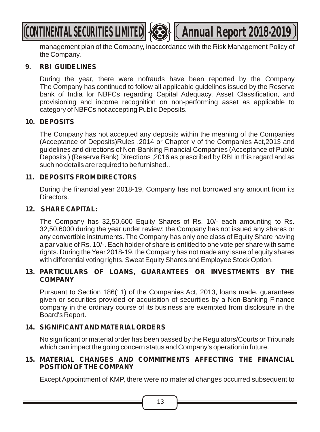management plan of the Company, inaccordance with the Risk Management Policy of the Company.

**CONTINENTAL SECURITIES LIMITED | (CD) | (Annual Report 2018-2019** 

#### **9. RBI GUIDELINES**

During the year, there were nofrauds have been reported by the Company The Company has continued to follow all applicable guidelines issued by the Reserve bank of India for NBFCs regarding Capital Adequacy, Asset Classification, and provisioning and income recognition on non-performing asset as applicable to category of NBFCs not accepting Public Deposits.

#### **10. DEPOSITS**

The Company has not accepted any deposits within the meaning of the Companies (Acceptance of Deposits)Rules ,2014 or Chapter v of the Companies Act,2013 and guidelines and directions of Non-Banking Financial Companies (Acceptance of Public Deposits ) (Reserve Bank) Directions ,2016 as prescribed by RBI in this regard and as such no details are required to be furnished..

#### **11. DEPOSITS FROM DIRECTORS**

During the financial year 2018-19, Company has not borrowed any amount from its Directors.

#### **12. SHARE CAPITAL:**

The Company has 32,50,600 Equity Shares of Rs. 10/- each amounting to Rs. 32,50,6000 during the year under review; the Company has not issued any shares or any convertible instruments. The Company has only one class of Equity Share having a par value of Rs. 10/-. Each holder of share is entitled to one vote per share with same rights. During the Year 2018-19, the Company has not made any issue of equity shares with differential voting rights, Sweat Equity Shares and Employee Stock Option.

#### **13. PARTICULARS OF LOANS, GUARANTEES OR INVESTMENTS BY THE COMPANY**

Pursuant to Section 186(11) of the Companies Act, 2013, loans made, guarantees given or securities provided or acquisition of securities by a Non-Banking Finance company in the ordinary course of its business are exempted from disclosure in the Board's Report.

#### **14. SIGNIFICANT AND MATERIALORDERS**

No significant or material order has been passed by the Regulators/Courts or Tribunals which can impact the going concern status and Company's operation in future.

#### **15. MATERIAL CHANGES AND COMMITMENTS AFFECTING THE FINANCIAL POSITION OF THE COMPANY**

Except Appointment of KMP, there were no material changes occurred subsequent to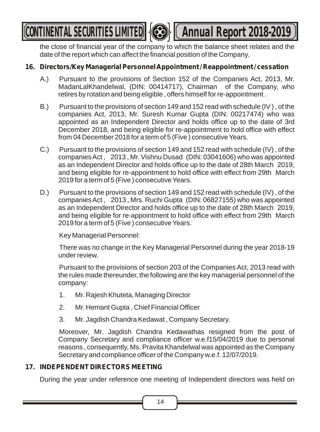the close of financial year of the company to which the balance sheet relates and the date of the report which can affect the financial position of the Company.

#### **16. Directors/Key Managerial Personnel Appointment / Reappointment / cessation**

**CONTINENTAL SECURITIES LIMITED <b>Annual Report 2018-2019** 

- A.) Pursuant to the provisions of Section 152 of the Companies Act, 2013, Mr. MadanLalKhandelwal, (DIN: 00414717), Chairman of the Company, who retires by rotation and being eligible , offers himself for re-appointment .
- B.) Pursuant to the provisions of section 149 and 152 read with schedule (IV ) , of the companies Act, 2013, Mr. Suresh Kumar Gupta (DIN: 00217474) who was appointed as an Independent Director and holds office up to the date of 3rd December 2018, and being eligible for re-appointment to hold office with effect from 04 December 2018 for a term of 5 (Five ) consecutive Years.
- C.) Pursuant to the provisions of section 149 and 152 read with schedule (IV) , of the companies Act , 2013 , Mr. Vishnu Dusad (DIN: 03041606) who was appointed as an Independent Director and holds office up to the date of 28th March 2019, and being eligible for re-appointment to hold office with effect from 29th March 2019 for a term of 5 (Five ) consecutive Years.
- D.) Pursuant to the provisions of section 149 and 152 read with schedule (IV) , of the companies Act , 2013 , Mrs. Ruchi Gupta (DIN: 06827155) who was appointed as an Independent Director and holds office up to the date of 28th March 2019, and being eligible for re-appointment to hold office with effect from 29th March 2019 for a term of 5 (Five ) consecutive Years.

Key Managerial Personnel:

There was no change in the Key Managerial Personnel during the year 2018-19 under review.

Pursuant to the provisions of section 203 of the Companies Act, 2013 read with the rules made thereunder, the following are the key managerial personnel of the company:

- 1. Mr. Rajesh Khuteta, Managing Director
- 2. Mr. Hemant Gupta , Chief Financial Officer
- 3. Mr. Jagdish Chandra Kedawat , Company Secretary.

Moreover, Mr. Jagdish Chandra Kedawathas resigned from the post of Company Secretary and compliance officer w.e.f15/04/2019 due to personal reasons , consequently, Ms. Pravita Khandelwal was appointed as the Company Secretary and compliance officer of the Company w.e.f. 12/07/2019.

#### **17. INDEPENDENT DIRECTORS MEETING**

During the year under reference one meeting of Independent directors was held on

14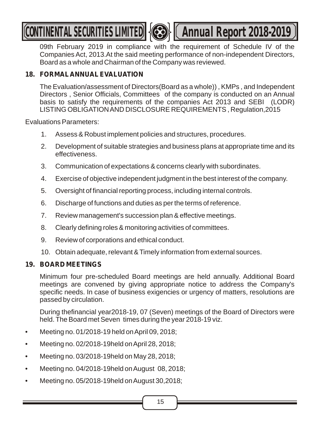09th February 2019 in compliance with the requirement of Schedule IV of the Companies Act, 2013.At the said meeting performance of non-independent Directors, Board as a whole and Chairman of the Company was reviewed.

**CONTINENTAL SECURITIES LIMITED | <b>BEEFINGER** | Annual Report 2018-2019

#### **18. FORMALANNUALEVALUATION**

The Evaluation/assessment of Directors(Board as a whole)) , KMPs , and Independent Directors , Senior Officials, Committees of the company is conducted on an Annual basis to satisfy the requirements of the companies Act 2013 and SEBI (LODR) LISTING OBLIGATION AND DISCLOSURE REQUIREMENTS , Regulation,2015

Evaluations Parameters:

- 1. Assess & Robust implement policies and structures, procedures.
- 2. Development of suitable strategies and business plans at appropriate time and its effectiveness.
- 3. Communication of expectations & concerns clearly with subordinates.
- 4. Exercise of objective independent judgment in the best interest of the company.
- 5. Oversight of financial reporting process, including internal controls.
- 6. Discharge of functions and duties as per the terms of reference.
- 7. Review management's succession plan & effective meetings.
- 8. Clearly defining roles & monitoring activities of committees.
- 9. Review of corporations and ethical conduct.
- 10. Obtain adequate, relevant & Timely information from external sources.

#### **19. BOARD MEETINGS**

Minimum four pre-scheduled Board meetings are held annually. Additional Board meetings are convened by giving appropriate notice to address the Company's specific needs. In case of business exigencies or urgency of matters, resolutions are passed by circulation.

During thefinancial year2018-19, 07 (Seven) meetings of the Board of Directors were held. The Board met Seven times during the year 2018-19 viz.

- Meeting no. 01/2018-19 held on April 09, 2018;
- Meeting no. 02/2018-19held on April 28, 2018;
- Meeting no. 03/2018-19held on May 28, 2018;
- Meeting no. 04/2018-19held on August 08, 2018;
- Meeting no. 05/2018-19held on August 30,2018;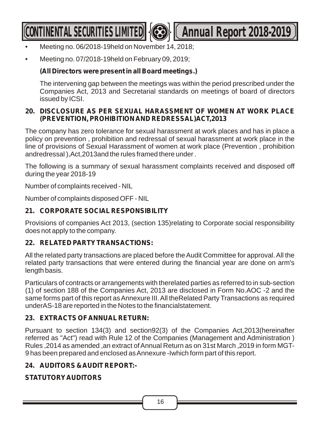

• Meeting no. 07/2018-19held on February 09, 2019;

#### **(All Directors were present in all Board meetings.)**

The intervening gap between the meetings was within the period prescribed under the Companies Act, 2013 and Secretarial standards on meetings of board of directors issued by ICSI.

#### **20. DISCLOSURE AS PER SEXUAL HARASSMENT OF WOMEN AT WORK PLACE (PREVENTION, PROHIBITION AND REDRESSAL)ACT,2013**

**CONTINENTAL SECURITIES LIMITED | <b>CO** | Annual Report 2018-2019

The company has zero tolerance for sexual harassment at work places and has in place a policy on prevention , prohibition and redressal of sexual harassment at work place in the line of provisions of Sexual Harassment of women at work place (Prevention , prohibition andredressal ),Act,2013and the rules framed there under .

The following is a summary of sexual harassment complaints received and disposed off during the year 2018-19

Number of complaints received - NIL

Number of complaints disposed OFF - NIL

#### **21. CORPORATE SOCIAL RESPONSIBILITY**

Provisions of companies Act 2013, (section 135)relating to Corporate social responsibility does not apply to the company.

#### **22. RELATED PARTYTRANSACTIONS:**

All the related party transactions are placed before the Audit Committee for approval. All the related party transactions that were entered during the financial year are done on arm's length basis.

Particulars of contracts or arrangements with therelated parties as referred to in sub-section (1) of section 188 of the Companies Act, 2013 are disclosed in Form No.AOC -2 and the same forms part of this report as Annexure III. All theRelated Party Transactions as required underAS-18 are reported in the Notes to the financialstatement.

#### **23. EXTRACTS OF ANNUAL RETURN:**

Pursuant to section 134(3) and section92(3) of the Companies Act,2013(hereinafter referred as "Act") read with Rule 12 of the Companies (Management and Administration ) Rules ,2014 as amended ,an extract of Annual Return as on 31st March ,2019 in form MGT-9 has been prepared and enclosed as Annexure -Iwhich form part of this report.

#### **24. AUDITORS & AUDIT REPORT:-**

#### **STATUTORYAUDITORS**

16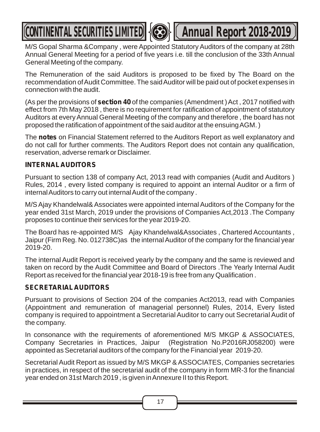M/S Gopal Sharma &Company , were Appointed Statutory Auditors of the company at 28th Annual General Meeting for a period of five years i.e. till the conclusion of the 33th Annual General Meeting of the company.

**CONTINENTAL SECURITIES LIMITED <b>Annual Report 2018-2019** 

The Remuneration of the said Auditors is proposed to be fixed by The Board on the recommendation of Audit Committee. The said Auditor will be paid out of pocket expenses in connection with the audit.

(As per the provisions of **section 40** of the companies (Amendment ) Act , 2017 notified with effect from 7th May 2018 , there is no requirement for ratification of appointment of statutory Auditors at every Annual General Meeting of the company and therefore , the board has not proposed the ratification of appointment of the said auditor at the ensuing AGM. )

The **notes** on Financial Statement referred to the Auditors Report as well explanatory and do not call for further comments. The Auditors Report does not contain any qualification, reservation, adverse remark or Disclaimer.

#### **INTERNALAUDITORS**

Pursuant to section 138 of company Act, 2013 read with companies (Audit and Auditors ) Rules, 2014 , every listed company is required to appoint an internal Auditor or a firm of internal Auditors to carry out internal Audit of the company .

M/S Ajay Khandelwal& Associates were appointed internal Auditors of the Company for the year ended 31st March, 2019 under the provisions of Companies Act,2013 .The Company proposes to continue their services for the year 2019-20.

The Board has re-appointed M/S Ajay Khandelwal&Associates , Chartered Accountants , Jaipur (Firm Reg. No. 012738C)as the internal Auditor of the company for the financial year 2019-20.

The internal Audit Report is received yearly by the company and the same is reviewed and taken on record by the Audit Committee and Board of Directors .The Yearly Internal Audit Report as received for the financial year 2018-19 is free from any Qualification .

#### **SECRETARIALAUDITORS**

Pursuant to provisions of Section 204 of the companies Act2013, read with Companies (Appointment and remuneration of managerial personnel) Rules, 2014, Every listed company is required to appointment a Secretarial Auditor to carry out Secretarial Audit of the company.

In consonance with the requirements of aforementioned M/S MKGP & ASSOCIATES, Company Secretaries in Practices, Jaipur (Registration No.P2016RJ058200) were appointed as Secretarial auditors of the company for the Financial year 2019-20.

Secretarial Audit Report as issued by M/S MKGP & ASSOCIATES, Companies secretaries in practices, in respect of the secretarial audit of the company in form MR-3 for the financial year ended on 31st March 2019 , is given in Annexure II to this Report.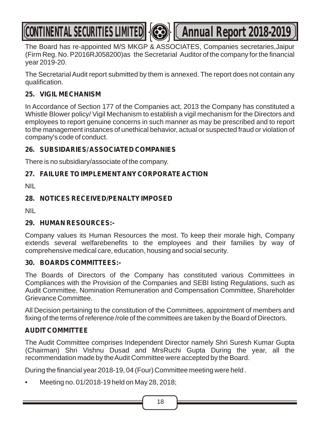**CONTINENTAL SECURITIES LIMITED | (CO) | (Annual Report 2018-2019** 

The Board has re-appointed M/S MKGP & ASSOCIATES, Companies secretaries,Jaipur (Firm Reg. No. P2016RJ058200)as the Secretarial Auditor of the company for the financial year 2019-20.

The Secretarial Audit report submitted by them is annexed. The report does not contain any qualification.

#### **25. VIGIL MECHANISM**

In Accordance of Section 177 of the Companies act, 2013 the Company has constituted a Whistle Blower policy/ Vigil Mechanism to establish a vigil mechanism for the Directors and employees to report genuine concerns in such manner as may be prescribed and to report to the management instances of unethical behavior, actual or suspected fraud or violation of company's code of conduct.

#### **26. SUBSIDARIES/ ASSOCIATED COMPANIES**

There is no subsidiary/associate of the company.

#### **27. FAILURE TO IMPLEMENT ANY CORPORATE ACTION**

NIL

#### **28. NOTICES RECEIVED/PENALTYIMPOSED**

NIL

#### **29. HUMAN RESOURCES:-**

Company values its Human Resources the most. To keep their morale high, Company extends several welfarebenefits to the employees and their families by way of comprehensive medical care, education, housing and social security.

#### **30. BOARDS COMMITTEES:-**

The Boards of Directors of the Company has constituted various Committees in Compliances with the Provision of the Companies and SEBI listing Regulations, such as Audit Committee, Nomination Remuneration and Compensation Committee, Shareholder Grievance Committee.

All Decision pertaining to the constitution of the Committees, appointment of members and fixing of the terms of reference /role of the committees are taken by the Board of Directors.

#### **AUDIT COMMITTEE**

The Audit Committee comprises Independent Director namely Shri Suresh Kumar Gupta (Chairman) Shri Vishnu Dusad and MrsRuchi Gupta During the year, all the recommendation made by the Audit Committee were accepted by the Board.

During the financial year 2018-19, 04 (Four) Committee meeting were held .

• Meeting no. 01/2018-19 held on May 28, 2018;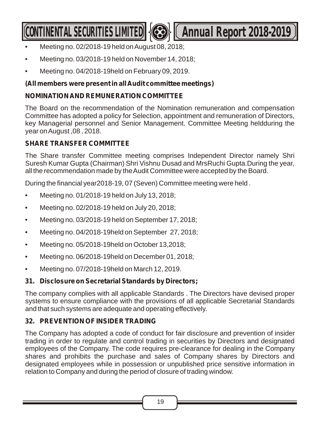• Meeting no. 02/2018-19 held on August 08, 2018;

- Meeting no. 03/2018-19 held on November 14, 2018;
- Meeting no. 04/2018-19held on February 09, 2019.

#### **(All members were present in all Audit committee meetings)**

#### **NOMINATION AND REMUNERATION COMMITTEE**

The Board on the recommendation of the Nomination remuneration and compensation Committee has adopted a policy for Selection, appointment and remuneration of Directors, key Managerial personnel and Senior Management. Committee Meeting heldduring the year on August ,08 , 2018.

**CONTINENTAL SECURITIES LIMITED | <b>(CD)** | Annual Report 2018-2019

#### **SHARE TRANSFER COMMITTEE**

The Share transfer Committee meeting comprises Independent Director namely Shri Suresh Kumar Gupta (Chairman) Shri Vishnu Dusad and MrsRuchi Gupta.During the year, all the recommendation made by the Audit Committee were accepted by the Board.

During the financial year2018-19, 07 (Seven) Committee meeting were held .

- Meeting no. 01/2018-19 held on July 13, 2018;
- Meeting no. 02/2018-19 held on July 20, 2018;
- Meeting no. 03/2018-19 held on September 17, 2018;
- Meeting no. 04/2018-19held on September 27, 2018;
- Meeting no. 05/2018-19held on October 13,2018;
- Meeting no. 06/2018-19held on December 01, 2018;
- Meeting no. 07/2018-19held on March 12, 2019.

#### **31. Disclosure on Secretarial Standards by Directors;**

The company complies with all applicable Standards . The Directors have devised proper systems to ensure compliance with the provisions of all applicable Secretarial Standards and that such systems are adequate and operating effectively.

#### **32. PREVENTION OF INSIDER TRADING**

The Company has adopted a code of conduct for fair disclosure and prevention of insider trading in order to regulate and control trading in securities by Directors and designated employees of the Company. The code requires pre-clearance for dealing in the Company shares and prohibits the purchase and sales of Company shares by Directors and designated employees while in possession or unpublished price sensitive information in relation to Company and during the period of closure of trading window.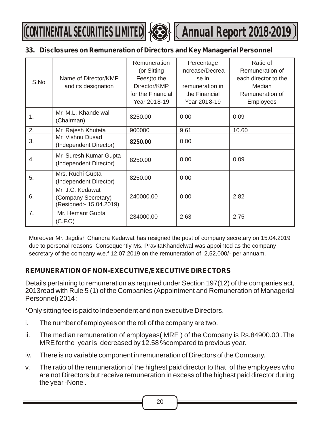

#### **33. Disclosures on Remuneration of Directors and Key Managerial Personnel**

| S.No           | Name of Director/KMP<br>and its designation                        | Remuneration<br>(or Sitting<br>Fees)to the<br>Director/KMP<br>for the Financial<br>Year 2018-19 | Percentage<br>Increase/Decrea<br>se in<br>remuneration in<br>the Financial<br>Year 2018-19 | Ratio of<br>Remuneration of<br>each director to the<br>Median<br>Remuneration of<br>Employees |
|----------------|--------------------------------------------------------------------|-------------------------------------------------------------------------------------------------|--------------------------------------------------------------------------------------------|-----------------------------------------------------------------------------------------------|
| 1.             | Mr. M.L. Khandelwal<br>(Chairman)                                  | 8250.00                                                                                         | 0.00                                                                                       | 0.09                                                                                          |
| 2.             | Mr. Rajesh Khuteta                                                 | 900000                                                                                          | 9.61                                                                                       | 10.60                                                                                         |
| 3.             | Mr. Vishnu Dusad<br>(Independent Director)                         | 8250.00                                                                                         | 0.00                                                                                       |                                                                                               |
| 4.             | Mr. Suresh Kumar Gupta<br>(Independent Director)                   | 8250.00                                                                                         | 0.00                                                                                       | 0.09                                                                                          |
| 5.             | Mrs. Ruchi Gupta<br>(Independent Director)                         | 8250.00                                                                                         | 0.00                                                                                       |                                                                                               |
| 6.             | Mr. J.C. Kedawat<br>(Company Secretary)<br>(Resigned:- 15.04.2019) | 240000.00                                                                                       | 0.00                                                                                       | 2.82                                                                                          |
| 7 <sub>1</sub> | Mr. Hemant Gupta<br>(C.F.O)                                        | 234000.00                                                                                       | 2.63                                                                                       | 2.75                                                                                          |

Moreover Mr. Jagdish Chandra Kedawat has resigned the post of company secretary on 15.04.2019 due to personal reasons, Consequently Ms. PravitaKhandelwal was appointed as the company secretary of the company w.e.f 12.07.2019 on the remuneration of 2,52,000/- per annuam.

#### **REMUNERATION OF NON-EXECUTIVE/EXECUTIVE DIRECTORS**

Details pertaining to remuneration as required under Section 197(12) of the companies act, 2013read with Rule 5 (1) of the Companies (Appointment and Remuneration of Managerial Personnel) 2014 :

\*Only sitting fee is paid to Independent and non executive Directors.

- i. The number of employees on the roll of the company are two.
- ii. The median remuneration of employees( MRE ) of the Company is Rs.84900.00 .The MRE for the year is decreased by 12.58 %compared to previous year.
- iv. There is no variable component in remuneration of Directors of the Company.
- v. The ratio of the remuneration of the highest paid director to that of the employees who are not Directors but receive remuneration in excess of the highest paid director during the year -None .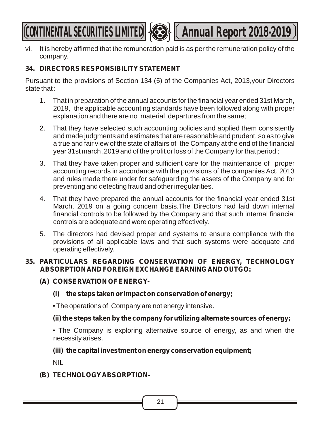vi. It is hereby affirmed that the remuneration paid is as per the remuneration policy of the company.

**CONTINENTAL SECURITIES LIMITED | CODE LAnnual Report 2018-2019** 

#### **34. DIRECTORS RESPONSIBILITYSTATEMENT**

Pursuant to the provisions of Section 134 (5) of the Companies Act, 2013,your Directors state that :

- 1. That in preparation of the annual accounts for the financial year ended 31st March, 2019, the applicable accounting standards have been followed along with proper explanation and there are no material departures from the same;
- 2. That they have selected such accounting policies and applied them consistently and made judgments and estimates that are reasonable and prudent, so as to give a true and fair view of the state of affairs of the Company at the end of the financial year 31st march ,2019 and of the profit or loss of the Company for that period ;
- 3. That they have taken proper and sufficient care for the maintenance of proper accounting records in accordance with the provisions of the companies Act, 2013 and rules made there under for safeguarding the assets of the Company and for preventing and detecting fraud and other irregularities.
- 4. That they have prepared the annual accounts for the financial year ended 31st March, 2019 on a going concern basis.The Directors had laid down internal financial controls to be followed by the Company and that such internal financial controls are adequate and were operating effectively.
- 5. The directors had devised proper and systems to ensure compliance with the provisions of all applicable laws and that such systems were adequate and operating effectively.

#### **35. PARTICULARS REGARDING CONSERVATION OF ENERGY, TECHNOLOGY ABSORPTION AND FOREIGN EXCHANGE EARNING AND OUTGO:**

#### **(A) CONSERVATION OF ENERGY-**

**(i) the steps taken or impact on conservation of energy;**

• The operations of Company are not energy intensive.

#### **(ii) the steps taken by the company for utilizing alternate sources of energy;**

• The Company is exploring alternative source of energy, as and when the necessity arises.

#### **(iii) the capital investment on energy conservation equipment;**

NIL

#### **(B) TECHNOLOGYABSORPTION-**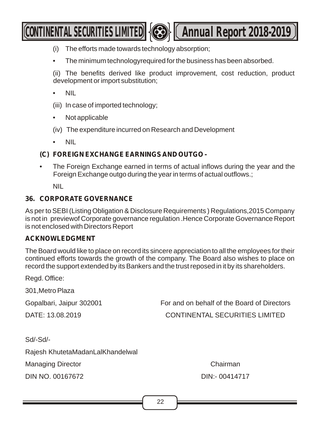CONTINENTAL SECURITIES LIMITED **Annual Report 2018-2019** 

- (i) The efforts made towards technology absorption;
- The minimum technologyrequired for the business has been absorbed.

(ii) The benefits derived like product improvement, cost reduction, product development or import substitution;

• NIL

(iii) In case of imported technology;

- Not applicable
- (iv) The expenditure incurred on Research and Development
- NIL

#### **(C) FOREIGN EXCHANGE EARNINGS AND OUTGO -**

• The Foreign Exchange earned in terms of actual inflows during the year and the Foreign Exchange outgo during the year in terms of actual outflows.;

NIL

#### **36. CORPORATE GOVERNANCE**

As per to SEBI (Listing Obligation & Disclosure Requirements ) Regulations,2015 Company is not in previewof Corporate governance regulation .Hence Corporate Governance Report is not enclosed with Directors Report

#### **ACKNOWLEDGMENT**

The Board would like to place on record its sincere appreciation to all the employees for their continued efforts towards the growth of the company. The Board also wishes to place on record the support extended by its Bankers and the trust reposed in it by its shareholders.

Regd. Office:

301,Metro Plaza

Gopalbari, Jaipur 302001 For and on behalf of the Board of Directors DATE: 13.08.2019 CONTINENTAL SECURITIES LIMITED

Sd/-Sd/- Rajesh KhutetaMadanLalKhandelwal Managing Director **Chairman** DIN NO. 00167672 DIN:- 00414717

22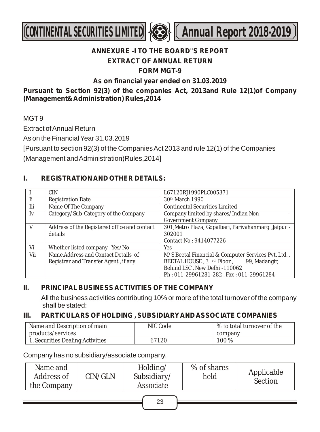



#### **ANNEXURE -I TO THE BOARD"S REPORT**

**EXTRACT OF ANNUAL RETURN**

#### **FORM MGT-9**

#### **As on financial year ended on 31.03.2019**

#### **Pursuant to Section 92(3) of the companies Act, 2013and Rule 12(1)of Company (Management& Administration) Rules,2014**

MGT9

Extract of Annual Return

As on the Financial Year 31.03.2019

[Pursuant to section 92(3) of the Companies Act 2013 and rule 12(1) of the Companies

(Management and Administration)Rules,2014]

#### **I. REGISTRATION AND OTHER DETAILS:**

|            | <b>CIN</b>                                   | L67120RJ1990PLC005371                                 |  |  |  |  |
|------------|----------------------------------------------|-------------------------------------------------------|--|--|--|--|
| Ii         | <b>Registration Date</b>                     | 30 <sup>th</sup> March 1990                           |  |  |  |  |
| <b>Iii</b> | Name Of The Company                          | <b>Continental Securities Limited</b>                 |  |  |  |  |
| Iv         | Category/Sub-Category of the Company         | Company limited by shares/Indian Non                  |  |  |  |  |
|            |                                              | <b>Government Company</b>                             |  |  |  |  |
| V          | Address of the Registered office and contact | 301, Metro Plaza, Gopalbari, Parivahanmarg, Jaipur -  |  |  |  |  |
|            | details                                      | 302001                                                |  |  |  |  |
|            |                                              | Contact No: 9414077226                                |  |  |  |  |
| Vi         | Whether listed company Yes/No                | <b>Yes</b>                                            |  |  |  |  |
| Vii        | Name, Address and Contact Details of         | M/S Beetal Financial & Computer Services Pvt. Ltd.,   |  |  |  |  |
|            | Registrar and Transfer Agent, if any         | BEETAL HOUSE, 3 <sup>rd</sup> Floor,<br>99, Madangir, |  |  |  |  |
|            |                                              | Behind LSC, New Delhi-110062                          |  |  |  |  |
|            |                                              | Ph: 011-29961281-282, Fax: 011-29961284               |  |  |  |  |

#### **II. PRINCIPAL BUSINESS ACTIVITIES OF THE COMPANY**

All the business activities contributing 10% or more of the total turnover of the company shall be stated:

#### **III. PARTICULARS OF HOLDING , SUBSIDIARYAND ASSOCIATE COMPANIES**

| Name and Description of main     | NIC Code | % to total turnover of the |
|----------------------------------|----------|----------------------------|
| products/services                |          | company                    |
| 1. Securities Dealing Activities | 67120    | 100 %                      |

Company has no subsidiary/associate company.

| Name and<br>CIN/GLN<br>Address of<br>the Company | Holding/<br>Subsidiary/<br>Associate | % of shares<br>held | Applicable<br><b>Section</b> |
|--------------------------------------------------|--------------------------------------|---------------------|------------------------------|
|--------------------------------------------------|--------------------------------------|---------------------|------------------------------|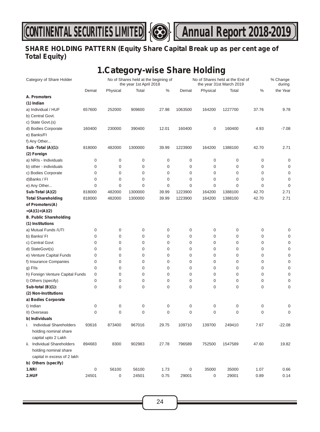**CONTINENTAL SECURITIES LIMITED 4 Annual Report 2018-2019** 

#### **SHARE HOLDING PATTERN (Equity Share Capital Break up as per cent age of Total Equity)**

**1.Category-wise Share Holding**

| Category of Share Holder             |             |          | the year 1st April 2018 | No of Shares held at the begining of |             |             | No of Shares held at the End of<br>the year 31st March 2019 |             | % Change<br>during |
|--------------------------------------|-------------|----------|-------------------------|--------------------------------------|-------------|-------------|-------------------------------------------------------------|-------------|--------------------|
|                                      | Demat       | Physical | Total                   | %                                    | Demat       | Physical    | Total                                                       | %           | the Year           |
| A. Promoters                         |             |          |                         |                                      |             |             |                                                             |             |                    |
| (1) Indian                           |             |          |                         |                                      |             |             |                                                             |             |                    |
| a) Individual / HUF                  | 657600      | 252000   | 909600                  | 27.98                                | 1063500     | 164200      | 1227700                                                     | 37.76       | 9.78               |
| b) Central Govt.                     |             |          |                         |                                      |             |             |                                                             |             |                    |
| c) State Govt.(s)                    |             |          |                         |                                      |             |             |                                                             |             |                    |
| d) Bodies Corporate                  | 160400      | 230000   | 390400                  | 12.01                                | 160400      | 0           | 160400                                                      | 4.93        | $-7.08$            |
| e) Banks/FI                          |             |          |                         |                                      |             |             |                                                             |             |                    |
| f) Any Other                         |             |          |                         |                                      |             |             |                                                             |             |                    |
| Sub - Total (A)(1):                  | 818000      | 482000   | 1300000                 | 39.99                                | 1223900     | 164200      | 1388100                                                     | 42.70       | 2.71               |
| (2) Foreign                          |             |          |                         |                                      |             |             |                                                             |             |                    |
| a) NRIs - Individuals                | $\mathbf 0$ | 0        | 0                       | 0                                    | 0           | $\mathsf 0$ | $\mathbf 0$                                                 | $\mathbf 0$ | $\mathbf 0$        |
| b) other - individuals               | $\mathbf 0$ | 0        | 0                       | 0                                    | 0           | 0           | 0                                                           | $\mathbf 0$ | $\mathbf 0$        |
| c) Bodies Corporate                  | $\mathbf 0$ | 0        | 0                       | 0                                    | 0           | 0           | 0                                                           | $\mathbf 0$ | $\mathbf 0$        |
| d)Banks / Fl                         | $\mathbf 0$ | 0        | 0                       | $\mathbf 0$                          | $\mathbf 0$ | $\mathbf 0$ | $\overline{0}$                                              | $\mathbf 0$ | $\mathbf 0$        |
| e) Any Other                         | $\mathbf 0$ | 0        | $\mathbf 0$             | 0                                    | 0           | 0           | $\mathbf 0$                                                 | $\mathbf 0$ | $\mathbf 0$        |
| Sub-Total (A)(2)                     | 818000      | 482000   | 1300000                 | 39.99                                | 1223900     | 164200      | 1388100                                                     | 42.70       | 2.71               |
| <b>Total Shareholding</b>            | 818000      | 482000   | 1300000                 | 39.99                                | 1223900     | 164200      | 1388100                                                     | 42.70       | 2.71               |
| of Promoters(A)                      |             |          |                         |                                      |             |             |                                                             |             |                    |
| $=(A)(1)+(A)(2)$                     |             |          |                         |                                      |             |             |                                                             |             |                    |
| <b>B. Public Shareholding</b>        |             |          |                         |                                      |             |             |                                                             |             |                    |
| (1) Institutions                     |             |          |                         |                                      |             |             |                                                             |             |                    |
| a) Mutual Funds / UTI                | $\mathbf 0$ | 0        | 0                       | 0                                    | 0           | 0           | 0                                                           | $\mathbf 0$ | $\pmb{0}$          |
| b) Banks/ Fl                         | $\mathbf 0$ | 0        | $\mathbf 0$             | $\mathbf 0$                          | $\mathsf 0$ | $\mathsf 0$ | $\mathbf 0$                                                 | $\mathbf 0$ | $\mathbf 0$        |
| c) Central Govt                      | $\mathbf 0$ | 0        | 0                       | 0                                    | 0           | 0           | 0                                                           | $\mathbf 0$ | $\mathbf 0$        |
| d) StateGovt(s)                      | $\mathbf 0$ | 0        | 0                       | 0                                    | $\mathbf 0$ | $\mathbf 0$ | $\mathbf 0$                                                 | $\mathbf 0$ | $\mathbf 0$        |
| e) Venture Capital Funds             | $\mathbf 0$ | 0        | 0                       | 0                                    | $\mathbf 0$ | $\mathbf 0$ | $\Omega$                                                    | $\mathbf 0$ | $\mathbf 0$        |
| f) Insurance Companies               | 0           | 0        | $\mathbf 0$             | $\mathbf 0$                          | 0           | $\mathsf 0$ | $\mathbf 0$                                                 | $\mathbf 0$ | $\pmb{0}$          |
| g) FlIs                              | $\mathbf 0$ | 0        | 0                       | 0                                    | 0           | $\mathbf 0$ | $\mathbf 0$                                                 | $\mathbf 0$ | $\mathbf 0$        |
| h) Foreign Venture Capital Funds     | $\mathbf 0$ | 0        | 0                       | 0                                    | $\mathbf 0$ | $\mathbf 0$ | $\overline{0}$                                              | $\mathbf 0$ | $\mathbf 0$        |
| I) Others (specify)                  | $\Omega$    | 0        | 0                       | 0                                    | 0           | 0           | $\Omega$                                                    | $\mathbf 0$ | $\mathbf 0$        |
| Sub-total (B)(1):                    | $\mathbf 0$ | 0        | 0                       | 0                                    | 0           | 0           | $\mathbf 0$                                                 | $\mathbf 0$ | $\mathbf 0$        |
| (2) Non-Institutions                 |             |          |                         |                                      |             |             |                                                             |             |                    |
| a) Bodies Corporate                  |             |          |                         |                                      |             |             |                                                             |             |                    |
| I) Indian                            | $\mathbf 0$ | 0        | 0                       | 0                                    | 0           | 0           | $\mathbf 0$                                                 | $\mathbf 0$ | $\mathbf 0$        |
| II) Overseas                         | $\mathbf 0$ | 0        | 0                       | 0                                    | $\mathbf 0$ | $\mathbf 0$ | $\mathbf 0$                                                 | $\mathbf 0$ | $\mathbf 0$        |
| b) Individuals                       |             |          |                         |                                      |             |             |                                                             |             |                    |
| i.<br><b>Individual Shareholders</b> | 93616       | 873400   | 967016                  | 29.75                                | 109710      | 139700      | 249410                                                      | 7.67        | $-22.08$           |
| holding nominal share                |             |          |                         |                                      |             |             |                                                             |             |                    |
| capital upto 2 Lakh                  |             |          |                         |                                      |             |             |                                                             |             |                    |
| ii. Individual Shareholders          | 894683      | 8300     | 902983                  | 27.78                                | 796589      | 752500      | 1547589                                                     | 47.60       | 19.82              |
| holding nominal share                |             |          |                         |                                      |             |             |                                                             |             |                    |
| capital in excess of 2 lakh          |             |          |                         |                                      |             |             |                                                             |             |                    |
| b) Others (specify)                  |             |          |                         |                                      |             |             |                                                             |             |                    |
| 1.NRI                                | $\mathbf 0$ | 56100    | 56100                   | 1.73                                 | 0           | 35000       | 35000                                                       | 1.07        | 0.66               |
| 2.HUF                                | 24501       | 0        | 24501                   | 0.75                                 | 29001       | $\mathbf 0$ | 29001                                                       | 0.89        | 0.14               |
|                                      |             |          |                         |                                      |             |             |                                                             |             |                    |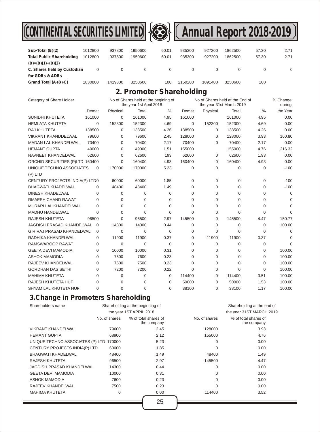# **CONTINENTAL SECURITIES LIMITED**  $\bigotimes$  [Annual Report 2018-2019]



| Sub-Total (B)(2)                 | 1012800 | 937800  | 1950600 | 60.01 | 935300  | 927200   | 1862500 | 57.30 | 2.71 |
|----------------------------------|---------|---------|---------|-------|---------|----------|---------|-------|------|
| <b>Total Public Shareholding</b> | 1012800 | 937800  | 1950600 | 60.01 | 935300  | 927200   | 1862500 | 57.30 | 2.71 |
| $(B)=(B)(1)+(B)(2)$              |         |         |         |       |         |          |         |       |      |
| C. Shares held by Custodian      |         |         | 0       | 0     | 0       | $\Omega$ |         |       | 0.   |
| for GDRs & ADRs                  |         |         |         |       |         |          |         |       |      |
| Grand Total (A+B+C)              | 1830800 | 1419800 | 3250600 | 100   | 2159200 | 1091400  | 3250600 | 100   |      |

#### **2. Promoter Shareholding**

| Category of Share Holder         |             |          | the year 1st April 2018 | No of Shares held at the begining of |          | No of Shares held at the End of | the year 31st March 2019 |             | % Change<br>during |
|----------------------------------|-------------|----------|-------------------------|--------------------------------------|----------|---------------------------------|--------------------------|-------------|--------------------|
|                                  | Demat       | Physical | Total                   | %                                    | Demat    | Physical                        | Total                    | %           | the Year           |
| <b>SUNIDHI KHUTETA</b>           | 161000      | 0        | 161000                  | 4.95                                 | 161000   |                                 | 161000                   | 4.95        | 0.00               |
| <b>HEMLATA KHUTETA</b>           | $\Omega$    | 152300   | 152300                  | 4.69                                 | 0        | 152300                          | 152300                   | 4.69        | 0.00               |
| <b>RAJ KHUTETA</b>               | 138500      | $\Omega$ | 138500                  | 4.26                                 | 138500   | $\Omega$                        | 138500                   | 4.26        | 0.00               |
| <b>VIKRANT KHANDDELWAL</b>       | 79600       | $\Omega$ | 79600                   | 2.45                                 | 128000   | $\Omega$                        | 128000                   | 3.93        | 160.80             |
| <b>MADAN LAL KHANDELWAL</b>      | 70400       | $\Omega$ | 70400                   | 2.17                                 | 70400    | $\Omega$                        | 70400                    | 2.17        | 0.00               |
| <b>HEMANT GUPTA</b>              | 49000       | $\Omega$ | 49000                   | 1.51                                 | 155000   |                                 | 155000                   | 4.76        | 216.32             |
| NAVNEET KHANDELWAL               | 62600       | $\Omega$ | 62600                   | 193                                  | 62600    | $\Omega$                        | 62600                    | 1.93        | 0.00               |
| ORCHID SECURITIES (P)LTD 160400  |             | $\Omega$ | 160400                  | 4.93                                 | 160400   | $\Omega$                        | 160400                   | 4.93        | 0.00               |
| UNIQUE TECHNO ASSOCIATES         | $\Omega$    | 170000   | 170000                  | 5.23                                 | 0        | $\Omega$                        | $\Omega$                 | $\Omega$    | $-100$             |
| (P) LTD                          |             |          |                         |                                      |          |                                 |                          |             |                    |
| CENTURY PROJECTS INDIA(P) LTD0   |             | 60000    | 60000                   | 1.85                                 | 0        | 0                               | $\mathbf 0$              | 0           | $-100$             |
| <b>BHAGWATI KHADELWAL</b>        | $\Omega$    | 48400    | 48400                   | 1.49                                 | $\Omega$ | $\Omega$                        | $\Omega$                 | $\Omega$    | $-100$             |
| <b>DINESH KHADELWAL</b>          | $\Omega$    | 0        | 0                       | 0                                    | 0        | $\Omega$                        | $\Omega$                 | $\Omega$    | $\mathbf 0$        |
| <b>RMAESH CHAND RAWAT</b>        | $\Omega$    | 0        | 0                       | 0                                    | $\Omega$ | $\Omega$                        | $\Omega$                 | $\Omega$    | $\mathbf 0$        |
| MURARI LAL KHANDELWAL            | $\Omega$    | $\Omega$ | $\Omega$                | $\Omega$                             | 0        | $\Omega$                        | $\Omega$                 | $\Omega$    | $\Omega$           |
| <b>MADHU HANDELWAL</b>           | $\Omega$    | $\Omega$ | $\Omega$                | $\Omega$                             | $\Omega$ | $\Omega$                        | $\Omega$                 | $\Omega$    | $\Omega$           |
| <b>RAJESH KHUTETA</b>            | 96500       | $\Omega$ | 96500                   | 2.97                                 | 145500   | $\Omega$                        | 145500                   | 4.47        | 150.77             |
| JAGDISH PRASAD KHANDELWAL 0      |             | 14300    | 14300                   | 0.44                                 | 0        | $\Omega$                        | $\Omega$                 | $\Omega$    | 100.00             |
| <b>GIRIRAJ PRASAD KHANDELWAL</b> | $\Omega$    | 0        | 0                       | $\mathbf 0$                          | 0        | 0                               | $\mathbf 0$              | $\Omega$    | $\mathbf 0$        |
| RADHIKA KHANDELWAL               | $\Omega$    | 11900    | 11900                   | 0.37                                 | 0        | 11900                           | 11900                    | 0.37        | $\Omega$           |
| <b>RAMSWAROOP RAWAT</b>          | $\Omega$    | $\Omega$ | $\Omega$                | $\mathbf 0$                          | 0        | $\Omega$                        | $\Omega$                 | $\mathbf 0$ | $\Omega$           |
| <b>GEETA DEVI MAMODIA</b>        | $\Omega$    | 10000    | 10000                   | 0.31                                 | $\Omega$ | $\Omega$                        | $\Omega$                 | $\Omega$    | 100.00             |
| <b>ASHOK MAMODIA</b>             | $\Omega$    | 7600     | 7600                    | 0.23                                 | $\Omega$ | $\Omega$                        | $\Omega$                 | $\Omega$    | 100.00             |
| RAJEEV KHANDELWAL                | $\Omega$    | 7500     | 7500                    | 0.23                                 | 0        | $\Omega$                        | $\Omega$                 | $\Omega$    | 100.00             |
| <b>GORDHAN DAS SETHI</b>         | $\mathbf 0$ | 7200     | 7200                    | 0.22                                 | $\Omega$ | 0                               | $\Omega$                 | $\Omega$    | 100.00             |
| <b>MAHIMA KHUTETA</b>            | $\Omega$    | 0        | 0                       | 0                                    | 114400   | $\Omega$                        | 114400                   | 3.51        | 100.00             |
| <b>RAJESH KHUTETA HUF</b>        | $\Omega$    | $\Omega$ | $\Omega$                | 0                                    | 50000    | $\Omega$                        | 50000                    | 1.53        | 100.00             |
| SHYAM LAL KHUTETA HUF            | $\Omega$    | $\Omega$ | $\Omega$                | $\Omega$                             | 38100    | $\Omega$                        | 38100                    | 1.17        | 100.00             |

#### **3.Change in Promoters Shareholding**

| Shareholders name                |               | Shareholding at the beginning of    |               | Shareholding at the end of          |
|----------------------------------|---------------|-------------------------------------|---------------|-------------------------------------|
|                                  |               | the year 1ST APRIL 2018             |               | the year 31ST MARCH 2019            |
|                                  | No. of shares | % of total shares of<br>the company | No. of shares | % of total shares of<br>the company |
| <b>VIKRANT KHANDELWAL</b>        | 79600         | 2.45                                | 128000        | 3.93                                |
| <b>HEMANT GUPTA</b>              | 68900         | 2.12                                | 155000        | 4.76                                |
| UNIQUE TECHNO ASSOCIATES (P) LTD | 170000        | 5.23                                | $\Omega$      | 0.00                                |
| CENTURY PROJECTS INDIA(P) LTD    | 60000         | 1.85                                | $\Omega$      | 0.00                                |
| <b>BHAGWATI KHADELWAL</b>        | 48400         | 1.49                                | 48400         | 1.49                                |
| RAJESH KHUTETA                   | 96500         | 2.97                                | 145500        | 4.47                                |
| JAGDISH PRASAD KHANDELWAL        | 14300         | 0.44                                | $\Omega$      | 0.00                                |
| <b>GEETA DEVI MAMODIA</b>        | 10000         | 0.31                                | 0             | 0.00                                |
| <b>ASHOK MAMODIA</b>             | 7600          | 0.23                                | $\Omega$      | 0.00                                |
| RAJEEV KHANDELWAL                | 7500          | 0.23                                | $\Omega$      | 0.00                                |
| <b>MAHIMA KHUTETA</b>            | 0             | 0.00                                | 114400        | 3.52                                |
|                                  |               | 25                                  |               |                                     |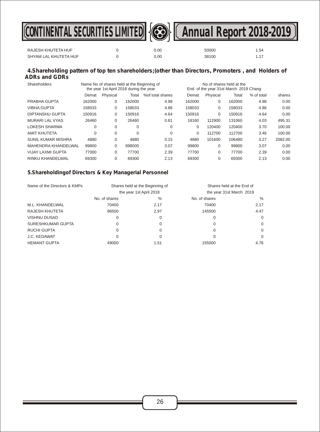

#### **4.Shareholding pattern of top ten shareholders;(other than Directors, Promoters , and Holders of ADRs and GDRs**

CONTINENTAL SECURITIES LIMITED **Annual Report 2018-2019** 

| Shareholders              | Name No of shares held at the Beginning of<br>the year 1st April 2018 during the year |          |        | No of shares held at the<br>End of the year 31st March 2019 Chang |        |          |        |            |         |
|---------------------------|---------------------------------------------------------------------------------------|----------|--------|-------------------------------------------------------------------|--------|----------|--------|------------|---------|
|                           | Demat                                                                                 | Physical | Total  | % of total shares                                                 | Demat  | Physical | Total  | % of total | shares  |
| PRABHA GUPTA              | 162000                                                                                | 0        | 162000 | 4.98                                                              | 162000 | $\Omega$ | 162000 | 4.98       | 0.00    |
| <b>VIBHA GUPTA</b>        | 158033                                                                                | 0        | 158033 | 4.86                                                              | 158033 | 0        | 158033 | 4.86       | 0.00    |
| DIPTANSHU GUPTA           | 150916                                                                                | 0        | 150916 | 4.64                                                              | 150916 | 0        | 150916 | 4.64       | 0.00    |
| MURARI LAL VYAS           | 26460                                                                                 | $\Omega$ | 26460  | 0.81                                                              | 18160  | 112900   | 131060 | 4.03       | 495.31  |
| LOKESH SHARMA             | 0                                                                                     | 0        | 0      | 0                                                                 | 0      | 120400   | 120400 | 3.70       | 100.00  |
| <b>AMIT KHUTETA</b>       | 0                                                                                     | 0        | 0      |                                                                   | 0      | 112700   | 112700 | 3.46       | 100.00  |
| <b>SUNIL KUMAR MISHRA</b> | 4880                                                                                  | $\Omega$ | 4880   | 0.15                                                              | 4880   | 101600   | 106480 | 3.27       | 2082.00 |
| MAHENDRA KHANDELWAL       | 99800                                                                                 | 0        | 998000 | 3.07                                                              | 99800  | 0        | 99800  | 3.07       | 0.00    |
| <b>VIJAY LAXMI GUPTA</b>  | 77000                                                                                 | 0        | 77700  | 2.39                                                              | 77700  | 0        | 77700  | 2.39       | 0.00    |
| RINKU KHANDELWAL          | 69300                                                                                 | $\Omega$ | 69300  | 2.13                                                              | 69300  | 0        | 69300  | 2.13       | 0.00    |

#### **5.Shareholdingof Directors & Key Managerial Personnel**

| Name of the Directors & KMPs |               | Shares held at the Beginning of | Shares held at the End of<br>the year 31st March 2019 |          |  |
|------------------------------|---------------|---------------------------------|-------------------------------------------------------|----------|--|
|                              |               | the year 1st April 2018         |                                                       |          |  |
|                              | No. of shares | %                               | No. of shares                                         | $\%$     |  |
| M.L. KHANDELWAL              | 70400         | 2.17                            | 70400                                                 | 2.17     |  |
| RAJESH KHUTETA               | 96500         | 2.97                            | 145500                                                | 4.47     |  |
| <b>VISHNU DUSAD</b>          | 0             | 0                               | 0                                                     | $\Omega$ |  |
| SURESHKUMAR GUPTA            | 0             | 0                               | 0                                                     | $\Omega$ |  |
| <b>RUCHI GUPTA</b>           | 0             | 0                               | 0                                                     | $\Omega$ |  |
| J.C. KEDAWAT                 | $\Omega$      | 0                               |                                                       | 0        |  |
| <b>HEMANT GUPTA</b>          | 49000         | 1.51                            | 155000                                                | 4.76     |  |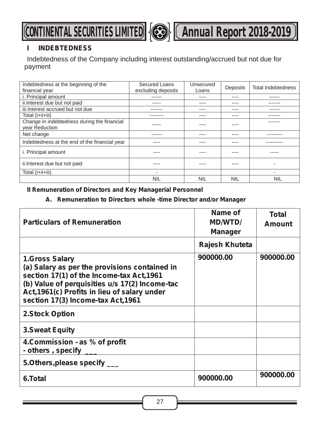**CONTINENTAL SECURITIES LIMITED <b>Annual Report 2018-2019** 

#### **I INDEBTEDNESS**

Indebtedness of the Company including interest outstanding/accrued but not due for payment

| Indebtedness at the beginning of the<br>financial year        | Secured Loans<br>excluding deposits | Unsecured<br>Loans | Deposits   | <b>Total Indebtedness</b> |
|---------------------------------------------------------------|-------------------------------------|--------------------|------------|---------------------------|
| i. Principal amount                                           |                                     |                    | ----       |                           |
| ii. Interest due but not paid                                 |                                     | ----               | ----       |                           |
| iii. Interest accrued but not due                             |                                     |                    | ----       |                           |
| Total (i+ii+iii)                                              |                                     | ----               | ----       |                           |
| Change in indebtedness during the financial<br>year Reduction | -----                               |                    | ----       |                           |
| Net change                                                    |                                     |                    | ----       |                           |
| Indebtedness at the end of the financial year                 | ----                                | ----               | ----       |                           |
| <i>i.</i> Principal amount                                    | ----                                |                    | ----       |                           |
| ii. Interest due but not paid                                 | ----                                |                    | ----       |                           |
| Total (i+ii+iii)                                              | -                                   |                    |            |                           |
|                                                               | NIL                                 | NIL                | <b>NIL</b> | <b>NIL</b>                |

**II Remuneration of Directors and Key Managerial Personnel** 

#### **A. Remuneration to Directors whole -time Director and/or Manager**

| <b>Particulars of Remuneration</b>                                                                                                                                                                                                                          | Name of<br><b>MD/WTD/</b><br><b>Manager</b> | Total<br><b>Amount</b> |
|-------------------------------------------------------------------------------------------------------------------------------------------------------------------------------------------------------------------------------------------------------------|---------------------------------------------|------------------------|
|                                                                                                                                                                                                                                                             | <b>Rajesh Khuteta</b>                       |                        |
| <b>1.Gross Salary</b><br>(a) Salary as per the provisions contained in<br>section 17(1) of the Income-tax Act, 1961<br>(b) Value of perquisities u/s 17(2) Income-tac<br>Act, 1961(c) Profits in lieu of salary under<br>section 17(3) Income-tax Act, 1961 | 900000.00                                   | 900000.00              |
| <b>2.Stock Option</b>                                                                                                                                                                                                                                       |                                             |                        |
| <b>3. Sweat Equity</b>                                                                                                                                                                                                                                      |                                             |                        |
| 4. Commission –as % of profit<br>- others, specify                                                                                                                                                                                                          |                                             |                        |
| 5. Others, please specify ____                                                                                                                                                                                                                              |                                             |                        |
| 6.Total                                                                                                                                                                                                                                                     | 900000.00                                   | 900000.00              |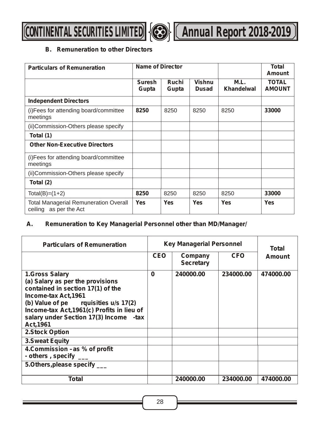



#### **B. Remuneration to other Directors**

| <b>Particulars of Remuneration</b>                                     | <b>Name of Director</b> |                |                               |                           | Total<br>Amount               |
|------------------------------------------------------------------------|-------------------------|----------------|-------------------------------|---------------------------|-------------------------------|
|                                                                        | <b>Suresh</b><br>Gupta  | Ruchi<br>Gupta | <b>Vishnu</b><br><b>Dusad</b> | M.L.<br><b>Khandelwal</b> | <b>TOTAL</b><br><b>AMOUNT</b> |
| <b>Independent Directors</b>                                           |                         |                |                               |                           |                               |
| (i) Fees for attending board/committee<br>meetings                     | 8250                    | 8250           | 8250                          | 8250                      | 33000                         |
| (ii) Commission-Others please specify                                  |                         |                |                               |                           |                               |
| Total (1)                                                              |                         |                |                               |                           |                               |
| <b>Other Non-Executive Directors</b>                                   |                         |                |                               |                           |                               |
| (i) Fees for attending board/committee<br>meetings                     |                         |                |                               |                           |                               |
| (ii)Commission-Others please specify                                   |                         |                |                               |                           |                               |
| Total (2)                                                              |                         |                |                               |                           |                               |
| $Total(B)=(1+2)$                                                       | 8250                    | 8250           | 8250                          | 8250                      | 33000                         |
| <b>Total Managerial Remuneration Overall</b><br>ceiling as per the Act | <b>Yes</b>              | <b>Yes</b>     | <b>Yes</b>                    | <b>Yes</b>                | <b>Yes</b>                    |

#### **A. Remuneration to Key Managerial Personnel other than MD/Manager/**

| <b>Particulars of Remuneration</b>                                                                                                                                                                                                                                  | <b>Key Managerial Personnel</b> | Total                       |            |               |
|---------------------------------------------------------------------------------------------------------------------------------------------------------------------------------------------------------------------------------------------------------------------|---------------------------------|-----------------------------|------------|---------------|
|                                                                                                                                                                                                                                                                     | <b>CEO</b>                      | Company<br><b>Secretary</b> | <b>CFO</b> | <b>Amount</b> |
| <b>1.Gross Salary</b><br>(a) Salary as per the provisions<br>contained in section 17(1) of the<br>Income-tax Act, 1961<br>(b) Value of pe rquisities u/s 17(2)<br>Income-tax Act, 1961(c) Profits in lieu of<br>salary under Section 17(3) Income -tax<br>Act, 1961 | $\bf{0}$                        | 240000.00                   | 234000.00  | 474000.00     |
| <b>2.Stock Option</b>                                                                                                                                                                                                                                               |                                 |                             |            |               |
| <b>3. Sweat Equity</b>                                                                                                                                                                                                                                              |                                 |                             |            |               |
| 4. Commission -as % of profit<br>- others, specify                                                                                                                                                                                                                  |                                 |                             |            |               |
| 5. Others, please specify                                                                                                                                                                                                                                           |                                 |                             |            |               |
| Total                                                                                                                                                                                                                                                               |                                 | 240000.00                   | 234000.00  | 474000.00     |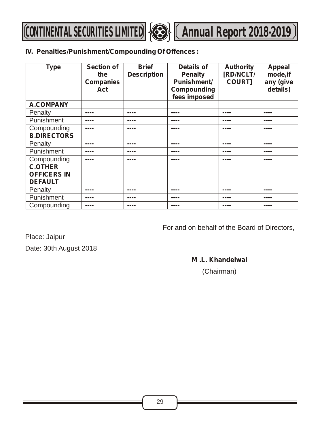#### **IV. Penalties/Punishment/Compounding Of Offences :**

| <b>Type</b>        | <b>Section of</b><br>the<br><b>Companies</b><br>Act | <b>Brief</b><br><b>Description</b> | Details of<br><b>Penalty</b><br>Punishment/<br>Compounding<br>fees imposed | <b>Authority</b><br>[RD/NCLT/<br><b>COURTI</b> | <b>Appeal</b><br>mode, if<br>any (give<br>details) |
|--------------------|-----------------------------------------------------|------------------------------------|----------------------------------------------------------------------------|------------------------------------------------|----------------------------------------------------|
| <b>A.COMPANY</b>   |                                                     |                                    |                                                                            |                                                |                                                    |
| Penalty            | ----                                                | ----                               | ----                                                                       | ----                                           | ----                                               |
| Punishment         | ----                                                | -----                              | ----                                                                       | ----                                           | ----                                               |
| Compounding        | ----                                                | -----                              | ----                                                                       | ----                                           | ----                                               |
| <b>B.DIRECTORS</b> |                                                     |                                    |                                                                            |                                                |                                                    |
| Penalty            | ----                                                | ----                               | ----                                                                       | ----                                           | ----                                               |
| Punishment         | ----                                                | ----                               | ----                                                                       | ----                                           | ----                                               |
| Compounding        | ----                                                | ----                               | ----                                                                       | ----                                           | ----                                               |
| <b>C.OTHER</b>     |                                                     |                                    |                                                                            |                                                |                                                    |
| <b>OFFICERS IN</b> |                                                     |                                    |                                                                            |                                                |                                                    |
| <b>DEFAULT</b>     |                                                     |                                    |                                                                            |                                                |                                                    |
| Penalty            | ----                                                | -----                              | ----                                                                       | ----                                           | ----                                               |
| Punishment         | ----                                                | -----                              | ----                                                                       | ----                                           | ----                                               |
| Compounding        | ----                                                | ----                               | ----                                                                       | ----                                           | ----                                               |

For and on behalf of the Board of Directors,

Place: Jaipur Date: 30th August 2018

#### **M .L. Khandelwal**

(Chairman)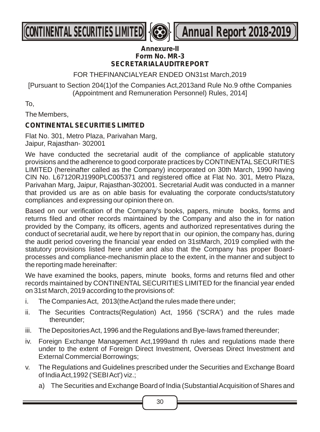

#### **Annexure-II Form No. MR-3 SECRETARIALAUDITREPORT**

#### FOR THEFINANCIALYEAR ENDED ON31st March,2019

[Pursuant to Section 204(1)of the Companies Act,2013and Rule No.9 ofthe Companies (Appointment and Remuneration Personnel) Rules, 2014]

To,

The Members,

#### **CONTINENTALSECURITIES LIMITED**

Flat No. 301, Metro Plaza, Parivahan Marg, Jaipur, Rajasthan- 302001

We have conducted the secretarial audit of the compliance of applicable statutory provisions and the adherence to good corporate practices by CONTINENTALSECURITIES LIMITED (hereinafter called as the Company) incorporated on 30th March, 1990 having CIN No. L67120RJ1990PLC005371 and registered office at Flat No. 301, Metro Plaza, Parivahan Marg, Jaipur, Rajasthan-302001. Secretarial Audit was conducted in a manner that provided us are as on able basis for evaluating the corporate conducts/statutory compliances and expressing our opinion there on.

Based on our verification of the Company's books, papers, minute books, forms and returns filed and other records maintained by the Company and also the in for nation provided by the Company, its officers, agents and authorized representatives during the conduct of secretarial audit, we here by report that in our opinion, the company has, during the audit period covering the financial year ended on 31stMarch, 2019 complied with the statutory provisions listed here under and also that the Company has proper Boardprocesses and compliance-mechanismin place to the extent, in the manner and subject to the reporting made hereinafter:

We have examined the books, papers, minute books, forms and returns filed and other records maintained by CONTINENTAL SECURITIES LIMITED for the financial year ended on 31st March, 2019 according to the provisions of:

- i. The Companies Act, 2013(the Act)and the rules made there under;
- ii. The Securities Contracts(Regulation) Act, 1956 ('SCRA') and the rules made thereunder;
- iii. The Depositories Act, 1996 and the Regulations and Bye-laws framed thereunder;
- iv. Foreign Exchange Management Act,1999and th rules and regulations made there under to the extent of Foreign Direct Investment, Overseas Direct Investment and External Commercial Borrowings;
- v. The Regulations and Guidelines prescribed under the Securities and Exchange Board of India Act,1992 ('SEBI Act') viz.;
	- a) The Securities and Exchange Board of India (Substantial Acquisition of Shares and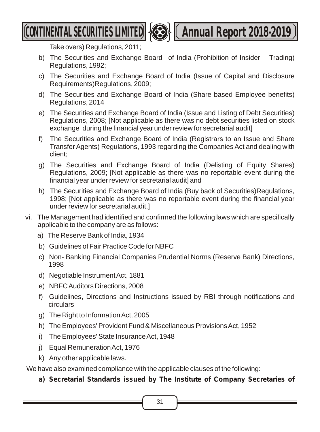



Take overs) Regulations, 2011;

- b) The Securities and Exchange Board of India (Prohibition of Insider Trading) Regulations, 1992;
- c) The Securities and Exchange Board of India (Issue of Capital and Disclosure Requirements)Regulations, 2009;
- d) The Securities and Exchange Board of India (Share based Employee benefits) Regulations, 2014
- e) The Securities and Exchange Board of India (Issue and Listing of Debt Securities) Regulations, 2008; [Not applicable as there was no debt securities listed on stock exchange during the financial year under review for secretarial audit]
- f) The Securities and Exchange Board of India (Registrars to an Issue and Share Transfer Agents) Regulations, 1993 regarding the Companies Act and dealing with client;
- g) The Securities and Exchange Board of India (Delisting of Equity Shares) Regulations, 2009; [Not applicable as there was no reportable event during the financial year under review for secretarial auditl and
- h) The Securities and Exchange Board of India (Buy back of Securities)Regulations, 1998; [Not applicable as there was no reportable event during the financial year under review for secretarial audit.]
- vi. The Management had identified and confirmed the following laws which are specifically applicable to the company are as follows:
	- a) The Reserve Bank of India, 1934
	- b) Guidelines of Fair Practice Code for NBFC
	- c) Non- Banking Financial Companies Prudential Norms (Reserve Bank) Directions, 1998
	- d) Negotiable Instrument Act, 1881
	- e) NBFC Auditors Directions, 2008
	- f) Guidelines, Directions and Instructions issued by RBI through notifications and circulars
	- g) The Right to Information Act, 2005
	- h) The Employees' Provident Fund & Miscellaneous Provisions Act, 1952
	- i) The Employees' State Insurance Act, 1948
	- j) Equal Remuneration Act, 1976
	- k) Any other applicable laws.

We have also examined compliance with the applicable clauses of the following:

**a) Secretarial Standards issued by The Institute of Company Secretaries of**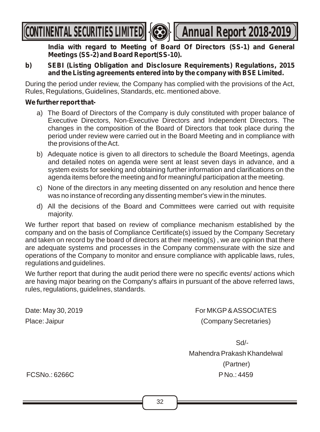**CONTINENTAL SECURITIES LIMITED | <b>43** (Annual Report 2018-2019

**India with regard to Meeting of Board Of Directors (SS-1) and General Meetings (SS-2) and Board Report(SS-10).**

**b) SEBI (Listing Obligation and Disclosure Requirements) Regulations, 2015 and the Listing agreements entered into by the company with BSE Limited.**

During the period under review, the Company has complied with the provisions of the Act, Rules, Regulations, Guidelines, Standards, etc. mentioned above.

#### **We further report that-**

- a) The Board of Directors of the Company is duly constituted with proper balance of Executive Directors, Non-Executive Directors and Independent Directors. The changes in the composition of the Board of Directors that took place during the period under review were carried out in the Board Meeting and in compliance with the provisions of the Act.
- b) Adequate notice is given to all directors to schedule the Board Meetings, agenda and detailed notes on agenda were sent at least seven days in advance, and a system exists for seeking and obtaining further information and clarifications on the agenda items before the meeting and for meaningful participation at the meeting.
- c) None of the directors in any meeting dissented on any resolution and hence there was no instance of recording any dissenting member's view in the minutes.
- d) All the decisions of the Board and Committees were carried out with requisite majority.

We further report that based on review of compliance mechanism established by the company and on the basis of Compliance Certificate(s) issued by the Company Secretary and taken on record by the board of directors at their meeting(s), we are opinion that there are adequate systems and processes in the Company commensurate with the size and operations of the Company to monitor and ensure compliance with applicable laws, rules, regulations and guidelines.

We further report that during the audit period there were no specific events/ actions which are having major bearing on the Company's affairs in pursuant of the above referred laws, rules, regulations, guidelines, standards.

Date: May 30, 2019 **For MKGP & ASSOCIATES** Place: Jaipur (Company Secretaries)

Sd/- Mahendra Prakash Khandelwal (Partner) FCSNo.: 6266C P No.: 4459

32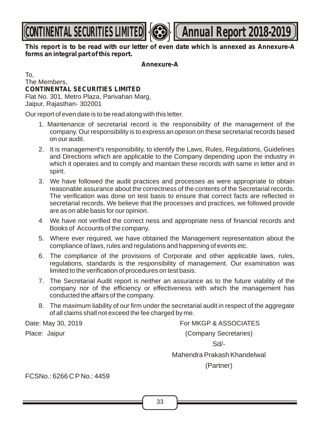



**This report is to be read with our letter of even date which is annexed as Annexure-A forms an integral part of this report.**

**Annexure-A**

To, The Members, **CONTINENTAL SECURITIES LIMITED** Flat No. 301, Metro Plaza, Parivahan Marg, Jaipur, Rajasthan- 302001

Our report of even date is to be read along with this letter.

- 1. Maintenance of secretarial record is the responsibility of the management of the company. Our responsibility is to express an opinion on these secretarial records based on our audit.
- 2. It is management's responsibility, to identify the Laws, Rules, Regulations, Guidelines and Directions which are applicable to the Company depending upon the industry in which it operates and to comply and maintain these records with same in letter and in spirit.
- 3. We have followed the audit practices and processes as were appropriate to obtain reasonable assurance about the correctness of the contents of the Secretarial records. The verification was done on test basis to ensure that correct facts are reflected in secretarial records. We believe that the processes and practices, we followed provide are as on able basis for our opinion.
- 4 We have not verified the correct ness and appropriate ness of financial records and Books of Accounts of the company.
- 5. Where ever required, we have obtained the Management representation about the compliance of laws, rules and regulations and happening of events etc.
- 6. The compliance of the provisions of Corporate and other applicable laws, rules, regulations, standards is the responsibility of management. Our examination was limited to the verification of procedures on test basis.
- 7. The Secretarial Audit report is neither an assurance as to the future viability of the company nor of the efficiency or effectiveness with which the management has conducted the affairs of the company.
- 8. The maximum liability of our firm under the secretarial audit in respect of the aggregate of all claims shall not exceed the fee charged by me.

Date: May 30, 2019 **For MKGP & ASSOCIATES** 

Place: Jaipur (Company Secretaries)

Sd/-

Mahendra Prakash Khandelwal

(Partner)

FCSNo.: 6266 C P No.: 4459

33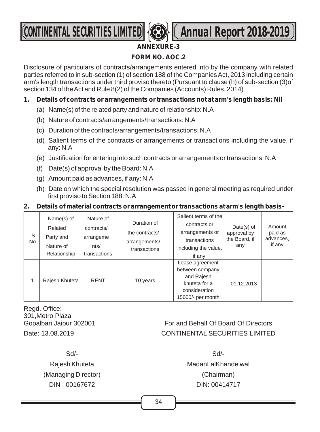

#### **ANNEXURE-3**

## **FORM NO. AOC.2**

Disclosure of particulars of contracts/arrangements entered into by the company with related parties referred to in sub-section (1) of section 188 of the Companies Act, 2013 including certain arm's length transactions under third proviso thereto (Pursuant to clause (h) of sub-section (3)of section 134 of the Act and Rule 8(2) of the Companies (Accounts) Rules, 2014)

#### **1. Details of contracts or arrangements or transactions not at arm's length basis: Nil**

- (a) Name(s) of the related party and nature of relationship: N.A
- (b) Nature of contracts/arrangements/transactions: N.A
- (c) Duration of the contracts/arrangements/transactions: N.A
- (d) Salient terms of the contracts or arrangements or transactions including the value, if any: N.A
- (e) Justification for entering into such contracts or arrangements or transactions: N.A
- (f) Date(s) of approval by the Board: N.A
- (g) Amount paid as advances, if any: N.A
- (h) Date on which the special resolution was passed in general meeting as required under first proviso to Section 188: N.A

#### **2. Details of material contracts or arrangement or transactions at arm's length basis-**

| S<br>No. | Name(s) of<br>Related<br>Party and<br>Nature of<br>Relationship | Nature of<br>contracts/<br>arrangeme<br>nts/<br>transactions | Duration of<br>the contracts/<br>arrangements/<br>transactions | Salient terms of the<br>contracts or<br>arrangements or<br>transactions<br>including the value.<br>if any: | Date $(s)$ of<br>approval by<br>the Board, if<br>any | Amount<br>paid as<br>advances,<br>if any |
|----------|-----------------------------------------------------------------|--------------------------------------------------------------|----------------------------------------------------------------|------------------------------------------------------------------------------------------------------------|------------------------------------------------------|------------------------------------------|
| 1.       | Rajesh Khuteta                                                  | <b>RENT</b>                                                  | 10 years                                                       | Lease agreement<br>between company<br>and Rajesh<br>khuteta for a<br>consideration<br>15000/- per month    | 01.12.2013                                           |                                          |

Regd. Office: 301,Metro Plaza

Gopalbari,Jaipur 302001 For and Behalf Of Board Of Directors Date: 13.08.2019 CONTINENTAL SECURITIES LIMITED

Sd/- Sd/- (Managing Director) (Chairman)

Rajesh Khuteta MadanLalKhandelwal DIN : 00167672 DIN: 00414717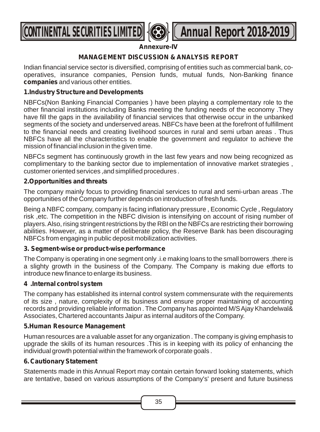



**Annexure-IV**

## **MANAGEMENT DISCUSSION & ANALYSIS REPORT**

Indian financial service sector is diversified, comprising of entities such as commercial bank, cooperatives, insurance companies, Pension funds, mutual funds, Non-Banking finance **companies** and various other entities.

## **1.Industry Structure and Developments**

NBFCs(Non Banking Financial Companies ) have been playing a complementary role to the other financial institutions including Banks meeting the funding needs of the economy .They have fill the gaps in the availability of financial services that otherwise occur in the unbanked segments of the society and underserved areas. NBFCs have been at the forefront of fulfillment to the financial needs and creating livelihood sources in rural and semi urban areas . Thus NBFCs have all the characteristics to enable the government and regulator to achieve the mission of financial inclusion in the given time.

NBFCs segment has continuously growth in the last few years and now being recognized as complimentary to the banking sector due to implementation of innovative market strategies , customer oriented services ,and simplified procedures .

## **2.Opportunities and threats**

The company mainly focus to providing financial services to rural and semi-urban areas .The opportunities of the Company further depends on introduction of fresh funds.

Being a NBFC company, company is facing inflationary pressure , Economic Cycle , Regulatory risk ,etc. The competition in the NBFC division is intensifying on account of rising number of players. Also, rising stringent restrictions by the RBI on the NBFCs are restricting their borrowing abilities. However, as a matter of deliberate policy, the Reserve Bank has been discouraging NBFCs from engaging in public deposit mobilization activities.

## **3. Segment-wise or product-wise performance**

The Company is operating in one segment only .i.e making loans to the small borrowers .there is a slighty growth in the business of the Company. The Company is making due efforts to introduce new finance to enlarge its business.

## **4 .Internal control system**

The company has established its internal control system commensurate with the requirements of its size , nature, complexity of its business and ensure proper maintaining of accounting records and providing reliable information . The Company has appointed M/S Ajay Khandelwal& Associates, Chartered accountants Jaipur as internal auditors of the Company.

#### **5.Human Resource Management**

Human resources are a valuable asset for any organization . The company is giving emphasis to upgrade the skills of its human resources .This is in keeping with its policy of enhancing the individual growth potential within the framework of corporate goals .

#### **6. Cautionary Statement**

Statements made in this Annual Report may contain certain forward looking statements, which are tentative, based on various assumptions of the Company's' present and future business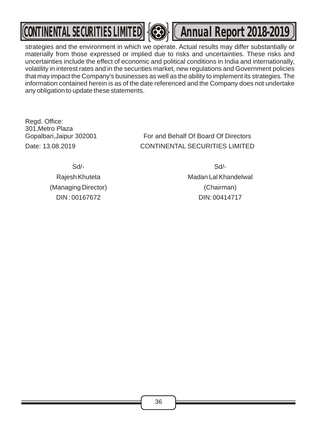## CONTINENTAL SECURITIES LIMITED **(CD)** (Annual Report 2018-2019



strategies and the environment in which we operate. Actual results may differ substantially or materially from those expressed or implied due to risks and uncertainties. These risks and uncertainties include the effect of economic and political conditions in India and internationally, volatility in interest rates and in the securities market, new regulations and Government policies that may impact the Company's businesses as well as the ability to implement its strategies. The information contained herein is as of the date referenced and the Company does not undertake any obligation to update these statements.

Regd. Office: 301,Metro Plaza

Gopalbari,Jaipur 302001 For and Behalf Of Board Of Directors Date: 13.08.2019 CONTINENTAL SECURITIES LIMITED

(Managing Director) (Chairman)

Sd/- Sd/- Rajesh Khuteta **Madan Lal Khandelwal** DIN : 00167672 DIN: 00414717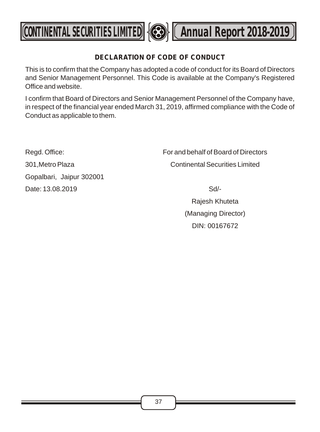

## **DECLARATION OF CODE OF CONDUCT**

This is to confirm that the Company has adopted a code of conduct for its Board of Directors and Senior Management Personnel. This Code is available at the Company's Registered Office and website.

I confirm that Board of Directors and Senior Management Personnel of the Company have, in respect of the financial year ended March 31, 2019, affirmed compliance with the Code of Conduct as applicable to them.

Gopalbari, Jaipur 302001 Date: 13.08.2019 Sd/-

Regd. Office: For and behalf of Board of Directors 301,Metro Plaza Continental Securities Limited

Rajesh Khuteta (Managing Director) DIN: 00167672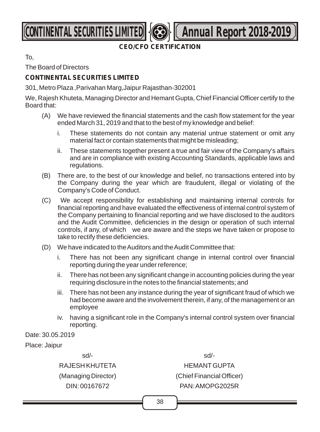**CEO/CFO CERTIFICATION**

**CONTINENTAL SECURITIES LIMITED | <b>433** (Annual Report 2018-2019)

To,

The Board of Directors

## **CONTINENTALSECURITIES LIMITED**

301, Metro Plaza ,Parivahan Marg,Jaipur Rajasthan-302001

We, Rajesh Khuteta, Managing Director and Hemant Gupta, Chief Financial Officer certify to the Board that:

- (A) We have reviewed the financial statements and the cash flow statement for the year ended March 31, 2019 and that to the best of my knowledge and belief:
	- i. These statements do not contain any material untrue statement or omit any material fact or contain statements that might be misleading;
	- ii. These statements together present a true and fair view of the Company's affairs and are in compliance with existing Accounting Standards, applicable laws and regulations.
- (B) There are, to the best of our knowledge and belief, no transactions entered into by the Company during the year which are fraudulent, illegal or violating of the Company's Code of Conduct.
- (C) We accept responsibility for establishing and maintaining internal controls for financial reporting and have evaluated the effectiveness of internal control system of the Company pertaining to financial reporting and we have disclosed to the auditors and the Audit Committee, deficiencies in the design or operation of such internal controls, if any, of which we are aware and the steps we have taken or propose to take to rectify these deficiencies.
- (D) We have indicated to the Auditors and the Audit Committee that:
	- i. There has not been any significant change in internal control over financial reporting during the year under reference;
	- ii. There has not been any significant change in accounting policies during the year requiring disclosure in the notes to the financial statements; and
	- iii. There has not been any instance during the year of significant fraud of which we had become aware and the involvement therein, if any, of the management or an employee
	- iv. having a significant role in the Company's internal control system over financial reporting.

Date: 30.05.2019

Place: Jaipur

sd/- sd/- RAJESH KHUTETA HEMANT GUPTA (Managing Director) (Chief Financial Officer) DIN: 00167672 PAN: AMOPG2025R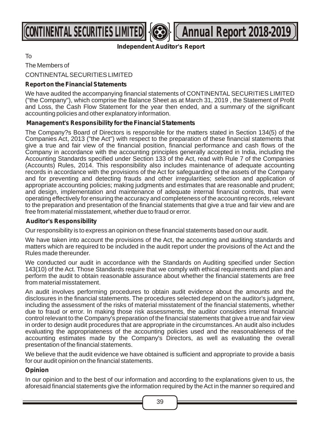**Independent Auditor's Report**

**CONTINENTAL SECURITIES LIMITED <b>A** Annual Report 2018-2019

#### To

The Members of

## CONTINENTALSECURITIES LIMITED

#### **Report on the Financial Statements**

We have audited the accompanying financial statements of CONTINENTAL SECURITIES LIMITED ("the Company"), which comprise the Balance Sheet as at March 31, 2019 , the Statement of Profit and Loss, the Cash Flow Statement for the year then ended, and a summary of the significant accounting policies and other explanatory information.

#### **Management's Responsibility for the Financial Statements**

The Company?s Board of Directors is responsible for the matters stated in Section 134(5) of the Companies Act, 2013 ("the Act") with respect to the preparation of these financial statements that give a true and fair view of the financial position, financial performance and cash flows of the Company in accordance with the accounting principles generally accepted in India, including the Accounting Standards specified under Section 133 of the Act, read with Rule 7 of the Companies (Accounts) Rules, 2014. This responsibility also includes maintenance of adequate accounting records in accordance with the provisions of the Act for safeguarding of the assets of the Company and for preventing and detecting frauds and other irregularities; selection and application of appropriate accounting policies; making judgments and estimates that are reasonable and prudent; and design, implementation and maintenance of adequate internal financial controls, that were operating effectively for ensuring the accuracy and completeness of the accounting records, relevant to the preparation and presentation of the financial statements that give a true and fair view and are free from material misstatement, whether due to fraud or error.

#### **Auditor's Responsibility**

Our responsibility is to express an opinion on these financial statements based on our audit.

We have taken into account the provisions of the Act, the accounting and auditing standards and matters which are required to be included in the audit report under the provisions of the Act and the Rules made thereunder.

We conducted our audit in accordance with the Standards on Auditing specified under Section 143(10) of the Act. Those Standards require that we comply with ethical requirements and plan and perform the audit to obtain reasonable assurance about whether the financial statements are free from material misstatement.

An audit involves performing procedures to obtain audit evidence about the amounts and the disclosures in the financial statements. The procedures selected depend on the auditor's judgment, including the assessment of the risks of material misstatement of the financial statements, whether due to fraud or error. In making those risk assessments, the auditor considers internal financial control relevant to the Company's preparation of the financial statements that give a true and fair view in order to design audit procedures that are appropriate in the circumstances. An audit also includes evaluating the appropriateness of the accounting policies used and the reasonableness of the accounting estimates made by the Company's Directors, as well as evaluating the overall presentation of the financial statements.

We believe that the audit evidence we have obtained is sufficient and appropriate to provide a basis for our audit opinion on the financial statements.

#### **Opinion**

In our opinion and to the best of our information and according to the explanations given to us, the aforesaid financial statements give the information required by the Act in the manner so required and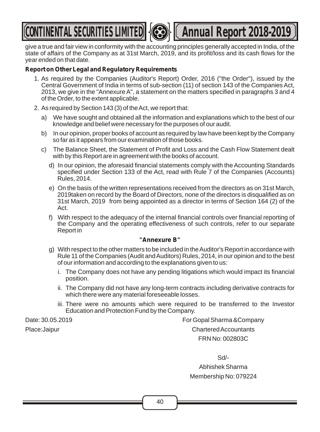CONTINENTAL SECURITIES LIMITED **Annual Report 2018-2019** give a true and fair view in conformity with the accounting principles generally accepted in India, of the state of affairs of the Company as at 31st March, 2019, and its profit/loss and its cash flows for the year ended on that date.

#### **Report on Other Legal and Regulatory Requirements**

- 1. As required by the Companies (Auditor's Report) Order, 2016 ("the Order"), issued by the Central Government of India in terms of sub-section (11) of section 143 of the Companies Act, 2013, we give in the "Annexure A", a statement on the matters specified in paragraphs 3 and 4 of the Order, to the extent applicable.
- 2. As required by Section 143 (3) of the Act, we report that:
	- a) We have sought and obtained all the information and explanations which to the best of our knowledge and belief were necessary for the purposes of our audit.
	- b) In our opinion, proper books of account as required by law have been kept by the Company so far as it appears from our examination of those books.
	- c) The Balance Sheet, the Statement of Profit and Loss and the Cash Flow Statement dealt with by this Report are in agreement with the books of account.
		- d) In our opinion, the aforesaid financial statements comply with the Accounting Standards specified under Section 133 of the Act, read with Rule 7 of the Companies (Accounts) Rules, 2014.
		- e) On the basis of the written representations received from the directors as on 31st March, 2019taken on record by the Board of Directors, none of the directors is disqualified as on 31st March, 2019 from being appointed as a director in terms of Section 164 (2) of the Act.
		- f) With respect to the adequacy of the internal financial controls over financial reporting of the Company and the operating effectiveness of such controls, refer to our separate Report in

#### **"Annexure B"**

- g) With respect to the other matters to be included in the Auditor's Report in accordance with Rule 11 of the Companies (Audit and Auditors) Rules, 2014, in our opinion and to the best of our information and according to the explanations given to us:
	- i. The Company does not have any pending litigations which would impact its financial position.
	- ii. The Company did not have any long-term contracts including derivative contracts for which there were any material foreseeable losses.
	- iii. There were no amounts which were required to be transferred to the Investor Education and Protection Fund by the Company.

Date: 30.05.2019 For Gopal Sharma &Company Place:Jaipur Chartered Accountants FRN No: 002803C

Sd/-

Abhishek Sharma Membership No: 079224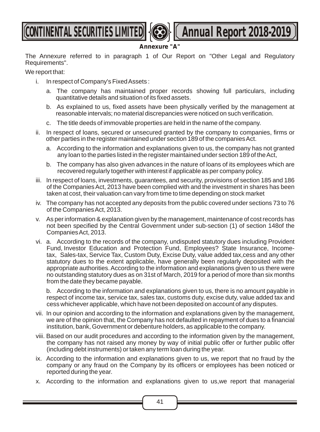



#### **Annexure "A"**

The Annexure referred to in paragraph 1 of Our Report on "Other Legal and Regulatory Requirements".

We report that:

- i. In respect of Company's Fixed Assets :
	- a. The company has maintained proper records showing full particulars, including quantitative details and situation of its fixed assets.
	- b. As explained to us, fixed assets have been physically verified by the management at reasonable intervals; no material discrepancies were noticed on such verification.
	- c. The title deeds of immovable properties are held in the name of the company.
- ii. In respect of loans, secured or unsecured granted by the company to companies, firms or other parties in the register maintained under section 189 of the companies Act.
	- a. According to the information and explanations given to us, the company has not granted any loan to the parties listed in the register maintained under section 189 of the Act,
	- b. The company has also given advances in the nature of loans of its employees which are recovered regularly together with interest if applicable as per company policy.
- iii. In respect of loans, investments, guarantees, and security, provisions of section 185 and 186 of the Companies Act, 2013 have been complied with and the investment in shares has been taken at cost, their valuation can vary from time to time depending on stock market
- iv. The company has not accepted any deposits from the public covered under sections 73 to 76 of the Companies Act, 2013.
- v. As per information & explanation given by the management, maintenance of cost records has not been specified by the Central Government under sub-section (1) of section 148of the Companies Act, 2013.
- vi. a. According to the records of the company, undisputed statutory dues including Provident Fund, Investor Education and Protection Fund, Employees? State Insurance, Incometax, Sales-tax, Service Tax, Custom Duty, Excise Duty, value added tax,cess and any other statutory dues to the extent applicable, have generally been regularly deposited with the appropriate authorities. According to the information and explanations given to us there were no outstanding statutory dues as on 31st of March, 2019 for a period of more than six months from the date they became payable.

b. According to the information and explanations given to us, there is no amount payable in respect of income tax, service tax, sales tax, customs duty, excise duty, value added tax and cess whichever applicable, which have not been deposited on account of any disputes.

- vii. In our opinion and according to the information and explanations given by the management, we are of the opinion that, the Company has not defaulted in repayment of dues to a financial institution, bank, Government or debenture holders, as applicable to the company.
- viii. Based on our audit procedures and according to the information given by the management, the company has not raised any money by way of initial public offer or further public offer (including debt instruments) or taken any term loan during the year.
- ix. According to the information and explanations given to us, we report that no fraud by the company or any fraud on the Company by its officers or employees has been noticed or reported during the year.
- x. According to the information and explanations given to us,we report that managerial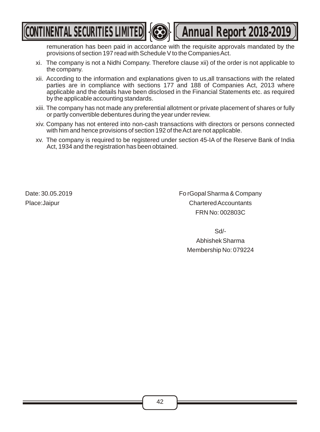remuneration has been paid in accordance with the requisite approvals mandated by the provisions of section 197 read with Schedule V to the Companies Act.

xi. The company is not a Nidhi Company. Therefore clause xii) of the order is not applicable to the company.

**CONTINENTAL SECURITIES LIMITED <b>COO** (Annual Report 2018-2019

- xii. According to the information and explanations given to us,all transactions with the related parties are in compliance with sections 177 and 188 of Companies Act, 2013 where applicable and the details have been disclosed in the Financial Statements etc. as required by the applicable accounting standards.
- xiii. The company has not made any preferential allotment or private placement of shares or fully or partly convertible debentures during the year under review.
- xiv. Company has not entered into non-cash transactions with directors or persons connected with him and hence provisions of section 192 of the Act are not applicable.
- xv. The company is required to be registered under section 45-IA of the Reserve Bank of India Act, 1934 and the registration has been obtained.

Date: 30.05.2019 Fo rGopal Sharma & Company Place:Jaipur Chartered Accountants FRN No: 002803C

Sd/-

Abhishek Sharma Membership No: 079224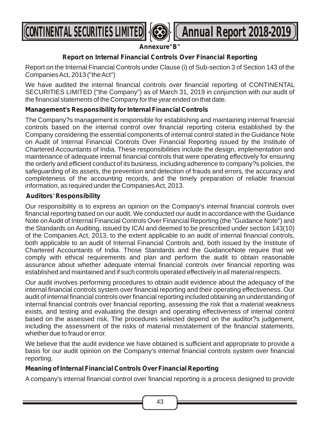



**Annexure"B"**

## **Report on Internal Financial Controls Over Financial Reporting**

Report on the Internal Financial Controls under Clause (i) of Sub-section 3 of Section 143 of the Companies Act, 2013 ("the Act")

We have audited the internal financial controls over financial reporting of CONTINENTAL SECURITIES LIMITED ("the Company") as of March 31, 2019 in conjunction with our audit of the financial statements of the Company for the year ended on that date.

## **Management's Responsibility for Internal Financial Controls**

The Company?s management is responsible for establishing and maintaining internal financial controls based on the internal control over financial reporting criteria established by the Company considering the essential components of internal control stated in the Guidance Note on Audit of Internal Financial Controls Over Financial Reporting issued by the Institute of Chartered Accountants of India. These responsibilities include the design, implementation and maintenance of adequate internal financial controls that were operating effectively for ensuring the orderly and efficient conduct of its business, including adherence to company?s policies, the safeguarding of its assets, the prevention and detection of frauds and errors, the accuracy and completeness of the accounting records, and the timely preparation of reliable financial information, as required under the Companies Act, 2013.

#### **Auditors' Responsibility**

Our responsibility is to express an opinion on the Company's internal financial controls over financial reporting based on our audit. We conducted our audit in accordance with the Guidance Note on Audit of Internal Financial Controls Over Financial Reporting (the "Guidance Note") and the Standards on Auditing, issued by ICAI and deemed to be prescribed under section 143(10) of the Companies Act, 2013, to the extent applicable to an audit of internal financial controls, both applicable to an audit of Internal Financial Controls and, both issued by the Institute of Chartered Accountants of India. Those Standards and the GuidanceNote require that we comply with ethical requirements and plan and perform the audit to obtain reasonable assurance about whether adequate internal financial controls over financial reporting was established and maintained and if such controls operated effectively in all material respects.

Our audit involves performing procedures to obtain audit evidence about the adequacy of the internal financial controls system over financial reporting and their operating effectiveness. Our audit of internal financial controls over financial reporting included obtaining an understanding of internal financial controls over financial reporting, assessing the risk that a material weakness exists, and testing and evaluating the design and operating effectiveness of internal control based on the assessed risk. The procedures selected depend on the auditor?s judgement, including the assessment of the risks of material misstatement of the financial statements, whether due to fraud or error.

We believe that the audit evidence we have obtained is sufficient and appropriate to provide a basis for our audit opinion on the Company's internal financial controls system over financial reporting.

## **Meaning of Internal Financial Controls Over Financial Reporting**

A company's internal financial control over financial reporting is a process designed to provide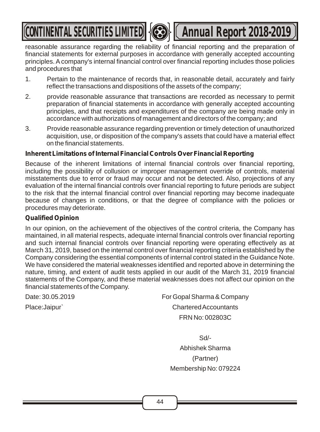**CONTINENTAL SECURITIES LIMITED <b>Annual Report 2018-2019** reasonable assurance regarding the reliability of financial reporting and the preparation of financial statements for external purposes in accordance with generally accepted accounting principles. Acompany's internal financial control over financial reporting includes those policies and procedures that

- 1. Pertain to the maintenance of records that, in reasonable detail, accurately and fairly reflect the transactions and dispositions of the assets of the company;
- 2. provide reasonable assurance that transactions are recorded as necessary to permit preparation of financial statements in accordance with generally accepted accounting principles, and that receipts and expenditures of the company are being made only in accordance with authorizations of management and directors of the company; and
- 3. Provide reasonable assurance regarding prevention or timely detection of unauthorized acquisition, use, or disposition of the company's assets that could have a material effect on the financial statements.

#### **Inherent Limitations of Internal Financial Controls Over Financial Reporting**

Because of the inherent limitations of internal financial controls over financial reporting, including the possibility of collusion or improper management override of controls, material misstatements due to error or fraud may occur and not be detected. Also, projections of any evaluation of the internal financial controls over financial reporting to future periods are subject to the risk that the internal financial control over financial reporting may become inadequate because of changes in conditions, or that the degree of compliance with the policies or procedures may deteriorate.

#### **Qualified Opinion**

In our opinion, on the achievement of the objectives of the control criteria, the Company has maintained, in all material respects, adequate internal financial controls over financial reporting and such internal financial controls over financial reporting were operating effectively as at March 31, 2019, based on the internal control over financial reporting criteria established by the Company considering the essential components of internal control stated in the Guidance Note. We have considered the material weaknesses identified and reported above in determining the nature, timing, and extent of audit tests applied in our audit of the March 31, 2019 financial statements of the Company, and these material weaknesses does not affect our opinion on the financial statements of the Company.

Date: 30.05.2019 **For Gopal Sharma & Company** Place:Jaipur` Chartered Accountants FRN No: 002803C

> Sd/- Abhishek Sharma (Partner) Membership No: 079224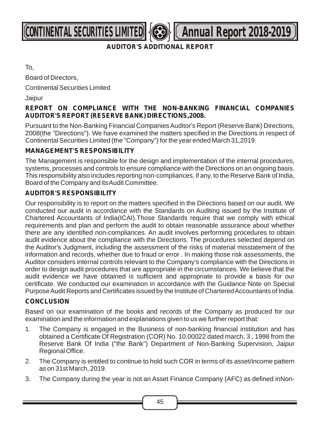**AUDITOR'S ADDITIONAL REPORT**

**CONTINENTAL SECURITIES LIMITED <b>Annual Report 2018-2019** 

To,

Board of Directors,

Continental Securities Limited

Jaipur

#### **REPORT ON COMPLIANCE WITH THE NON-BANKING FINANCIAL COMPANIES AUDITOR'S REPORT (RESERVE BANK) DIRECTIONS,2008.**

Pursuant to the Non-Banking Financial Companies Auditor's Report (Reserve Bank) Directions, 2008(the "Directions"). We have examined the matters specified in the Directions in respect of Continental Securities Limited (the "Company") for the year ended March 31,2019.

## **MANAGEMENT'S RESPONSIBILITY**

The Management is responsible for the design and implementation of the internal procedures, systems, processes and controls to ensure compliance with the Directions on an ongoing basis. This responsibility also includes reporting non-compliances, if any, to the Reserve Bank of India, Board of the Company and its Audit Committee.

#### **AUDITOR'S RESPONSIBILITY**

Our responsibility is to report on the matters specified in the Directions based on our audit. We conducted our audit in accordance with the Standards on Auditing issued by the Institute of Chartered Accountants of India(ICAI).Those Standards require that we comply with ethical requirements and plan and perform the audit to obtain reasonable assurance about whether there are any identified non-compliances. An audit involves performing procedures to obtain audit evidence about the compliance with the Directions. The procedures selected depend on the Auditor's Judgment, including the assessment of the risks of material misstatement of the information and records, whether due to fraud or error . In making those risk assessments, the Auditor considers internal controls relevant to the Company's compliance with the Directions in order to design audit procedures that are appropriate in the circumstances. We believe that the audit evidence we have obtained is sufficient and appropriate to provide a basis for our certificate. We conducted our examination in accordance with the Guidance Note on Special Purpose Audit Reports and Certificates issued by the Institute of Chartered Accountants of India.

#### **CONCLUSION**

Based on our examination of the books and records of the Company as produced for our examination and the information and explanations given to us we further report that:

- 1. The Company is engaged in the Business of non-banking financial institution and has obtained a Certificate Of Registration (COR) No. 10.00022 dated march, 3 , 1998 from the Reserve Bank Of India ("the Bank") Department of Non-Banking Supervision, Jaipur Regional Office.
- 2. The Company is entitled to continue to hold such COR in terms of its asset/income pattern as on 31st March, 2019.
- 3. The Company during the year is not an Asset Finance Company (AFC) as defined inNon-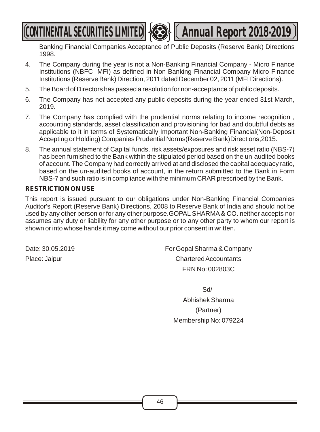Banking Financial Companies Acceptance of Public Deposits (Reserve Bank) Directions 1998.

4. The Company during the year is not a Non-Banking Financial Company - Micro Finance Institutions (NBFC- MFI) as defined in Non-Banking Financial Company Micro Finance Institutions (Reserve Bank) Direction, 2011 dated December 02, 2011 (MFI Directions).

**CONTINENTAL SECURITIES LIMITED <b>Annual Report 2018-2019** 

- 5. The Board of Directors has passed a resolution for non-acceptance of public deposits.
- 6. The Company has not accepted any public deposits during the year ended 31st March, 2019.
- 7. The Company has complied with the prudential norms relating to income recognition , accounting standards, asset classification and provisioning for bad and doubtful debts as applicable to it in terms of Systematically Important Non-Banking Financial(Non-Deposit Accepting or Holding) Companies Prudential Norms(Reserve Bank)Directions,2015.
- 8. The annual statement of Capital funds, risk assets/exposures and risk asset ratio (NBS-7) has been furnished to the Bank within the stipulated period based on the un-audited books of account. The Company had correctly arrived at and disclosed the capital adequacy ratio, based on the un-audited books of account, in the return submitted to the Bank in Form NBS-7 and such ratio is in compliance with the minimum CRAR prescribed by the Bank.

## **RESTRICTION ON USE**

This report is issued pursuant to our obligations under Non-Banking Financial Companies Auditor's Report (Reserve Bank) Directions, 2008 to Reserve Bank of India and should not be used by any other person or for any other purpose.GOPAL SHARMA& CO. neither accepts nor assumes any duty or liability for any other purpose or to any other party to whom our report is shown or into whose hands it may come without our prior consent in written.

Date: 30.05.2019 **For Gopal Sharma & Company** Place: Jaipur Chartered Accountants FRN No: 002803C

Sd/-

Abhishek Sharma (Partner) Membership No: 079224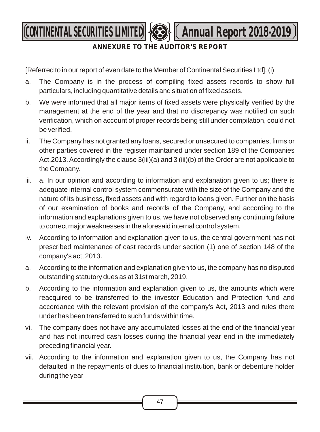**CONTINENTAL SECURITIES LIMITED | CODE | Annual Report 2018-2019** 

## **ANNEXURE TO THE AUDITOR'S REPORT**

[Referred to in our report of even date to the Member of Continental Securities Ltd]: (i)

- a. The Company is in the process of compiling fixed assets records to show full particulars, including quantitative details and situation of fixed assets.
- b. We were informed that all major items of fixed assets were physically verified by the management at the end of the year and that no discrepancy was notified on such verification, which on account of proper records being still under compilation, could not be verified.
- ii. The Company has not granted any loans, secured or unsecured to companies, firms or other parties covered in the register maintained under section 189 of the Companies Act, 2013. Accordingly the clause 3(iii)(a) and 3 (iii)(b) of the Order are not applicable to the Company.
- iii. a. In our opinion and according to information and explanation given to us; there is adequate internal control system commensurate with the size of the Company and the nature of its business, fixed assets and with regard to loans given. Further on the basis of our examination of books and records of the Company, and according to the information and explanations given to us, we have not observed any continuing failure to correct major weaknesses in the aforesaid internal control system.
- iv. According to information and explanation given to us, the central government has not prescribed maintenance of cast records under section (1) one of section 148 of the company's act, 2013.
- a. According to the information and explanation given to us, the company has no disputed outstanding statutory dues as at 31st march, 2019.
- b. According to the information and explanation given to us, the amounts which were reacquired to be transferred to the investor Education and Protection fund and accordance with the relevant provision of the company's Act, 2013 and rules there under has been transferred to such funds within time.
- vi. The company does not have any accumulated losses at the end of the financial year and has not incurred cash losses during the financial year end in the immediately preceding financial year.
- vii. According to the information and explanation given to us, the Company has not defaulted in the repayments of dues to financial institution, bank or debenture holder during the year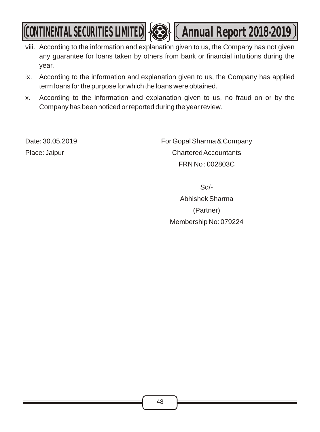viii. According to the information and explanation given to us, the Company has not given any guarantee for loans taken by others from bank or financial intuitions during the year.

**CONTINENTAL SECURITIES LIMITED | <b>CO** (Annual Report 2018-2019

- ix. According to the information and explanation given to us, the Company has applied term loans for the purpose for which the loans were obtained.
- x. According to the information and explanation given to us, no fraud on or by the Company has been noticed or reported during the year review.

Date: 30.05.2019 For Gopal Sharma & Company Place: Jaipur Chartered Accountants FRN No : 002803C

Sd/-

Abhishek Sharma (Partner) Membership No: 079224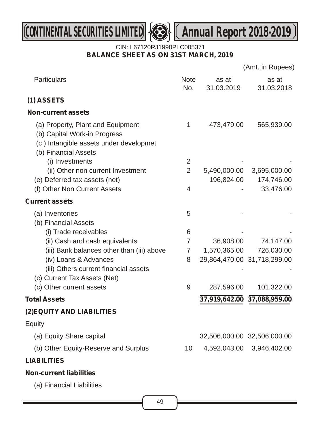**CONTINENTAL SECURITIES LIMITED 43 (Annual Report 2018-2019**)

#### **BALANCE SHEET AS ON 31ST MARCH, 2019** CIN: L67120RJ1990PLC005371

|                                                                                                                                     |                    |                     | (Amt. in Rupees)            |
|-------------------------------------------------------------------------------------------------------------------------------------|--------------------|---------------------|-----------------------------|
| Particulars                                                                                                                         | <b>Note</b><br>No. | as at<br>31.03.2019 | as at<br>31.03.2018         |
| (1) ASSETS                                                                                                                          |                    |                     |                             |
| <b>Non-current assets</b>                                                                                                           |                    |                     |                             |
| (a) Property, Plant and Equipment<br>(b) Capital Work-in Progress<br>(c) Intangible assets under developmet<br>(b) Financial Assets | $\mathbf{1}$       | 473,479.00          | 565,939.00                  |
| (i) Investments                                                                                                                     | $\overline{2}$     |                     |                             |
| (ii) Other non current Investment                                                                                                   | $\overline{2}$     |                     | 5,490,000.00 3,695,000.00   |
| (e) Deferred tax assets (net)<br>(f) Other Non Current Assets                                                                       | 4                  | 196,824.00          | 174,746.00<br>33,476.00     |
| <b>Current assets</b>                                                                                                               |                    |                     |                             |
|                                                                                                                                     |                    |                     |                             |
| (a) Inventories<br>(b) Financial Assets<br>(i) Trade receivables                                                                    | 5<br>6             |                     |                             |
| (ii) Cash and cash equivalents                                                                                                      | $\overline{7}$     | 36,908.00           | 74,147.00                   |
| (iii) Bank balances other than (iii) above                                                                                          | 7                  | 1,570,365.00        | 726,030.00                  |
| (iv) Loans & Advances                                                                                                               | 8                  |                     | 29,864,470.00 31,718,299.00 |
| (iii) Others current financial assets<br>(c) Current Tax Assets (Net)                                                               |                    |                     |                             |
| (c) Other current assets                                                                                                            | 9                  | 287,596.00          | 101,322.00                  |
| <b>Total Assets</b>                                                                                                                 |                    |                     | 37,919,642.00 37,088,959.00 |
| (2) EQUITY AND LIABILITIES                                                                                                          |                    |                     |                             |
| Equity                                                                                                                              |                    |                     |                             |
| (a) Equity Share capital                                                                                                            |                    |                     | 32,506,000.00 32,506,000.00 |
| (b) Other Equity-Reserve and Surplus                                                                                                | 10                 | 4,592,043.00        | 3,946,402.00                |
| <b>LIABILITIES</b>                                                                                                                  |                    |                     |                             |
|                                                                                                                                     |                    |                     |                             |

## **Non-current liabilities**

(a) Financial Liabilities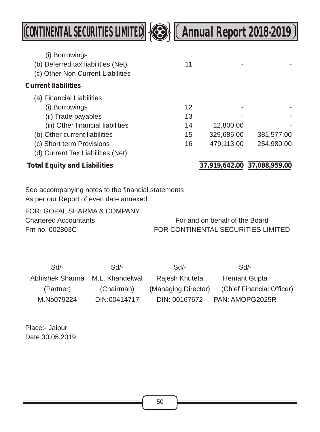**CONTINENTAL SECURITIES LIMITED 4 Annual Report 2018-2019** 

| <b>Total Equity and Liabilities</b> |    |            | 37,919,642.00 37,088,959.00 |
|-------------------------------------|----|------------|-----------------------------|
| (d) Current Tax Liabilities (Net)   |    |            |                             |
| (c) Short term Provisions           | 16 | 479,113.00 | 254,980.00                  |
| (b) Other current liabilities       | 15 | 329,686.00 | 381,577.00                  |
| (iii) Other financial liabilities   | 14 | 12,800.00  |                             |
| (ii) Trade payables                 | 13 |            |                             |
| (i) Borrowings                      | 12 |            |                             |
| (a) Financial Liabilities           |    |            |                             |
| <b>Current liabilities</b>          |    |            |                             |
| (c) Other Non Current Liabilities   |    |            |                             |
| (b) Deferred tax liabilities (Net)  | 11 |            |                             |
| (i) Borrowings                      |    |            |                             |

See accompanying notes to the financial statements As per our Report of even date annexed

FOR: GOPAL SHARMA & COMPANY Chartered Accountants For and on behalf of the Board Frn no. 002803C FOR CONTINENTAL SECURITIES LIMITED

| $Sd$ -          | $Sd$ -          | $Sd/-$              | $Sd$ -                    |
|-----------------|-----------------|---------------------|---------------------------|
| Abhishek Sharma | M.L. Khandelwal | Rajesh Khuteta      | <b>Hemant Gupta</b>       |
| (Partner)       | (Chairman)      | (Managing Director) | (Chief Financial Officer) |
| M.No079224      | DIN:00414717    | DIN: 00167672       | PAN: AMOPG2025R           |

Place:- Jaipur Date 30.05.2019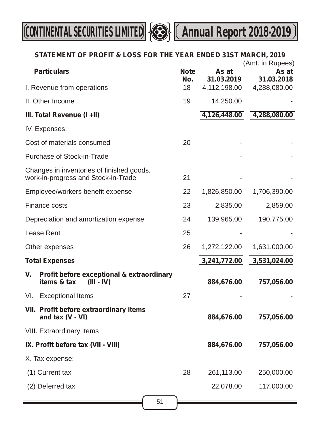**CONTINENTAL SECURITIES LIMITED 43 (Annual Report 2018-2019** 

## **STATEMENT OF PROFIT & LOSS FOR THE YEAR ENDED 31ST MARCH, 2019** (Amt. in Rupees) **Particulars Note As at As at No. 31.03.2019 31.03.2018** I. Revenue from operations 18 4,112,198.00 4,288,080.00 II. Other Income 19 14,250.00 **III. Total Revenue (I +II)**  $\overline{4,126,448.00}$   $\overline{4,288,080.00}$ IV. Expenses: Cost of materials consumed 20 Purchase of Stock-in-Trade Changes in inventories of finished goods, work-in-progress and Stock-in-Trade 21 Employee/workers benefit expense 22 1,826,850.00 1,706,390.00

Finance costs 23 2,835.00 2,859.00 Depreciation and amortization expense 24 139,965.00 190,775.00 Lease Rent 25 Other expenses 26 1,272,122.00 1,631,000.00 **Total Expenses 3,241,772.00 3,531,024.00 V. Profit before exceptional & extraordinary items & tax (III - IV) 884,676.00 757,056.00**  VI. Exceptional Items 27 **VII. Profit before extraordinary items and tax (V - VI) 884,676.00 757,056.00**  VIII. Extraordinary Items **IX. Profit before tax (VII - VIII) 884,676.00 757,056.00**  X. Tax expense: (1) Current tax 28 261,113.00 250,000.00

(2) Deferred tax 22,078.00 117,000.00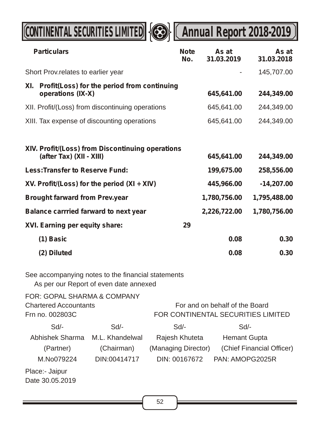**CONTINENTAL SECURITIES LIMITED | {CEE}} | Annual Report 2018-2019** 

| <b>Particulars</b>                                                                           | <b>Note</b><br>No. | As at<br>31.03.2019 | As at<br>31.03.2018 |
|----------------------------------------------------------------------------------------------|--------------------|---------------------|---------------------|
| Short Prov.relates to earlier year                                                           |                    |                     | 145,707.00          |
| Profit(Loss) for the period from continuing<br>XI.<br>operations (IX-X)                      |                    | 645,641.00          | 244,349.00          |
| XII. Profit/(Loss) from discontinuing operations                                             |                    | 645,641.00          | 244,349.00          |
| XIII. Tax expense of discounting operations                                                  |                    | 645,641.00          | 244,349.00          |
|                                                                                              |                    |                     |                     |
| XIV. Profit/(Loss) from Discontinuing operations                                             |                    |                     |                     |
| (after Tax) (XII - XIII)                                                                     |                    | 645,641.00          | 244,349.00          |
| <b>Less: Transfer to Reserve Fund:</b>                                                       |                    | 199,675.00          | 258,556.00          |
| XV. Profit/(Loss) for the period (XI + XIV)                                                  |                    | 445,966.00          | $-14,207.00$        |
| <b>Brought farward from Prev.year</b>                                                        |                    | 1,780,756.00        | 1,795,488.00        |
| <b>Balance carrried farward to next year</b>                                                 |                    | 2,226,722.00        | 1,780,756.00        |
| XVI. Earning per equity share:                                                               | 29                 |                     |                     |
| (1) Basic                                                                                    |                    | 0.08                | 0.30                |
| (2) Diluted                                                                                  |                    | 0.08                | 0.30                |
| See accompanying notes to the financial statements<br>As per our Report of even date annexed |                    |                     |                     |
| FOR: GOPAL SHARMA & COMPANY                                                                  |                    |                     |                     |

| <b>Chartered Accountants</b><br>Frn no. 002803C |                 |                     | For and on behalf of the Board<br>FOR CONTINENTAL SECURITIES LIMITED |
|-------------------------------------------------|-----------------|---------------------|----------------------------------------------------------------------|
| Sd                                              | $Sd$ -          | Sd                  | Sd/-                                                                 |
| Abhishek Sharma                                 | M.L. Khandelwal | Rajesh Khuteta      | <b>Hemant Gupta</b>                                                  |
| (Partner)                                       | (Chairman)      | (Managing Director) | (Chief Financial Officer)                                            |
| M.No079224                                      | DIN:00414717    | DIN: 00167672       | PAN: AMOPG2025R                                                      |
| Place:- Jaipur<br>Date 30.05.2019               |                 |                     |                                                                      |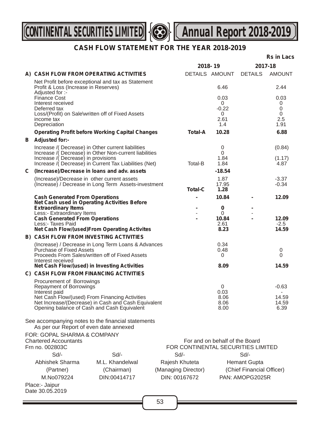



## **CASH FLOW STATEMENT FOR THE YEAR 2018-2019**

|                                                                   |                                                                                                                                                                     |     |                                    |                                |                           | <b>Rs in Lacs</b>        |
|-------------------------------------------------------------------|---------------------------------------------------------------------------------------------------------------------------------------------------------------------|-----|------------------------------------|--------------------------------|---------------------------|--------------------------|
|                                                                   |                                                                                                                                                                     |     |                                    | 2018-19                        | 2017-18                   |                          |
|                                                                   | A) CASH FLOW FROM OPERATING ACTIVITIES                                                                                                                              |     |                                    | DETAILS AMOUNT                 | <b>DETAILS</b>            | <b>AMOUNT</b>            |
| Profit & Loss (Increase in Reserves)                              | Net Profit before exceptional and tax as Statement                                                                                                                  |     |                                    | 6.46                           |                           | 2.44                     |
| Adjusted for :-<br>Finance Cost                                   |                                                                                                                                                                     |     |                                    | 0.03                           |                           | 0.03                     |
| Interest received<br>Deferred tax                                 |                                                                                                                                                                     |     |                                    | 0<br>$-0.22$                   |                           | 0<br>0                   |
| Loss/(Profit) on Sale\written off of Fixed Assets                 |                                                                                                                                                                     |     |                                    | 0                              |                           | $\mathbf 0$              |
| income tax<br>Depreciation                                        |                                                                                                                                                                     |     |                                    | 2.61<br>1.4                    |                           | 2.5<br>1.91              |
|                                                                   | <b>Operating Profit before Working Capital Changes</b>                                                                                                              |     | <b>Total-A</b>                     | 10.28                          |                           | 6.88                     |
| <b>B</b> Adjusted for:-                                           |                                                                                                                                                                     |     |                                    |                                |                           |                          |
| Increase /( $Decrease$ ) in provisions                            | Increase /(Decrease) in Other current liabilities<br>Increase /(Decrease) in Other Non-current liabilities<br>Increase /(Decrease) in Current Tax Liabilities (Net) |     | Total-B                            | 0<br>0<br>1.84<br>1.84         |                           | (0.84)<br>(1.17)<br>4.87 |
|                                                                   | C (Increase)/Decrease in loans and adv. assets                                                                                                                      |     |                                    | $-18.54$                       |                           |                          |
| (Increase)/Decrease in other current assets                       |                                                                                                                                                                     |     |                                    | 1.87                           |                           | $-3.37$                  |
|                                                                   | (Increase) / Decrease in Long Term Assets-investment                                                                                                                |     | <b>Total-C</b>                     | 17.95<br>1.28                  |                           | $-0.34$                  |
| <b>Cash Generated From Operations</b>                             |                                                                                                                                                                     |     | ٠                                  | 10.84                          | $\blacksquare$            | 12.09                    |
| <b>Extraordinary Items</b>                                        | Net Cash used in Operating Activities Before                                                                                                                        |     |                                    | 0                              |                           |                          |
| Less:- Extraordinary Items                                        |                                                                                                                                                                     |     |                                    | 0                              |                           |                          |
| <b>Cash Generated From Operations</b><br>Less:- Taxes Paid        |                                                                                                                                                                     |     |                                    | 10.84<br>2.61                  |                           | 12.09<br>$-2.5$          |
|                                                                   | <b>Net Cash Flow/(used)From Operating Activites</b>                                                                                                                 |     |                                    | 8.23                           |                           | 14.59                    |
| <b>B) CASH FLOW FROM INVESTING ACTIVITIES</b>                     |                                                                                                                                                                     |     |                                    |                                |                           |                          |
| <b>Purchase of Fixed Assets</b>                                   | (Increase) / Decrease in Long Term Loans & Advances                                                                                                                 |     |                                    | 0.34<br>0.48                   |                           | 0                        |
|                                                                   | Proceeds From Sales/written off of Fixed Assets                                                                                                                     |     |                                    | 0                              |                           | $\Omega$                 |
| Interest received<br>Net Cash Flow/(used) in Investing Activities |                                                                                                                                                                     |     |                                    | 8.09                           |                           | 14.59                    |
| C) CASH FLOW FROM FINANCING ACTIVITIES                            |                                                                                                                                                                     |     |                                    |                                |                           |                          |
| Procurement of Borrowings                                         |                                                                                                                                                                     |     |                                    |                                |                           |                          |
| Repayment of Borrowings<br>Interest paid                          |                                                                                                                                                                     |     |                                    | 0<br>0.03                      |                           | $-0.63$                  |
|                                                                   | Net Cash Flow/(used) From Financing Activities                                                                                                                      |     |                                    | 8.06                           |                           | 14.59                    |
|                                                                   | Net Increase/(Decrease) in Cash and Cash Equivalent<br>Opening balance of Cash and Cash Equivalent                                                                  |     |                                    | 8.06<br>8.00                   |                           | 14.59<br>6.39            |
|                                                                   | See accompanying notes to the financial statements                                                                                                                  |     |                                    |                                |                           |                          |
| As per our Report of even date annexed                            |                                                                                                                                                                     |     |                                    |                                |                           |                          |
| FOR: GOPAL SHARMA & COMPANY<br><b>Chartered Accountants</b>       |                                                                                                                                                                     |     |                                    | For and on behalf of the Board |                           |                          |
| Frn no. 002803C                                                   |                                                                                                                                                                     |     | FOR CONTINENTAL SECURITIES LIMITED |                                |                           |                          |
| Sd                                                                | Sd                                                                                                                                                                  |     | Sd                                 |                                | Sd/-                      |                          |
| Abhishek Sharma                                                   | M.L. Khandelwal                                                                                                                                                     |     | Rajesh Khuteta                     |                                | <b>Hemant Gupta</b>       |                          |
| (Partner)                                                         | (Chairman)                                                                                                                                                          |     | (Managing Director)                |                                | (Chief Financial Officer) |                          |
| M.No079224                                                        | DIN:00414717                                                                                                                                                        |     | DIN: 00167672                      |                                | PAN: AMOPG2025R           |                          |
| Place:- Jaipur<br>Date 30.05.2019                                 |                                                                                                                                                                     |     |                                    |                                |                           |                          |
|                                                                   |                                                                                                                                                                     | ro. |                                    |                                |                           |                          |
|                                                                   |                                                                                                                                                                     |     |                                    |                                |                           |                          |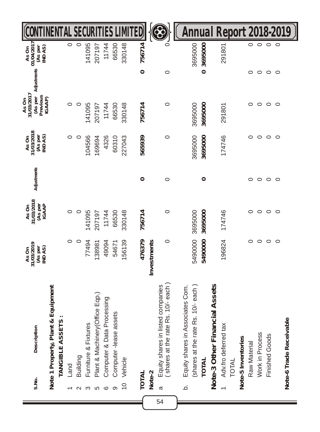|                                    |                 |          |                           |        |                                 |                                |                           |           |             |                                                                              |                                          |                                   |           |                                   |                      |       |                    |              |                 |                |         | 9                       |
|------------------------------------|-----------------|----------|---------------------------|--------|---------------------------------|--------------------------------|---------------------------|-----------|-------------|------------------------------------------------------------------------------|------------------------------------------|-----------------------------------|-----------|-----------------------------------|----------------------|-------|--------------------|--------------|-----------------|----------------|---------|-------------------------|
|                                    | $\circ$         | $\circ$  | 141095                    | 207197 | 11744                           | 66530                          | 330148                    | 756714    |             | ō                                                                            |                                          |                                   |           |                                   | 291801               |       |                    | $\circ$      | $\circ$         | $\circ$        | $\circ$ |                         |
|                                    |                 |          |                           |        |                                 |                                |                           | 0         |             | $\circ$                                                                      |                                          |                                   | $\bullet$ |                                   |                      |       |                    | 0            | $\circ$         | $\circ$        | $\circ$ |                         |
| IGAAP)                             | 0               | $\circ$  | 141095                    | 207197 | 11744                           | 66530                          | 330148                    | 756714    |             | $\circ$                                                                      |                                          | 3695000                           | 3695000   |                                   | 291801               |       |                    | 0            | $\circ$         | $\circ$        | $\circ$ |                         |
|                                    | 0               | 0        | 104566                    | 169694 | 4326                            | 60310                          | 227043                    | 565939    |             | $\circ$                                                                      |                                          | 3695000                           | 3695000   |                                   | 174746               |       |                    | 0            | $\circ$         | $\circ$        | $\circ$ |                         |
|                                    |                 |          |                           |        |                                 |                                |                           | $\bullet$ |             | $\circ$                                                                      |                                          |                                   | $\bullet$ |                                   |                      |       |                    | 0            | $\circ$         | $\circ$        | $\circ$ |                         |
|                                    | 0               | 0        | 141095                    | 207197 | 11744                           | 66530                          | 330148                    | 756714    |             | $\circ$                                                                      |                                          | 3695000                           | 3695000   |                                   | 174746               |       |                    | 0            | $\circ$         | $\circ$        | $\circ$ |                         |
|                                    | 0               | 0        | 77494                     | 138981 | 49094                           | 54671                          | 156139                    | 476379    | Investments | $\circ$                                                                      |                                          | 5490000                           | 5490000   |                                   | 196824               |       |                    | 0            | 0               | $\circ$        | $\circ$ |                         |
| Note 1 Property, Plant & Equipment | Land            | Building | Furniture & Fixtures<br>ო | LO     | Computer & Data Processing<br>ဖ | Computer-lease assets<br>တ     | Vehicle<br>$\overline{0}$ | TOTAL     | Note-2      | (shares at the rate Rs. 10/- each)<br>Equity shares in listed companies<br>ω | Com.<br>Equity shares in Associates<br>خ | (shares at the rate Rs. 10/-each) | TOTAL     | sets<br>Note-3 Other Financial As | Adv.fro deferred tax | TOTAL | Note-5 Inventories | Raw Material | Work in Process | Finished Goods |         | Note-6 Trade Receivable |
|                                    | TANGIBLE ASSETS |          |                           |        |                                 | Plant & Machinery(Office Eqp.) |                           |           |             |                                                                              | 54                                       |                                   | 3695000   | 3695000                           |                      |       |                    |              |                 |                |         | <b>Report 2018-201</b>  |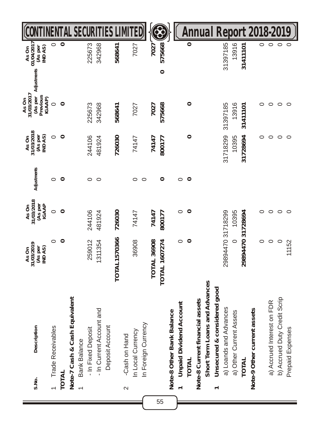|                                                      |                   |           |                               |              |                    |                          |                 |              |                                    |                   |                     |                    |               |                           |                                |           |                                 |                               |                             |                        |                         |                  | <b>Report 2018-201</b>      |   |                            |                              | 9                |
|------------------------------------------------------|-------------------|-----------|-------------------------------|--------------|--------------------|--------------------------|-----------------|--------------|------------------------------------|-------------------|---------------------|--------------------|---------------|---------------------------|--------------------------------|-----------|---------------------------------|-------------------------------|-----------------------------|------------------------|-------------------------|------------------|-----------------------------|---|----------------------------|------------------------------|------------------|
| 01/04/2017<br>(As per<br>IND AS)<br>As On            | $\circ$           | $\bullet$ |                               |              | 225673             | 342968                   |                 | 568641       |                                    | 7027              |                     | 7027               | 575668        |                           |                                | $\bullet$ |                                 |                               |                             | 31397185               | 13916                   | 31411101         |                             | 0 | $\circ$                    | $\circ$                      | $\circ$          |
| Adjustments                                          |                   |           |                               |              |                    |                          |                 |              |                                    |                   |                     |                    | 0             |                           |                                |           |                                 |                               |                             |                        |                         |                  |                             |   |                            |                              |                  |
| 31/03/2017<br>Previous<br>(As per<br>IGAAP)<br>As On | 0                 | $\bullet$ |                               |              | 225673             | 342968                   |                 | 568641       |                                    | 7027              |                     | 7027               | 575668        |                           |                                | 0         |                                 |                               |                             | 31397185               | 13916                   | 31411101         |                             | 0 | 0                          | $\circ$                      | $\circ$          |
| As On<br>31/03/2018<br>(As per<br>IND AS)            | 0                 | $\bullet$ |                               |              | 244106             | 481924                   |                 | 726030       |                                    | 74147             |                     | 74147              | 800177        |                           |                                | 0         |                                 |                               |                             | 31718299               | 10395                   | 31728694         |                             | 0 | $\circ$                    | $\circ$                      | $\circ$          |
| Adjustments                                          | 0                 | 0         |                               |              | 0                  | $\circ$                  |                 |              |                                    | 0                 | $\circ$             |                    | 0             |                           | 0                              | 0         |                                 |                               |                             |                        |                         |                  |                             |   |                            |                              |                  |
| As On<br>31/03/2018<br>(As per<br><b>IGAAP</b>       | $\circ$           | $\bullet$ |                               |              | 244106             | 481924                   |                 | 726030       |                                    | 74147             |                     | 74147              | 800177        |                           | $\circ$                        | $\bullet$ |                                 |                               |                             |                        | 10395                   |                  |                             | 0 | $\circ$                    | $\circ$                      | $\circ$          |
| 31/03/2019<br>(As per<br>IND AS)<br>As On            | 0                 | $\bullet$ |                               |              | 259012             | 1311354                  |                 | TOTAL1570366 |                                    | 36908             |                     | <b>TOTAL 36908</b> | TOTAL 1607274 |                           | $\circ$                        | $\bullet$ |                                 |                               |                             | 2989447031718299       | 0                       | 2989447031728694 |                             | 0 | 0                          | $\circ$                      | 11152            |
| Description<br>S.No.                                 | Trade Receivables | TOTAL     | Note-7 Cash & Cash Equivalent | Bank Balance | - In Fixed Deposit | - In Current Account and | Deposit Account |              | -Cash on Hand<br>$\mathbf{\Omega}$ | In Local Currency | In Foreign Currency |                    |               | Note-8 Other Bank Balance | <b>Unpaid Dividend Account</b> | TOTAL     | Note-8 Current financial assets | Short Term Loans and Advances | Unsecured & considered good | a) Loands and Advances | a) Other Current Assets | TOTAL            | Note-9 Other current assets |   | a) Accrued Interest on FDR | b) Accrued Duty Credit Scrip | Prepaid Expenses |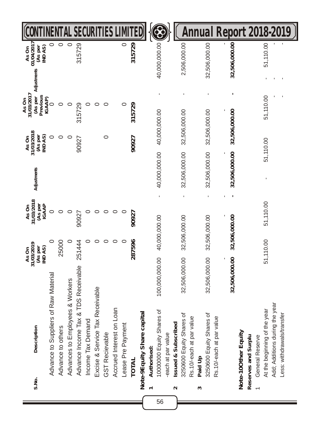|                                                      |                                      |                   |                                 |                          |                   |                             |                       |                          |                   |        |                            |             |                           |                    |                                |                          |                          |         |                          |                          |               |                     | <b>Report 201</b>   |                 | $8 - 20$                                                       |                            |  |
|------------------------------------------------------|--------------------------------------|-------------------|---------------------------------|--------------------------|-------------------|-----------------------------|-----------------------|--------------------------|-------------------|--------|----------------------------|-------------|---------------------------|--------------------|--------------------------------|--------------------------|--------------------------|---------|--------------------------|--------------------------|---------------|---------------------|---------------------|-----------------|----------------------------------------------------------------|----------------------------|--|
| 01/04/2017<br>(As per<br>IND AS)<br>As On            |                                      | 0                 | $\circ$                         | 315729                   |                   |                             |                       |                          | $\circ$           | 315729 |                            |             | 40,000,000.00             |                    |                                | 2,506,000.00             |                          |         | 32,506,000.00            |                          | 32,506,000.00 |                     |                     |                 | 51,110.00                                                      |                            |  |
| Adjustments                                          |                                      |                   |                                 |                          |                   |                             |                       |                          |                   |        |                            |             |                           |                    |                                |                          |                          |         |                          |                          |               |                     |                     |                 |                                                                |                            |  |
| 31/03/2017<br>Previous<br>(As per<br>IGAAP)<br>As On | $\circ$                              | 0                 |                                 | 315729                   |                   |                             | $\circ$               |                          | 0                 | 315729 |                            |             | 40,000,000.00             |                    |                                | 32,506,000.00            |                          |         | 32,506,000.00            |                          | 32,506,000.00 |                     |                     |                 | 51,110.00                                                      |                            |  |
| 31/03/2018<br>(As per<br>IND AS)<br>As On            | 0                                    | 0                 | c                               | 90927                    |                   |                             | 0                     |                          |                   | 90927  |                            |             |                           |                    |                                |                          |                          |         |                          |                          |               |                     |                     |                 | 51,110.00                                                      |                            |  |
| Adjustments                                          |                                      |                   |                                 |                          |                   |                             |                       |                          |                   |        |                            |             | 40,000,000.00             |                    |                                | 32,506,000.00            |                          |         | 32,506,000.00            |                          | 32,506,000.00 |                     |                     |                 |                                                                |                            |  |
| 31/03/2018<br>(As per<br><b>IGAAP</b><br>As On       | 0                                    |                   | c                               | 90927                    | 0                 |                             | 0                     | 0                        | 0                 | 90927  |                            |             | 40,000,000.00             |                    |                                | 32,506,000.00            |                          |         | 32,506,000.00            |                          | 32,506,000.00 |                     |                     |                 | 51,110.00                                                      |                            |  |
| 31/03/2019<br>(As per<br>IND AS)<br>As On            | 0                                    | 25000             | 0                               | 251444                   | 0                 |                             | 0                     | ⊂                        | 0                 | 287596 |                            |             |                           |                    |                                |                          |                          |         |                          |                          |               |                     |                     |                 | 51,110.00                                                      |                            |  |
|                                                      |                                      |                   |                                 | Receivable               |                   | able                        |                       |                          |                   |        |                            |             | 100,000,000.00            |                    |                                | 32,506,000.00            |                          |         | 32,506,000.00            |                          | 32,506,000.00 |                     |                     |                 |                                                                |                            |  |
| Description                                          | Advance to Suppliers of Raw Material | Advance to others | Advances to Employees & Workers | Advance Income Tax & TDS | Income Tax Demand | Excise & Service Tax Receiv | <b>GST Recievable</b> | Accrued Interest on Loan | Lease Pre Payment | TOTAL  | Note-9Equity Share capital | Authorised: | 10000000 Equity Shares of | -each at par value | <b>Issued &amp; Subscribed</b> | 3250600 Equity Shares of | Rs.10/-each at par value | Paid Up | 3250600 Equity Shares of | Rs.10/-each at par value |               | Note-10Other Equity | Reserves and Surplu | General Reserve | Add; Additions during the year<br>At the beginning of the year | Less: withdrawals/transfer |  |
| S.No.                                                |                                      |                   |                                 |                          |                   |                             |                       |                          |                   |        |                            |             |                           |                    | $\mathbf{\Omega}$              |                          |                          | S       |                          |                          |               |                     |                     |                 |                                                                |                            |  |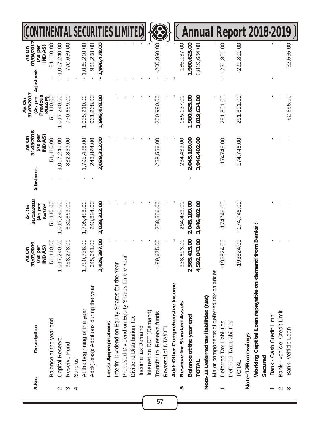| CONTINENTAL SECURITIES LIMITED (CD) (Annual Report 2018-2019) |  |
|---------------------------------------------------------------|--|
|                                                               |  |

| S.No. | Description                                           | 31/03/2019<br>(As per<br>IND AS)<br>As On | 31/03/2018<br>(As per<br>As On | 31/03/2018<br>(As per<br>IND AS)<br>As On<br>Adjustments | 31/03/2017<br>Previous<br>(As per<br>As On | 01/04/2017<br>(As per<br>IND AS)<br>As On<br>Adjustments |
|-------|-------------------------------------------------------|-------------------------------------------|--------------------------------|----------------------------------------------------------|--------------------------------------------|----------------------------------------------------------|
|       | Balance at the year end                               | 51,110.00                                 | 51,110.00<br><b>IGAAP</b>      | 51,110.00                                                | 51,110.00                                  | 51,110.00                                                |
|       | Capital Reserve                                       | 1,017,240.00                              | 1,017,240.00                   | 1,017,240.00                                             | 1,017,240.00                               | 1,017,240.00                                             |
| ഗ ഗ   | Reserve Fund                                          | 958,278.00                                | 832,863.00                     | 832,863.00                                               | 770,659.00                                 | 770,659.00                                               |
| 4     | Surplus                                               |                                           |                                |                                                          |                                            |                                                          |
|       | year<br>At the beginning of the                       | 1,780,756.00                              | 1,795,488.00                   | 1,795,488.00                                             | 1,035,210.00                               | 1,035,210.00                                             |
|       | Add/(Less): Additions during the year                 | 645, 641.00                               | 243,824.00                     | 243,824.00                                               | 961,268.00                                 | 961,268.00                                               |
|       |                                                       | 2,426,397.00                              | 2,039,312.00                   | 2,039,312.00                                             | 1,996,478.00                               | 1,996,478.00                                             |
|       | Less: Appropriations                                  |                                           |                                |                                                          |                                            |                                                          |
|       | Interim Dividend on Equity Shares for the Year        |                                           |                                |                                                          |                                            |                                                          |
|       | Proposed Dividend on Equity Shares for the Year       |                                           |                                |                                                          |                                            |                                                          |
|       | Dividend Distribution Tax                             |                                           |                                |                                                          |                                            |                                                          |
|       | Income tax Demand                                     |                                           |                                |                                                          |                                            |                                                          |
|       | Interest on DDT (Demand)                              |                                           |                                |                                                          |                                            |                                                          |
|       | Transfer to Reserve funds                             | $-199,675.00$                             | $-258,556.00$                  | $-258,556.00$                                            | $-200,990.00$                              | $-200,990.00$                                            |
|       | Reversal of DTA/DTL                                   |                                           |                                |                                                          |                                            |                                                          |
|       | Add: Other Comprehensive Income                       |                                           |                                |                                                          |                                            |                                                          |
| 5     | Reserve for Standard Assets                           | 338,693.00                                | 264,433.00                     | 264,433.00                                               | 185, 137.00                                | 185, 137.00                                              |
|       | Balance at the year end                               | 2,565,415.00                              | 2,045,189.00                   | 2,045,189.00                                             | 1,980,625.00                               | 1,980,625.00                                             |
|       | TOTAL                                                 | 4,592,043.00                              | 3,946,402.00                   | 3,946,402.00                                             | 3,819,634.00                               | 3,819,634.00                                             |
|       | Note-11 Deferred tax liabilities (Net)                |                                           |                                |                                                          |                                            |                                                          |
|       | Major components of deferred tax balances             |                                           |                                |                                                          |                                            |                                                          |
|       | Deferred Tax Liabilities                              | $-196824.00$                              | $-174746.00$                   | $-174746.00$                                             | $-291,801.00$                              | $-291,801.00$                                            |
|       | Deferred Tax Liabilities                              |                                           |                                |                                                          |                                            |                                                          |
|       | TOTAL                                                 | $-196824.00$                              | $-174,746.00$                  | $-174,746.00$                                            | $-291,801.00$                              | $-291,801.00$                                            |
|       | Note-12Borrowings                                     |                                           |                                |                                                          |                                            |                                                          |
|       | Working Captital Loan repayable on demand from Banks: |                                           |                                |                                                          |                                            |                                                          |
|       | Secured                                               |                                           |                                |                                                          |                                            |                                                          |
|       | Bank - Cash Credit Limit                              |                                           |                                |                                                          |                                            |                                                          |
| പത    | Bank - vehicle Credit Limit                           |                                           |                                |                                                          |                                            |                                                          |
|       | Bank -Vehicle Loan                                    |                                           |                                |                                                          | 62,665.00                                  | 62,665.00                                                |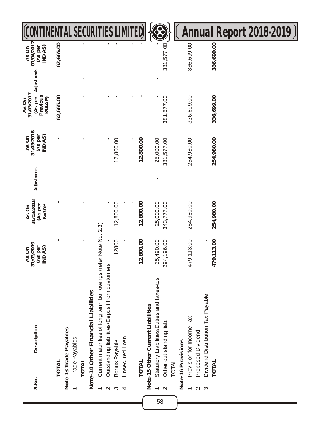|                                                      |              |                        |                |                |                                     |                                                                 |                                                |               |                |              |                                   |                                            |                          |       |                    |                          |                   |                                                 |              | al Report 2018-201 |  |  | 9 |
|------------------------------------------------------|--------------|------------------------|----------------|----------------|-------------------------------------|-----------------------------------------------------------------|------------------------------------------------|---------------|----------------|--------------|-----------------------------------|--------------------------------------------|--------------------------|-------|--------------------|--------------------------|-------------------|-------------------------------------------------|--------------|--------------------|--|--|---|
| As On<br>01/04/2017<br>(As per<br>IND AS)            | 62,665.00    |                        | $\mathbf{r}$   | $\blacksquare$ |                                     |                                                                 | $\blacksquare$                                 | f.            |                |              |                                   |                                            | 381,577.00               |       |                    | 336,699.00               |                   |                                                 | 336,699.00   |                    |  |  |   |
| <b>Adjustments</b>                                   |              |                        | f,             | J.             |                                     |                                                                 |                                                |               |                |              |                                   |                                            |                          |       |                    |                          |                   |                                                 |              |                    |  |  |   |
| 31/03/2017<br>Previous<br>(As per<br>IGAAP)<br>As On | 62,665.00    |                        |                |                |                                     |                                                                 |                                                |               |                |              |                                   | ٠                                          | 381,577.00               |       |                    | 336,699.00               |                   |                                                 | 336,699.00   |                    |  |  |   |
| As On<br>31/03/2018<br>(As per<br>IND AS)            |              |                        |                |                |                                     |                                                                 |                                                | 12,800.00     |                | 12,800.00    |                                   | 25,000.00                                  | 381,577.00               |       |                    | 254,980.00               | 1                 |                                                 | 254,980.00   |                    |  |  |   |
| Adjustments                                          |              |                        |                |                |                                     |                                                                 |                                                |               |                |              |                                   |                                            |                          |       |                    |                          |                   |                                                 |              |                    |  |  |   |
| As On<br>31/03/2018<br>(As per<br><b>IGAAP</b>       |              |                        |                |                |                                     |                                                                 |                                                | 12,800.00     |                | 12,800.00    |                                   | 25,000.00                                  | 343,777.00               |       |                    | 254,980.00               |                   |                                                 | 254,980.00   |                    |  |  |   |
| As On<br>31/03/2019<br>(As per<br>IND AS)            |              |                        |                |                |                                     |                                                                 |                                                | 12800         |                | 12,800.00    |                                   | 35,490.00                                  | 294,196.00               |       |                    | 479,113.00               |                   |                                                 | 479,113.00   |                    |  |  |   |
| Description                                          | <b>TOTAL</b> | Note-13 Trade Payables | Trade Payables | TOTAL          | Note-14 Other Financial Liabilities | Current maturities of long term borrowings (refer Note No. 2.3) | Outstanding liabilities/Deposit from customers | Bonus Payable | Unsecured Loan | <b>TOTAL</b> | Note-15 Other Current Liabilities | Statutory Liabilities/Duties and taxes-tds | Other out standing liab. | TOTAL | Note-16 Provisions | Provision for Income Tax | Proposed Dividend | $\mathbf 0$<br>Dividend Distribution Tax Payabl | <b>TOTAL</b> |                    |  |  |   |
| S.No.                                                |              |                        |                |                |                                     |                                                                 | $\mathbf{\Omega}$                              | S             | 4              |              |                                   | 58                                         | N                        |       |                    |                          | $\mathbf{\Omega}$ | S                                               |              |                    |  |  |   |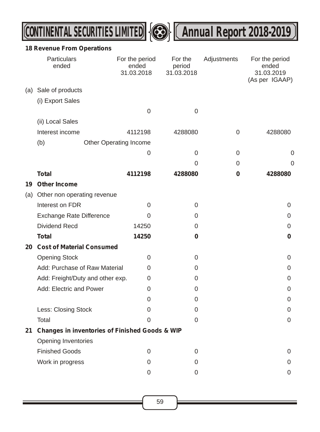

**CONTINENTAL SECURITIES LIMITED**  $\bigotimes$  [Annual Report 2018-2019]

#### **18 Revenue From Operations**

|     | Particulars<br>ended                                      | For the period<br>ended<br>31.03.2018 | For the<br>period<br>31.03.2018 | Adjustments | For the period<br>ended<br>31.03.2019<br>(As per IGAAP) |
|-----|-----------------------------------------------------------|---------------------------------------|---------------------------------|-------------|---------------------------------------------------------|
| (a) | Sale of products                                          |                                       |                                 |             |                                                         |
|     | (i) Export Sales                                          |                                       |                                 |             |                                                         |
|     |                                                           | 0                                     | $\Omega$                        |             |                                                         |
|     | (ii) Local Sales                                          |                                       |                                 |             |                                                         |
|     | Interest income                                           | 4112198                               | 4288080                         | 0           | 4288080                                                 |
|     | (b)                                                       | Other Operating Income                |                                 |             |                                                         |
|     |                                                           | 0                                     | 0                               | 0           | 0                                                       |
|     |                                                           |                                       | $\Omega$                        | $\Omega$    | ი                                                       |
|     | <b>Total</b>                                              | 4112198                               | 4288080                         | $\bf{0}$    | 4288080                                                 |
| 19  | <b>Other Income</b>                                       |                                       |                                 |             |                                                         |
| (a) | Other non operating revenue                               |                                       |                                 |             |                                                         |
|     | Interest on FDR                                           | 0                                     | 0                               |             | 0                                                       |
|     | Exchange Rate Difference                                  | 0                                     | 0                               |             | 0                                                       |
|     | <b>Dividend Recd</b>                                      | 14250                                 | 0                               |             | 0                                                       |
|     | <b>Total</b>                                              | 14250                                 | 0                               |             | 0                                                       |
| 20  | <b>Cost of Material Consumed</b>                          |                                       |                                 |             |                                                         |
|     | <b>Opening Stock</b>                                      | 0                                     | 0                               |             | 0                                                       |
|     | Add: Purchase of Raw Material                             | 0                                     | 0                               |             | 0                                                       |
|     | Add: Freight/Duty and other exp.                          | 0                                     | 0                               |             | 0                                                       |
|     | Add: Electric and Power                                   | 0                                     | 0                               |             | 0                                                       |
|     |                                                           | 0                                     | 0                               |             | 0                                                       |
|     | Less: Closing Stock                                       | 0                                     | 0                               |             | 0                                                       |
|     | Total                                                     | 0                                     | 0                               |             | 0                                                       |
| 21  | <b>Changes in inventories of Finished Goods &amp; WIP</b> |                                       |                                 |             |                                                         |
|     | Opening Inventories                                       |                                       |                                 |             |                                                         |
|     | <b>Finished Goods</b>                                     | 0                                     | $\Omega$                        |             | 0                                                       |
|     | Work in progress                                          | 0                                     | 0                               |             | 0                                                       |
|     |                                                           | 0                                     | 0                               |             | 0                                                       |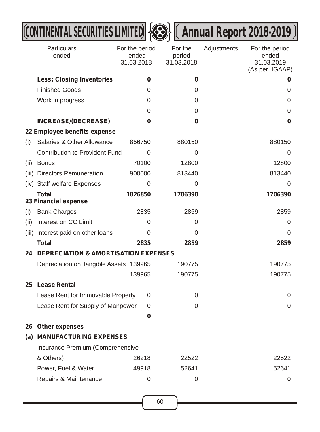|       |                                                 |                                       |                                 | Annual Report 2018-2019 ,                                              |
|-------|-------------------------------------------------|---------------------------------------|---------------------------------|------------------------------------------------------------------------|
|       | Particulars<br>ended                            | For the period<br>ended<br>31.03.2018 | For the<br>period<br>31.03.2018 | Adjustments<br>For the period<br>ended<br>31.03.2019<br>(As per IGAAP) |
|       | <b>Less: Closing Inventories</b>                | 0                                     | 0                               | 0                                                                      |
|       | <b>Finished Goods</b>                           | 0                                     | 0                               | 0                                                                      |
|       | Work in progress                                | 0                                     | 0                               | 0                                                                      |
|       |                                                 | 0                                     | 0                               | 0                                                                      |
|       | <b>INCREASE/(DECREASE)</b>                      | 0                                     | 0                               | 0                                                                      |
|       | 22 Employee benefits expense                    |                                       |                                 |                                                                        |
| (i)   | Salaries & Other Allowance                      | 856750                                | 880150                          | 880150                                                                 |
|       | <b>Contribution to Provident Fund</b>           | $\Omega$                              | 0                               | 0                                                                      |
| (ii)  | <b>Bonus</b>                                    | 70100                                 | 12800                           | 12800                                                                  |
| (iii) | <b>Directors Remuneration</b>                   | 900000                                | 813440                          | 813440                                                                 |
|       | (iv) Staff welfare Expenses                     | 0                                     | 0                               | 0                                                                      |
|       | <b>Total</b><br>23 Financial expense            | 1826850                               | 1706390                         | 1706390                                                                |
| (i)   | <b>Bank Charges</b>                             | 2835                                  | 2859                            | 2859                                                                   |
| (ii)  | Interest on CC Limit                            | 0                                     | 0                               | 0                                                                      |
| (iii) | Interest paid on other loans                    | 0                                     | 0                               | 0                                                                      |
|       | <b>Total</b>                                    | 2835                                  | 2859                            | 2859                                                                   |
| 24    | <b>DEPRECIATION &amp; AMORTISATION EXPENSES</b> |                                       |                                 |                                                                        |
|       | Depreciation on Tangible Assets 139965          |                                       | 190775                          | 190775                                                                 |
|       |                                                 | 139965                                | 190775                          | 190775                                                                 |
| 25    | <b>Lease Rental</b>                             |                                       |                                 |                                                                        |
|       | Lease Rent for Immovable Property               | 0                                     | 0                               | 0                                                                      |
|       | Lease Rent for Supply of Manpower               | 0                                     | 0                               | 0                                                                      |
|       |                                                 | 0                                     |                                 |                                                                        |
| 26    | <b>Other expenses</b>                           |                                       |                                 |                                                                        |
| (a)   | <b>MANUFACTURING EXPENSES</b>                   |                                       |                                 |                                                                        |
|       | Insurance Premium (Comprehensive                |                                       |                                 |                                                                        |
|       | & Others)                                       | 26218                                 | 22522                           | 22522                                                                  |
|       | Power, Fuel & Water                             | 49918                                 | 52641                           | 52641                                                                  |
|       | Repairs & Maintenance                           | 0                                     | $\mathbf 0$                     | 0                                                                      |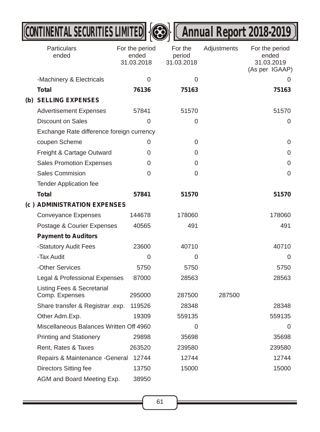|                                              |                                       |                                 |             | <b>Annual Report 2018-2019</b>                          |
|----------------------------------------------|---------------------------------------|---------------------------------|-------------|---------------------------------------------------------|
| Particulars<br>ended                         | For the period<br>ended<br>31.03.2018 | For the<br>period<br>31.03.2018 | Adjustments | For the period<br>ended<br>31.03.2019<br>(As per IGAAP) |
| -Machinery & Electricals                     | 0                                     | 0                               |             | 0                                                       |
| <b>Total</b>                                 | 76136                                 | 75163                           |             | 75163                                                   |
| (b) SELLING EXPENSES                         |                                       |                                 |             |                                                         |
| <b>Advertisement Expenses</b>                | 57841                                 | 51570                           |             | 51570                                                   |
| <b>Discount on Sales</b>                     | $\Omega$                              | 0                               |             | 0                                                       |
| Exchange Rate difference foreign currency    |                                       |                                 |             |                                                         |
| coupen Scheme                                | 0                                     | 0                               |             | 0                                                       |
| Freight & Cartage Outward                    | 0                                     | 0                               |             | 0                                                       |
| <b>Sales Promotion Expenses</b>              | 0                                     | 0                               |             | 0                                                       |
| <b>Sales Commision</b>                       | $\Omega$                              | 0                               |             | 0                                                       |
| <b>Tender Application fee</b>                |                                       |                                 |             |                                                         |
| <b>Total</b>                                 | 57841                                 | 51570                           |             | 51570                                                   |
| (c) ADMINISTRATION EXPENSES                  |                                       |                                 |             |                                                         |
| <b>Conveyance Expenses</b>                   | 144678                                | 178060                          |             | 178060                                                  |
| Postage & Courier Expenses                   | 40565                                 | 491                             |             | 491                                                     |
| <b>Payment to Auditors</b>                   |                                       |                                 |             |                                                         |
| -Statutory Audit Fees                        | 23600                                 | 40710                           |             | 40710                                                   |
| -Tax Audit                                   | 0                                     | 0                               |             | 0                                                       |
| -Other Services                              | 5750                                  | 5750                            |             | 5750                                                    |
| Legal & Professional Expenses                | 87000                                 | 28563                           |             | 28563                                                   |
| Listing Fees & Secretarial<br>Comp. Expenses | 295000                                | 287500                          | 287500      |                                                         |
| Share transfer & Registrar .exp.             | 119526                                | 28348                           |             | 28348                                                   |
| Other Adm.Exp.                               | 19309                                 | 559135                          |             | 559135                                                  |
| Miscellaneous Balances Written Off 4960      |                                       | 0                               |             | 0                                                       |
| <b>Printing and Stationery</b>               | 29898                                 | 35698                           |             | 35698                                                   |
| Rent, Rates & Taxes                          | 263520                                | 239580                          |             | 239580                                                  |
| Repairs & Maintenance - General              | 12744                                 | 12744                           |             | 12744                                                   |
| <b>Directors Sitting fee</b>                 | 13750                                 | 15000                           |             | 15000                                                   |
| AGM and Board Meeting Exp.                   | 38950                                 |                                 |             |                                                         |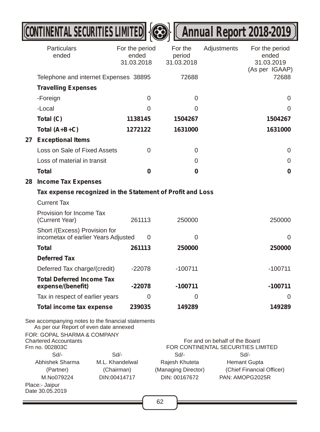|                                                                                                                                                                                                | TAL SECURITIES LI                                                    |                                       |                                                                                      |             | <b>Annual Report 2018-2019</b>                          |  |
|------------------------------------------------------------------------------------------------------------------------------------------------------------------------------------------------|----------------------------------------------------------------------|---------------------------------------|--------------------------------------------------------------------------------------|-------------|---------------------------------------------------------|--|
|                                                                                                                                                                                                | Particulars<br>ended                                                 | For the period<br>ended<br>31.03.2018 | For the<br>period<br>31.03.2018                                                      | Adjustments | For the period<br>ended<br>31.03.2019<br>(As per IGAAP) |  |
|                                                                                                                                                                                                | Telephone and internet Expenses 38895                                |                                       | 72688                                                                                |             | 72688                                                   |  |
|                                                                                                                                                                                                | <b>Travelling Expenses</b>                                           |                                       |                                                                                      |             |                                                         |  |
|                                                                                                                                                                                                | -Foreign                                                             | 0                                     | 0                                                                                    |             | 0                                                       |  |
|                                                                                                                                                                                                | -Local                                                               | 0                                     | 0                                                                                    |             | 0                                                       |  |
|                                                                                                                                                                                                | Total (C)                                                            | 1138145                               | 1504267                                                                              |             | 1504267                                                 |  |
|                                                                                                                                                                                                | Total (A+B+C)                                                        | 1272122                               | 1631000                                                                              |             | 1631000                                                 |  |
| 27                                                                                                                                                                                             | <b>Exceptional Items</b>                                             |                                       |                                                                                      |             |                                                         |  |
|                                                                                                                                                                                                | Loss on Sale of Fixed Assets                                         | $\Omega$                              | 0                                                                                    |             | 0                                                       |  |
|                                                                                                                                                                                                | Loss of material in transit                                          |                                       | 0                                                                                    |             | 0                                                       |  |
|                                                                                                                                                                                                | <b>Total</b>                                                         | $\bf{0}$                              | 0                                                                                    |             | 0                                                       |  |
| 28.                                                                                                                                                                                            | <b>Income Tax Expenses</b>                                           |                                       |                                                                                      |             |                                                         |  |
|                                                                                                                                                                                                | Tax expense recognized in the Statement of Profit and Loss           |                                       |                                                                                      |             |                                                         |  |
|                                                                                                                                                                                                | <b>Current Tax</b>                                                   |                                       |                                                                                      |             |                                                         |  |
|                                                                                                                                                                                                | Provision for Income Tax<br>(Current Year)                           | 261113                                | 250000                                                                               |             | 250000                                                  |  |
|                                                                                                                                                                                                | Short /(Excess) Provision for<br>incometax of earlier Years Adjusted | $\Omega$                              | $\Omega$                                                                             |             | 0                                                       |  |
|                                                                                                                                                                                                | <b>Total</b>                                                         | 261113                                | 250000                                                                               |             | 250000                                                  |  |
|                                                                                                                                                                                                | <b>Deferred Tax</b>                                                  |                                       |                                                                                      |             |                                                         |  |
|                                                                                                                                                                                                | Deferred Tax charge/(credit)                                         | $-22078$                              | $-100711$                                                                            |             | $-100711$                                               |  |
|                                                                                                                                                                                                | <b>Total Deferred Income Tax</b><br>expense/(benefit)                | $-22078$                              | $-100711$                                                                            |             | $-100711$                                               |  |
|                                                                                                                                                                                                | Tax in respect of earlier years                                      | $\overline{0}$                        | 0                                                                                    |             | 0                                                       |  |
|                                                                                                                                                                                                | Total income tax expense                                             | 239035                                | 149289                                                                               |             | 149289                                                  |  |
| See accompanying notes to the financial statements<br>As per our Report of even date annexed<br>FOR: GOPAL SHARMA & COMPANY<br><b>Chartered Accountants</b><br>Frn no. 002803C<br>Sd<br>$Sd$ - |                                                                      |                                       | For and on behalf of the Board<br>FOR CONTINENTAL SECURITIES LIMITED<br>$Sd$ -<br>Sd |             |                                                         |  |
|                                                                                                                                                                                                | Abhishek Sharma<br>(Partner)                                         | M.L. Khandelwal<br>(Chairman)         | Rajesh Khuteta<br>(Managing Director)                                                |             | <b>Hemant Gupta</b><br>(Chief Financial Officer)        |  |
|                                                                                                                                                                                                | M.No079224                                                           | DIN:00414717                          | DIN: 00167672                                                                        |             | PAN: AMOPG2025R                                         |  |
|                                                                                                                                                                                                | Place:- Jaipur<br>Date 30.05.2019                                    |                                       |                                                                                      |             |                                                         |  |
|                                                                                                                                                                                                |                                                                      |                                       | 62                                                                                   |             |                                                         |  |

۰,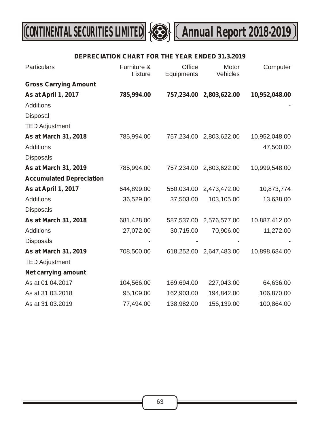**CONTINENTAL SECURITIES LIMITED 4 Annual Report 2018-2019** 



#### **DEPRECIATION CHART FOR THE YEAR ENDED 31.3.2019**

| Particulars                     | Furniture &<br><b>Fixture</b> | Office<br>Equipments | Motor<br>Vehicles       | Computer      |
|---------------------------------|-------------------------------|----------------------|-------------------------|---------------|
| <b>Gross Carrying Amount</b>    |                               |                      |                         |               |
| As at April 1, 2017             | 785,994.00                    |                      | 757,234.00 2,803,622.00 | 10,952,048.00 |
| Additions                       |                               |                      |                         |               |
| Disposal                        |                               |                      |                         |               |
| <b>TED Adjustment</b>           |                               |                      |                         |               |
| As at March 31, 2018            | 785,994.00                    | 757,234.00           | 2,803,622.00            | 10,952,048.00 |
| Additions                       |                               |                      |                         | 47,500.00     |
| <b>Disposals</b>                |                               |                      |                         |               |
| As at March 31, 2019            | 785,994.00                    | 757,234.00           | 2,803,622.00            | 10,999,548.00 |
| <b>Accumulated Depreciation</b> |                               |                      |                         |               |
| As at April 1, 2017             | 644,899.00                    |                      | 550,034.00 2,473,472.00 | 10,873,774    |
| Additions                       | 36,529.00                     | 37,503.00            | 103,105.00              | 13,638.00     |
| <b>Disposals</b>                |                               |                      |                         |               |
| As at March 31, 2018            | 681,428.00                    |                      | 587,537.00 2,576,577.00 | 10,887,412.00 |
| Additions                       | 27,072.00                     | 30,715.00            | 70,906.00               | 11,272.00     |
| <b>Disposals</b>                |                               |                      |                         |               |
| As at March 31, 2019            | 708,500.00                    |                      | 618,252.00 2,647,483.00 | 10,898,684.00 |
| <b>TED Adjustment</b>           |                               |                      |                         |               |
| Net carrying amount             |                               |                      |                         |               |
| As at 01.04.2017                | 104,566.00                    | 169,694.00           | 227,043.00              | 64,636.00     |
| As at 31.03.2018                | 95,109.00                     | 162,903.00           | 194,842.00              | 106,870.00    |
| As at 31.03.2019                | 77,494.00                     | 138,982.00           | 156,139.00              | 100,864.00    |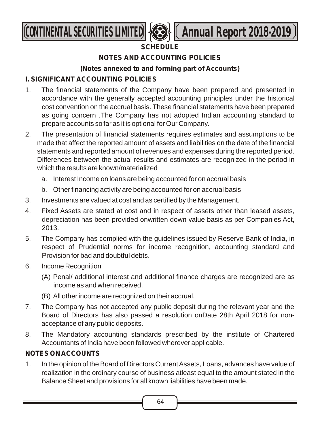

## **SCHEDULE**

## **NOTES AND ACCOUNTING POLICIES**

## **(Notes annexed to and forming part of Accounts)**

## **I. SIGNIFICANT ACCOUNTING POLICIES**

- 1. The financial statements of the Company have been prepared and presented in accordance with the generally accepted accounting principles under the historical cost convention on the accrual basis. These financial statements have been prepared as going concern .The Company has not adopted Indian accounting standard to prepare accounts so far as it is optional for Our Company.
- 2. The presentation of financial statements requires estimates and assumptions to be made that affect the reported amount of assets and liabilities on the date of the financial statements and reported amount of revenues and expenses during the reported period. Differences between the actual results and estimates are recognized in the period in which the results are known/materialized
	- a. Interest Income on loans are being accounted for on accrual basis
	- b. Other financing activity are being accounted for on accrual basis
- 3. Investments are valued at cost and as certified by the Management.
- 4. Fixed Assets are stated at cost and in respect of assets other than leased assets, depreciation has been provided onwritten down value basis as per Companies Act, 2013.
- 5. The Company has complied with the guidelines issued by Reserve Bank of India, in respect of Prudential norms for income recognition, accounting standard and Provision for bad and doubtful debts.
- 6. Income Recognition
	- (A) Penal/ additional interest and additional finance charges are recognized are as income as and when received.
	- (B) All other income are recognized on their accrual.
- 7. The Company has not accepted any public deposit during the relevant year and the Board of Directors has also passed a resolution onDate 28th April 2018 for nonacceptance of any public deposits.
- 8. The Mandatory accounting standards prescribed by the institute of Chartered Accountants of India have been followed wherever applicable.

## **NOTES ON ACCOUNTS**

1. In the opinion of the Board of Directors Current Assets, Loans, advances have value of realization in the ordinary course of business atleast equal to the amount stated in the Balance Sheet and provisions for all known liabilities have been made.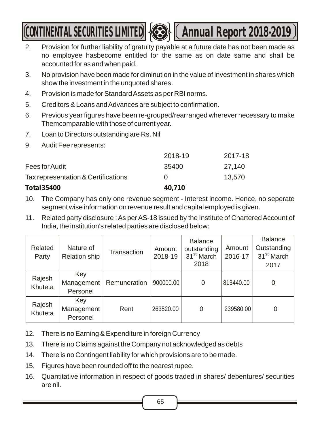**CONTINENTAL SECURITIES LIMITED <b>Annual Report 2018-2019** 

- 2. Provision for further liability of gratuity payable at a future date has not been made as no employee hasbecome entitled for the same as on date same and shall be accounted for as and when paid.
- 3. No provision have been made for diminution in the value of investment in shares which show the investment in the unquoted shares.
- 4. Provision is made for Standard Assets as per RBI norms.
- 5. Creditors & Loans and Advances are subject to confirmation.
- 6. Previous year figures have been re-grouped/rearranged wherever necessary to make Themcomparable with those of current year.
- 7. Loan to Directors outstanding are Rs. Nil
- 9. Audit Fee represents:

| <b>Total35400</b>                   | 40,710  |         |
|-------------------------------------|---------|---------|
| Tax representation & Certifications |         | 13.570  |
| Fees for Audit                      | 35400   | 27.140  |
|                                     | 2018-19 | 2017-18 |

- 10. The Company has only one revenue segment Interest income. Hence, no seperate segment wise information on revenue result and capital employed is given.
- 11. Related party disclosure : As per AS-18 issued by the Institute of Chartered Account of India, the institution's related parties are disclosed below:

| Related<br>Party  | Nature of<br><b>Relation ship</b> | Transaction  | Amount<br>2018-19 | <b>Balance</b><br>outstanding<br>31 <sup>st</sup> March<br>2018 | Amount<br>2016-17 | <b>Balance</b><br>Outstanding<br>31 <sup>st</sup> March<br>2017 |
|-------------------|-----------------------------------|--------------|-------------------|-----------------------------------------------------------------|-------------------|-----------------------------------------------------------------|
| Rajesh<br>Khuteta | Key<br>Management<br>Personel     | Remuneration | 900000.00         | $\Omega$                                                        | 813440.00         |                                                                 |
| Rajesh<br>Khuteta | Key<br>Management<br>Personel     | Rent         | 263520.00         | $\Omega$                                                        | 239580.00         | 0                                                               |

- 12. There is no Earning & Expenditure in foreign Currency
- 13. There is no Claims against the Company not acknowledged as debts
- 14. There is no Contingent liability for which provisions are to be made.
- 15. Figures have been rounded off to the nearest rupee.
- 16. Quantitative information in respect of goods traded in shares/ debentures/ securities are nil.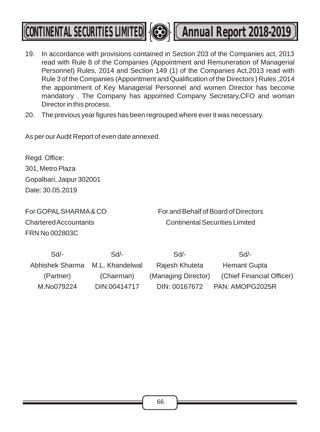# **CONTINENTAL SECURITIES LIMITED <b>Annual Report 2018-2019**

- 19. In accordance with provisions contained in Section 203 of the Companies act, 2013 read with Rule 8 of the Companies (Appointment and Remuneration of Managerial Personnel) Rules, 2014 and Section 149 (1) of the Companies Act,2013 read with Rule 3 of the Companies (Appointment and Qualification of the Directors ) Rules ,2014 the appointment of Key Managerial Personnel and women Director has become mandatory . The Company has appointed Company Secretary,CFO and woman Director in this process.
- 20. The previous year figures has been regrouped where ever it was necessary.

As per our Audit Report of even date annexed.

Regd. Office: 301, Metro Plaza Gopalbari, Jaipur 302001 Date: 30.05.2019

FRN No 002803C

For GOPAL SHARMA & CO For and Behalf of Board of Directors Chartered Accountants Continental Securities Limited

| $Sd/-$                          | Sd/-         | $Sd$ -              | $Sd/-$                    |
|---------------------------------|--------------|---------------------|---------------------------|
| Abhishek Sharma M.L. Khandelwal |              | Rajesh Khuteta      | <b>Hemant Gupta</b>       |
| (Partner)                       | (Chairman)   | (Managing Director) | (Chief Financial Officer) |
| M.No079224                      | DIN:00414717 | DIN: 00167672       | PAN: AMOPG2025R           |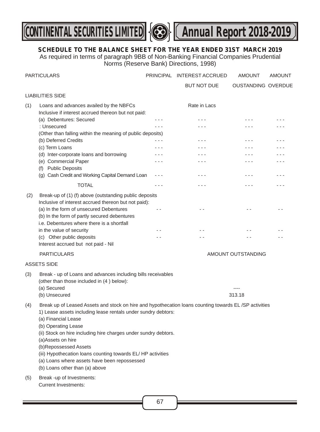



#### **SCHEDULE TO THE BALANCE SHEET FOR THE YEAR ENDED 31ST MARCH 2019**

As required in terms of paragraph 9BB of Non-Banking Financial Companies Prudential Norms (Reserve Bank) Directions, 1998)

|     | <b>PARTICULARS</b>                                                                                                                                                                                                   |                | PRINCIPAL INTEREST ACCRUED | <b>AMOUNT</b>             | <b>AMOUNT</b> |  |
|-----|----------------------------------------------------------------------------------------------------------------------------------------------------------------------------------------------------------------------|----------------|----------------------------|---------------------------|---------------|--|
|     |                                                                                                                                                                                                                      |                | <b>BUT NOT DUE</b>         | <b>OUSTANDING OVERDUE</b> |               |  |
|     | <b>LIABILITIES SIDE</b>                                                                                                                                                                                              |                |                            |                           |               |  |
| (1) | Loans and advances availed by the NBFCs<br>Inclusive if interest accrued thereon but not paid:                                                                                                                       |                | Rate in Lacs               |                           |               |  |
|     | (a) Debentures: Secured                                                                                                                                                                                              | - - -          | - - -                      | .                         | - - -         |  |
|     | : Unsecured                                                                                                                                                                                                          | - - -          | .                          | .                         | - - -         |  |
|     | (Other than falling within the meaning of public deposits)                                                                                                                                                           |                |                            |                           |               |  |
|     | (b) Deferred Credits                                                                                                                                                                                                 | $  -$          | $- - -$                    | $ -$                      |               |  |
|     | (c) Term Loans                                                                                                                                                                                                       | - - -          | $- - -$                    | $ -$                      | - - -         |  |
|     | (d) Inter-corporate loans and borrowing                                                                                                                                                                              | $  -$          | .                          | .                         |               |  |
|     | (e) Commercial Paper                                                                                                                                                                                                 |                | - - -                      | - - -                     |               |  |
|     | (f) Public Deposits                                                                                                                                                                                                  |                | - - -                      | - - -                     | - - -         |  |
|     | (g) Cash Credit and Working Capital Demand Loan                                                                                                                                                                      | $  -$          |                            |                           |               |  |
|     | <b>TOTAL</b>                                                                                                                                                                                                         | $  -$          | - - -                      | - - -                     | - - -         |  |
| (2) | Break-up of (1) (f) above (outstanding public deposits<br>Inclusive of interest accrued thereon but not paid):<br>(a) In the form of unsecured Debentures                                                            | $\overline{a}$ | ٠.                         |                           |               |  |
|     | (b) In the form of partly secured debentures                                                                                                                                                                         |                |                            |                           |               |  |
|     | i.e. Debentures where there is a shortfall                                                                                                                                                                           | $\overline{a}$ | $\sim$ $\sim$              | $\overline{a}$            |               |  |
|     | in the value of security<br>(c) Other public deposits                                                                                                                                                                | - -            | $\sim$ $\sim$              | - -                       |               |  |
|     | Interest accrued but not paid - Nil                                                                                                                                                                                  |                |                            |                           |               |  |
|     |                                                                                                                                                                                                                      |                |                            |                           |               |  |
|     | <b>PARTICULARS</b>                                                                                                                                                                                                   |                |                            | AMOUNT OUTSTANDING        |               |  |
|     | <b>ASSETS SIDE</b>                                                                                                                                                                                                   |                |                            |                           |               |  |
| (3) | Break - up of Loans and advances including bills receivables<br>(other than those included in (4) below):                                                                                                            |                |                            |                           |               |  |
|     | (a) Secured<br>(b) Unsecured                                                                                                                                                                                         |                |                            | 313.18                    |               |  |
|     |                                                                                                                                                                                                                      |                |                            |                           |               |  |
| (4) | Break up of Leased Assets and stock on hire and hypothecation loans counting towards EL/SP activities<br>1) Lease assets including lease rentals under sundry debtors:<br>(a) Financial Lease<br>(b) Operating Lease |                |                            |                           |               |  |
|     | (ii) Stock on hire including hire charges under sundry debtors.<br>(a)Assets on hire<br>(b)Repossessed Assets                                                                                                        |                |                            |                           |               |  |
|     | (iii) Hypothecation loans counting towards EL/HP activities<br>(a) Loans where assets have been repossessed<br>(b) Loans other than (a) above                                                                        |                |                            |                           |               |  |
| (5) | Break -up of Investments:<br><b>Current Investments:</b>                                                                                                                                                             |                |                            |                           |               |  |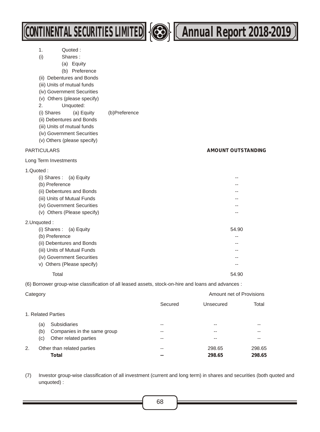| (CONTINENTAL SECURITIES LIMITED)                                                                                                                                                                                                                                                                                                                                 |               |                | <b>Annual Report 2018-2019</b>   |
|------------------------------------------------------------------------------------------------------------------------------------------------------------------------------------------------------------------------------------------------------------------------------------------------------------------------------------------------------------------|---------------|----------------|----------------------------------|
| 1.<br>Quoted:<br>(i)<br>Shares:<br>(a) Equity<br>(b) Preference<br>(ii) Debentures and Bonds<br>(iii) Units of mutual funds<br>(iv) Government Securities<br>(v) Others (please specify)<br>Unquoted:<br>2.<br>(i) Shares<br>(a) Equity<br>(ii) Debentures and Bonds<br>(iii) Units of mutual funds<br>(iv) Government Securities<br>(v) Others (please specify) | (b)Preference |                |                                  |
| <b>PARTICULARS</b>                                                                                                                                                                                                                                                                                                                                               |               |                | <b>AMOUNT OUTSTANDING</b>        |
| Long Term Investments                                                                                                                                                                                                                                                                                                                                            |               |                |                                  |
| 1.Quoted:<br>(i) Shares: (a) Equity<br>(b) Preference<br>(ii) Debentures and Bonds<br>(iii) Units of Mutual Funds<br>(iv) Government Securities<br>(v) Others (Please specify)                                                                                                                                                                                   |               |                |                                  |
| 2. Unquoted:<br>(i) Shares: (a) Equity<br>(b) Preference<br>(ii) Debentures and Bonds<br>(iii) Units of Mutual Funds<br>(iv) Government Securities<br>v) Others (Please specify)                                                                                                                                                                                 |               |                | 54.90<br>$\sim$<br>$\sim$<br>$-$ |
| Total                                                                                                                                                                                                                                                                                                                                                            |               |                | 54.90                            |
| (6) Borrower group-wise classification of all leased assets, stock-on-hire and loans and advances :                                                                                                                                                                                                                                                              |               |                |                                  |
| Category                                                                                                                                                                                                                                                                                                                                                         |               |                | Amount net of Provisions         |
|                                                                                                                                                                                                                                                                                                                                                                  | Secured       | Unsecured      | Total                            |
| 1. Related Parties                                                                                                                                                                                                                                                                                                                                               |               |                |                                  |
| Subsidiaries<br>(a)<br>(b)<br>Companies in the same group                                                                                                                                                                                                                                                                                                        |               | $\overline{a}$ | $\sim$                           |

2. Other than related parties **298.65** 298.65 298.65 **Total -- 298.65 298.65**

(7) Investor group-wise classification of all investment (current and long term) in shares and securities (both quoted and unquoted) :

(c) Other related parties -- -- --

Ξ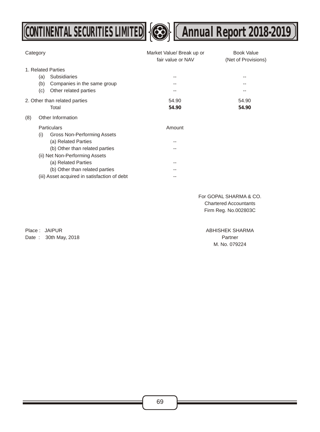

| Category |                                                                                                                                                                                                                                                       | Market Value/ Break up or<br>fair value or NAV | <b>Book Value</b><br>(Net of Provisions) |
|----------|-------------------------------------------------------------------------------------------------------------------------------------------------------------------------------------------------------------------------------------------------------|------------------------------------------------|------------------------------------------|
|          | 1. Related Parties<br><b>Subsidiaries</b><br>(a)<br>Companies in the same group<br>(b)<br>Other related parties<br>(c)                                                                                                                                |                                                |                                          |
| (8)      | 2. Other than related parties<br>Total<br>Other Information                                                                                                                                                                                           | 54.90<br>54.90                                 | 54.90<br>54.90                           |
|          | Particulars<br>Gross Non-Performing Assets<br>(i)<br>(a) Related Parties<br>(b) Other than related parties<br>(ii) Net Non-Performing Assets<br>(a) Related Parties<br>(b) Other than related parties<br>(iii) Asset acquired in satisfaction of debt | Amount<br>--                                   |                                          |

For GOPAL SHARMA & CO. Chartered Accountants Firm Reg. No.002803C

Date : 30th May, 2018 **Partner** Partner Number 2018

Place : JAIPUR **ABHISHEK SHARMA** M. No. 079224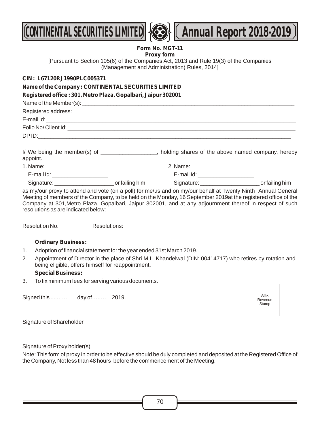

## **Form No. MGT-11**

**Proxy form**

[Pursuant to Section 105(6) of the Companies Act, 2013 and Rule 19(3) of the Companies (Management and Administration) Rules, 2014]

# **CIN : L67120RJ1990PLC005371**

## **Name of the Company : CONTINENTALSECURITIES LIMITED**

#### **Registered office : 301, Metro Plaza, Gopalbari, Jaipur 302001**

| appoint.                           | I/ We being the member(s) of _______________, holding shares of the above named company, hereby |
|------------------------------------|-------------------------------------------------------------------------------------------------|
|                                    |                                                                                                 |
| E-mail Id: _______________________ | E-mail Id: _______________________                                                              |

Signature: etc. The state of the state of failing him Signature: Equation of the state of the state of the state of the state of the state of the state of the state of the state of the state of the state of the state of th

as my/our proxy to attend and vote (on a poll) for me/us and on my/our behalf at Twenty Ninth Annual General Meeting of members of the Company, to be held on the Monday, 16 September 2019at the registered office of the Company at 301,Metro Plaza, Gopalbari, Jaipur 302001, and at any adjournment thereof in respect of such resolutions as are indicated below:

Resolution No. Resolutions:

### **Ordinary Business:**

- 1. Adoption of financial statement for the year ended 31st March 2019.
- 2. Appointment of Director in the place of Shri M.L .Khandelwal (DIN: 00414717) who retires by rotation and being eligible, offers himself for reappointment.

#### **Special Business:**

3. To fix minimum fees for serving various documents.

Signed this .....….. day of…..… 2019.



Signature of Shareholder

Signature of Proxy holder(s)

Note: This form of proxy in order to be effective should be duly completed and deposited at the Registered Office of the Company, Not less than 48 hours before the commencement of the Meeting.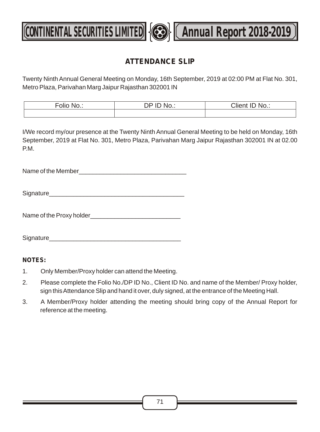

# **ATTENDANCE SLIP**

Twenty Ninth Annual General Meeting on Monday, 16th September, 2019 at 02:00 PM at Flat No. 301, Metro Plaza, Parivahan Marg Jaipur Rajasthan 302001 IN

| <sup>∹</sup> olio No.: | Pר<br>NO | Client<br>No |
|------------------------|----------|--------------|
|                        |          |              |

I/We record my/our presence at the Twenty Ninth Annual General Meeting to be held on Monday, 16th September, 2019 at Flat No. 301, Metro Plaza, Parivahan Marg Jaipur Rajasthan 302001 IN at 02.00 P.M.

Name of the Member

Signature

Name of the Proxy holder\_\_\_\_\_\_\_\_\_\_\_\_\_\_\_\_\_\_\_\_\_\_\_\_\_\_

Signature\_\_\_\_\_\_\_\_\_\_\_\_\_\_\_\_\_\_\_\_\_\_\_\_\_\_\_\_\_\_\_\_\_\_\_\_\_\_

## **NOTES:**

- 1. Only Member/Proxy holder can attend the Meeting.
- 2. Please complete the Folio No./DP ID No., Client ID No. and name of the Member/ Proxy holder, sign this Attendance Slip and hand it over, duly signed, at the entrance of the Meeting Hall.
- 3. A Member/Proxy holder attending the meeting should bring copy of the Annual Report for reference at the meeting.